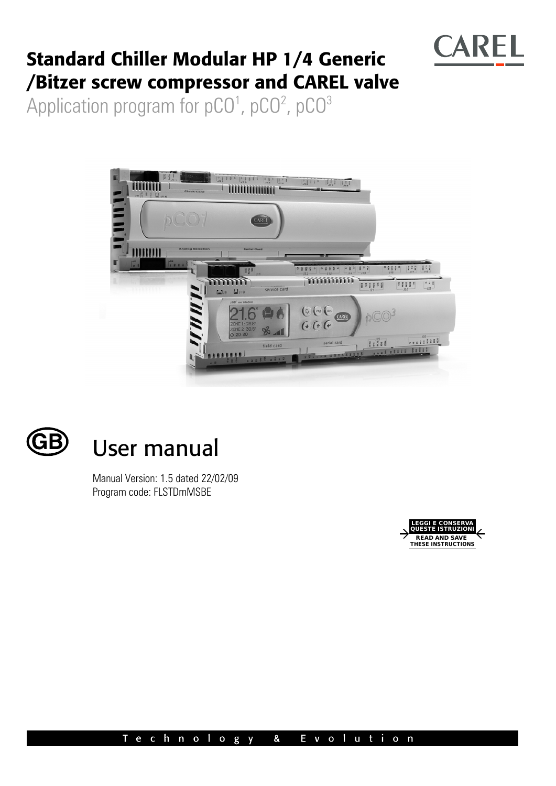

# **Standard Chiller Modular HP 1/4 Generic /Bitzer screw compressor and CAREL valve**

Application program for pCO<sup>1</sup>, pCO<sup>2</sup>, pCO<sup>3</sup>





# User manual

Manual Version: 1.5 dated 22/02/09 Program code: FLSTDmMSBE

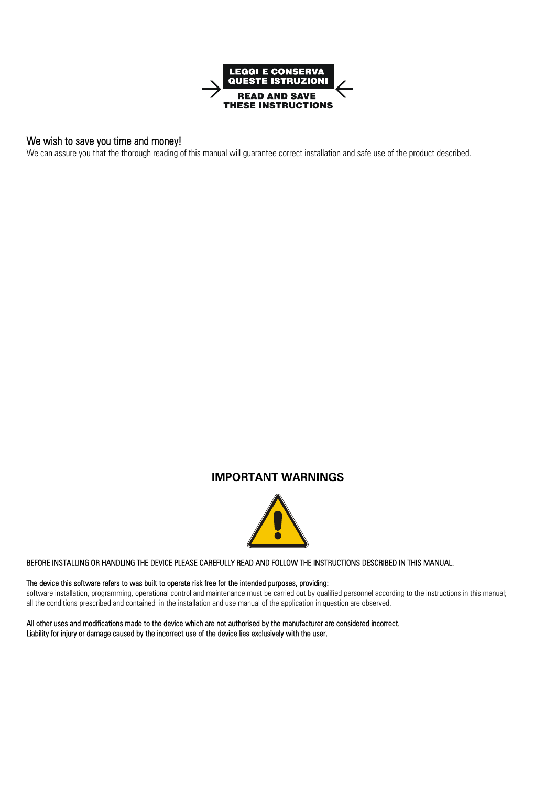

## We wish to save you time and money!

We can assure you that the thorough reading of this manual will guarantee correct installation and safe use of the product described.

## **IMPORTANT WARNINGS**



#### BEFORE INSTALLING OR HANDLING THE DEVICE PLEASE CAREFULLY READ AND FOLLOW THE INSTRUCTIONS DESCRIBED IN THIS MANUAL.

### The device this software refers to was built to operate risk free for the intended purposes, providing:

software installation, programming, operational control and maintenance must be carried out by qualified personnel according to the instructions in this manual; all the conditions prescribed and contained in the installation and use manual of the application in question are observed.

All other uses and modifications made to the device which are not authorised by the manufacturer are considered incorrect. Liability for injury or damage caused by the incorrect use of the device lies exclusively with the user.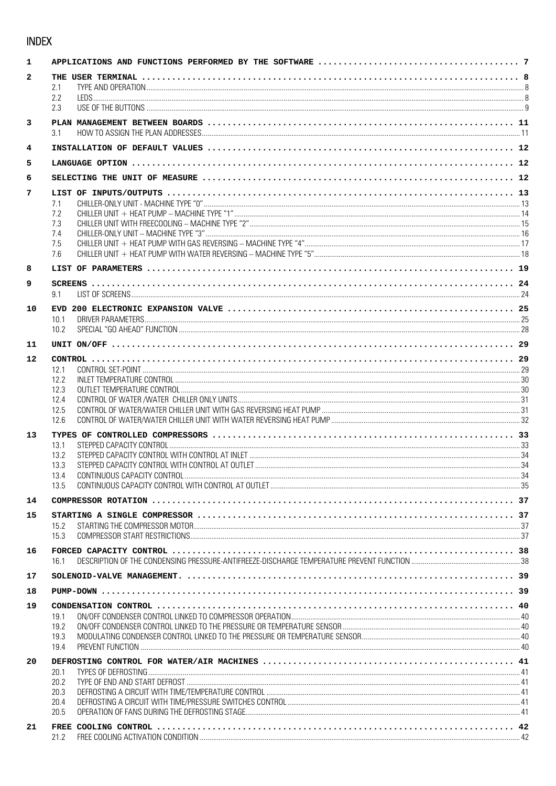## **INDEX**

| 1            |              |  |  |  |
|--------------|--------------|--|--|--|
| $\mathbf{2}$ | 2.1<br>2.2   |  |  |  |
|              | 2.3          |  |  |  |
| 3            | 31           |  |  |  |
| 4            |              |  |  |  |
| 5            |              |  |  |  |
| 6            |              |  |  |  |
| 7            |              |  |  |  |
|              | 7.1          |  |  |  |
|              | 7.2          |  |  |  |
|              | 7.3<br>7.4   |  |  |  |
|              | 7.5          |  |  |  |
|              | 7.6          |  |  |  |
| 8            |              |  |  |  |
| 9            |              |  |  |  |
|              | 9.1          |  |  |  |
| 10           |              |  |  |  |
|              | 10.1<br>10.2 |  |  |  |
| 11           |              |  |  |  |
|              |              |  |  |  |
| 12           | 12.1         |  |  |  |
|              | 12.2         |  |  |  |
|              | 12.3         |  |  |  |
|              | 12.4<br>12.5 |  |  |  |
|              | 12.6         |  |  |  |
| 13           |              |  |  |  |
|              | 13.1         |  |  |  |
|              | 13.2         |  |  |  |
|              | 13.3<br>13.4 |  |  |  |
|              | 13.5         |  |  |  |
| 14           |              |  |  |  |
| 15           |              |  |  |  |
|              | 15.2         |  |  |  |
|              | 15.3         |  |  |  |
| 16           | 161          |  |  |  |
| 17           |              |  |  |  |
| 18           |              |  |  |  |
| 19           |              |  |  |  |
|              | 19.1         |  |  |  |
|              | 19.2<br>19.3 |  |  |  |
|              | 19.4         |  |  |  |
| 20           |              |  |  |  |
|              | 20.1         |  |  |  |
|              | 20.2<br>20.3 |  |  |  |
|              | 20.4         |  |  |  |
|              | 20.5         |  |  |  |
| 21           |              |  |  |  |
|              | 21.2         |  |  |  |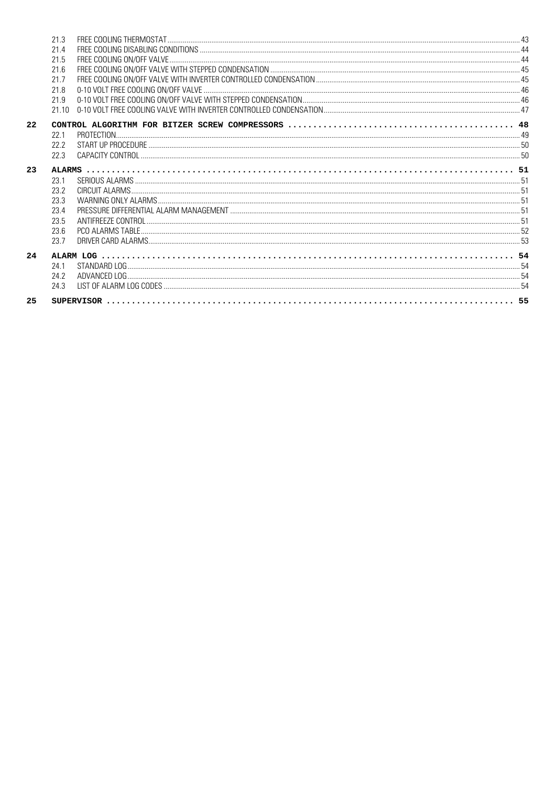|    | 21.3 |  |
|----|------|--|
|    | 21.4 |  |
|    | 21.5 |  |
|    | 21.6 |  |
|    | 21.7 |  |
|    | 21.8 |  |
|    | 21.9 |  |
|    | 2110 |  |
| 22 |      |  |
|    | 22.1 |  |
|    | 22.2 |  |
|    | 22.3 |  |
| 23 |      |  |
|    | 23.1 |  |
|    | 23.2 |  |
|    | 23.3 |  |
|    | 23.4 |  |
|    | 23.5 |  |
|    | 23.6 |  |
|    | 23.7 |  |
| 24 |      |  |
|    | 24.1 |  |
|    | 24.2 |  |
|    | 24.3 |  |
| 25 |      |  |
|    |      |  |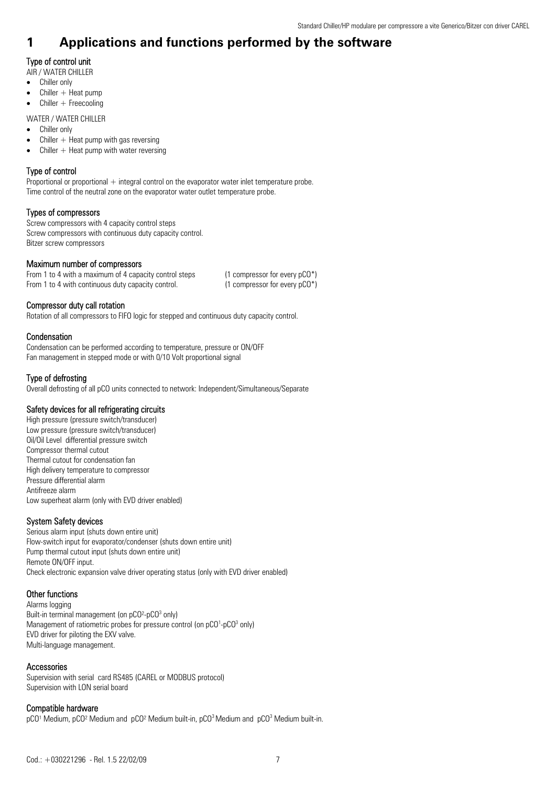## **1 Applications and functions performed by the software**

## Type of control unit

AIR / WATER CHILLER

- Chiller only
- $\bullet$  Chiller + Heat pump
- $\bullet$  Chiller + Freecooling

WATER / WATER CHILLER

- Chiller only
- $\bullet$  Chiller  $+$  Heat pump with gas reversing
- Chiller  $+$  Heat pump with water reversing

## Type of control

Proportional or proportional  $+$  integral control on the evaporator water inlet temperature probe. Time control of the neutral zone on the evaporator water outlet temperature probe.

## Types of compressors

Screw compressors with 4 capacity control steps Screw compressors with continuous duty capacity control. Bitzer screw compressors

## Maximum number of compressors

| From 1 to 4 with a maximum of 4 capacity control steps | (1 compressor for every $pCO^*$ )   |
|--------------------------------------------------------|-------------------------------------|
| From 1 to 4 with continuous duty capacity control.     | $(1$ compressor for every $pCO^*$ ) |

## Compressor duty call rotation

Rotation of all compressors to FIFO logic for stepped and continuous duty capacity control.

## Condensation

Condensation can be performed according to temperature, pressure or ON/OFF Fan management in stepped mode or with 0/10 Volt proportional signal

## Type of defrosting

Overall defrosting of all pCO units connected to network: Independent/Simultaneous/Separate

## Safety devices for all refrigerating circuits

High pressure (pressure switch/transducer) Low pressure (pressure switch/transducer) Oil/Oil Level differential pressure switch Compressor thermal cutout Thermal cutout for condensation fan High delivery temperature to compressor Pressure differential alarm Antifreeze alarm Low superheat alarm (only with EVD driver enabled)

## System Safety devices

Serious alarm input (shuts down entire unit) Flow-switch input for evaporator/condenser (shuts down entire unit) Pump thermal cutout input (shuts down entire unit) Remote ON/OFF input. Check electronic expansion valve driver operating status (only with EVD driver enabled)

## Other functions

Alarms logging Built-in terminal management (on pCO<sup>2</sup>-pCO<sup>3</sup> only) Management of ratiometric probes for pressure control (on pCO<sup>1</sup>-pCO<sup>3</sup> only) EVD driver for piloting the EXV valve. Multi-language management.

## Accessories

Supervision with serial card RS485 (CAREL or MODBUS protocol) Supervision with LON serial board

## Compatible hardware

pCO<sup>1</sup> Medium, pCO<sup>2</sup> Medium and pCO<sup>2</sup> Medium built-in, pCO<sup>3</sup> Medium and pCO<sup>3</sup> Medium built-in.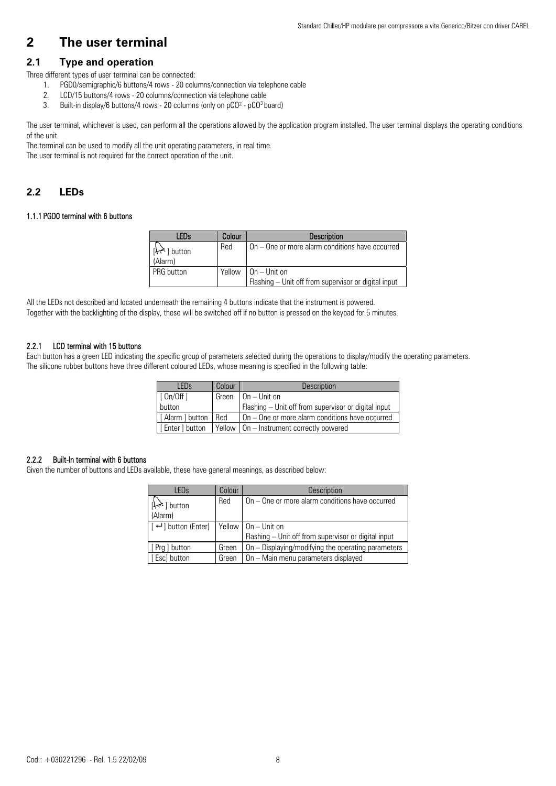## **2 The user terminal**

## **2.1 Type and operation**

Three different types of user terminal can be connected:

- 1. PGD0/semigraphic/6 buttons/4 rows 20 columns/connection via telephone cable
- 2. LCD/15 buttons/4 rows 20 columns/connection via telephone cable
- 3. Built-in display/6 buttons/4 rows 20 columns (only on pCO<sup>2</sup> pCO<sup>3</sup> board)

The user terminal, whichever is used, can perform all the operations allowed by the application program installed. The user terminal displays the operating conditions of the unit.

The terminal can be used to modify all the unit operating parameters, in real time. The user terminal is not required for the correct operation of the unit.

## **2.2 LEDs**

#### 1.1.1 PGD0 terminal with 6 buttons

| <b>LEDs</b>                                 | Colour | <b>Description</b>                                                         |
|---------------------------------------------|--------|----------------------------------------------------------------------------|
| $\left[\downarrow\right]$ button<br>(Alarm) | Red    | On - One or more alarm conditions have occurred                            |
| I PRG button                                | Yellow | $1$ On $-$ Unit on<br>Flashing - Unit off from supervisor or digital input |

All the LEDs not described and located underneath the remaining 4 buttons indicate that the instrument is powered. Together with the backlighting of the display, these will be switched off if no button is pressed on the keypad for 5 minutes.

### 2.2.1 LCD terminal with 15 buttons

Each button has a green LED indicating the specific group of parameters selected during the operations to display/modify the operating parameters. The silicone rubber buttons have three different coloured LEDs, whose meaning is specified in the following table:

| I FDs                 | Colour | <b>Description</b>                                   |
|-----------------------|--------|------------------------------------------------------|
| [0n/0ff]              | Green  | $On$ – Unit on                                       |
| button                |        | Flashing - Unit off from supervisor or digital input |
| [Alarm ] button   Red |        | On – One or more alarm conditions have occurred      |
| I Enter 1 button      |        | Yellow   On - Instrument correctly powered           |

## 2.2.2 Built-In terminal with 6 buttons

Given the number of buttons and LEDs available, these have general meanings, as described below:

| LED <sub>s</sub>                                     | Colour | Description                                          |
|------------------------------------------------------|--------|------------------------------------------------------|
| $\left[\downarrow,\uparrow\right]$ button<br>(Alarm) | Red    | On - One or more alarm conditions have occurred      |
| $\lceil \leftarrow \rceil$ button (Enter)            |        | Yellow $ On - Unit on$                               |
|                                                      |        | Flashing - Unit off from supervisor or digital input |
| [ Prg ] button                                       | Green  | On – Displaying/modifying the operating parameters   |
| [Esc] button                                         | Green  | On - Main menu parameters displayed                  |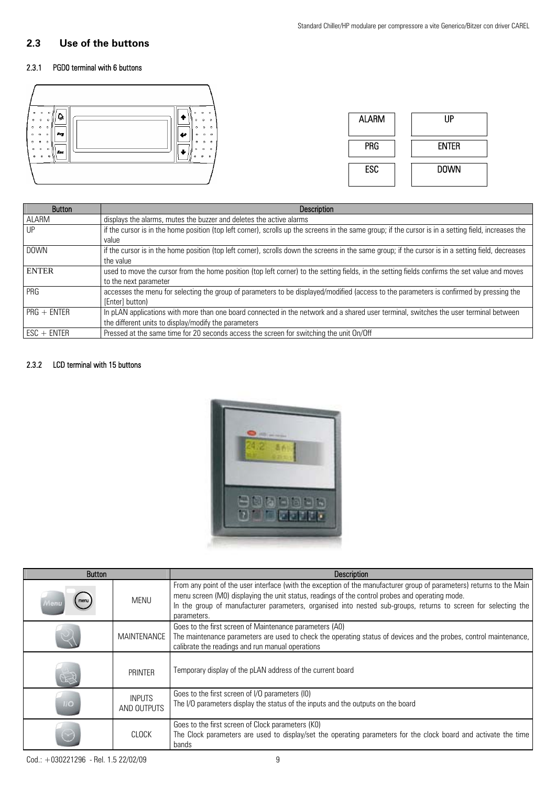## **2.3 Use of the buttons**

## 2.3.1 PGD0 terminal with 6 buttons



| <b>Button</b> | <b>Description</b>                                                                                                                                    |
|---------------|-------------------------------------------------------------------------------------------------------------------------------------------------------|
| ALARM         | displays the alarms, mutes the buzzer and deletes the active alarms                                                                                   |
| UP            | if the cursor is in the home position (top left corner), scrolls up the screens in the same group; if the cursor is in a setting field, increases the |
|               | value                                                                                                                                                 |
| <b>DOWN</b>   | if the cursor is in the home position (top left corner), scrolls down the screens in the same group; if the cursor is in a setting field, decreases   |
|               | the value                                                                                                                                             |
| <b>ENTER</b>  | used to move the cursor from the home position (top left corner) to the setting fields, in the setting fields confirms the set value and moves        |
|               | to the next parameter                                                                                                                                 |
| PRG           | accesses the menu for selecting the group of parameters to be displayed/modified (access to the parameters is confirmed by pressing the               |
|               | [Enter] button)                                                                                                                                       |
| $PRG + ENTER$ | In pLAN applications with more than one board connected in the network and a shared user terminal, switches the user terminal between                 |
|               | the different units to display/modify the parameters                                                                                                  |
| $ESC + ENTER$ | Pressed at the same time for 20 seconds access the screen for switching the unit On/Off                                                               |

## 2.3.2 LCD terminal with 15 buttons



| <b>Button</b>   |                              | <b>Description</b>                                                                                                                                                                                                                                                                                                                                        |
|-----------------|------------------------------|-----------------------------------------------------------------------------------------------------------------------------------------------------------------------------------------------------------------------------------------------------------------------------------------------------------------------------------------------------------|
|                 | <b>MENU</b>                  | From any point of the user interface (with the exception of the manufacturer group of parameters) returns to the Main<br>menu screen (M0) displaying the unit status, readings of the control probes and operating mode.<br>In the group of manufacturer parameters, organised into nested sub-groups, returns to screen for selecting the<br>parameters. |
|                 | MAINTENANCE                  | Goes to the first screen of Maintenance parameters (A0)<br>The maintenance parameters are used to check the operating status of devices and the probes, control maintenance,<br>calibrate the readings and run manual operations                                                                                                                          |
|                 | <b>PRINTER</b>               | Temporary display of the pLAN address of the current board                                                                                                                                                                                                                                                                                                |
| $\overline{11}$ | <b>INPUTS</b><br>AND OUTPUTS | Goes to the first screen of I/O parameters (IO)<br>The I/O parameters display the status of the inputs and the outputs on the board                                                                                                                                                                                                                       |
|                 | <b>CLOCK</b>                 | Goes to the first screen of Clock parameters (KO)<br>The Clock parameters are used to display/set the operating parameters for the clock board and activate the time<br>bands                                                                                                                                                                             |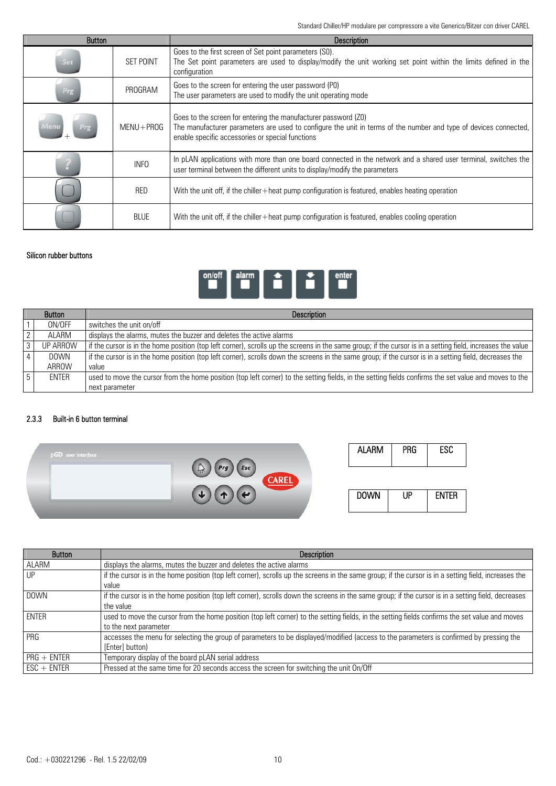Standard Chiller/HP modulare per compressore a vite Generico/Bitzer con driver CAREL

| <b>Button</b> |                  | <b>Description</b>                                                                                                                                                                                                                     |
|---------------|------------------|----------------------------------------------------------------------------------------------------------------------------------------------------------------------------------------------------------------------------------------|
| Set           | <b>SET POINT</b> | Goes to the first screen of Set point parameters (S0).<br>The Set point parameters are used to display/modify the unit working set point within the limits defined in the<br>configuration                                             |
| Prg           | PROGRAM          | Goes to the screen for entering the user password (P0)<br>The user parameters are used to modify the unit operating mode                                                                                                               |
| Menu          | $MENU + PROG$    | Goes to the screen for entering the manufacturer password (Z0)<br>The manufacturer parameters are used to configure the unit in terms of the number and type of devices connected,<br>enable specific accessories or special functions |
|               | <b>INFO</b>      | In pLAN applications with more than one board connected in the network and a shared user terminal, switches the<br>user terminal between the different units to display/modify the parameters                                          |
|               | <b>RED</b>       | With the unit off, if the chiller $+$ heat pump configuration is featured, enables heating operation                                                                                                                                   |
|               | <b>BLUE</b>      | With the unit off, if the chiller +heat pump configuration is featured, enables cooling operation                                                                                                                                      |

## Silicon rubber buttons



| <b>Button</b>  |              | <b>Description</b>                                                                                                                                            |
|----------------|--------------|---------------------------------------------------------------------------------------------------------------------------------------------------------------|
|                | ON/OFF       | switches the unit on/off                                                                                                                                      |
|                | ALARM        | displays the alarms, mutes the buzzer and deletes the active alarms                                                                                           |
| 3 <sub>1</sub> | UP ARROW     | f if the cursor is in the home position (top left corner), scrolls up the screens in the same group; if the cursor is in a setting field, increases the value |
|                | <b>DOWN</b>  | if the cursor is in the home position (top left corner), scrolls down the screens in the same group; if the cursor is in a setting field, decreases the       |
|                | ARROW        | value                                                                                                                                                         |
| 5              | <b>ENTER</b> | used to move the cursor from the home position (top left corner) to the setting fields, in the setting fields confirms the set value and moves to the         |
|                |              | next parameter                                                                                                                                                |

## 2.3.3 Built-in 6 button terminal



| <b>Button</b> | <b>Description</b>                                                                                                                                    |
|---------------|-------------------------------------------------------------------------------------------------------------------------------------------------------|
| ALARM         | displays the alarms, mutes the buzzer and deletes the active alarms                                                                                   |
| UP            | if the cursor is in the home position (top left corner), scrolls up the screens in the same group; if the cursor is in a setting field, increases the |
|               | value                                                                                                                                                 |
| <b>DOWN</b>   | if the cursor is in the home position (top left corner), scrolls down the screens in the same group; if the cursor is in a setting field, decreases   |
|               | the value                                                                                                                                             |
| ENTER         | used to move the cursor from the home position (top left corner) to the setting fields, in the setting fields confirms the set value and moves        |
|               | to the next parameter                                                                                                                                 |
| PRG           | accesses the menu for selecting the group of parameters to be displayed/modified (access to the parameters is confirmed by pressing the               |
|               | [Enter] button)                                                                                                                                       |
| $PRG + ENTER$ | Temporary display of the board pLAN serial address                                                                                                    |
| $ESC + ENTER$ | Pressed at the same time for 20 seconds access the screen for switching the unit On/Off                                                               |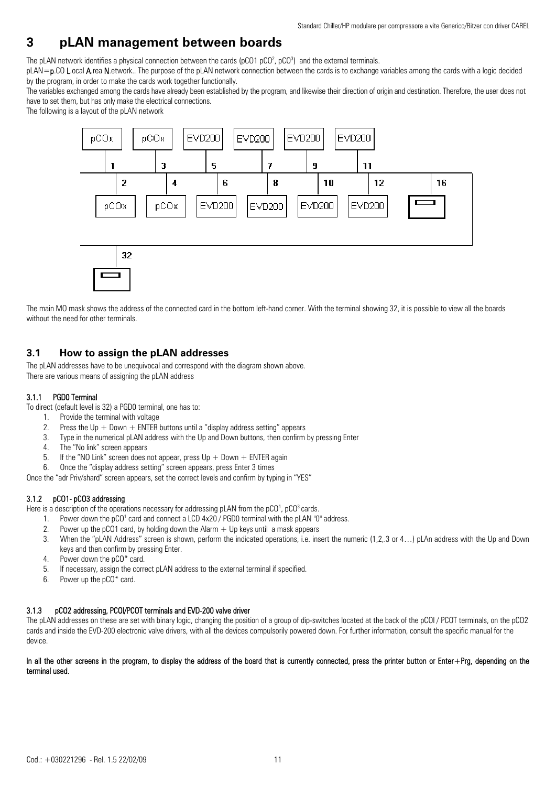## **3 pLAN management between boards**

The pLAN network identifies a physical connection between the cards (pCO1 pCO<sup>2</sup>, pCO<sup>3</sup>) and the external terminals.

pLAN=p.CO L.ocal A.rea N.etwork.. The purpose of the pLAN network connection between the cards is to exchange variables among the cards with a logic decided by the program, in order to make the cards work together functionally.

The variables exchanged among the cards have already been established by the program, and likewise their direction of origin and destination. Therefore, the user does not have to set them, but has only make the electrical connections.

The following is a layout of the pLAN network



The main MO mask shows the address of the connected card in the bottom left-hand corner. With the terminal showing 32, it is possible to view all the boards without the need for other terminals.

## **3.1 How to assign the pLAN addresses**

The pLAN addresses have to be unequivocal and correspond with the diagram shown above. There are various means of assigning the pLAN address

## 3.1.1 PGD0 Terminal

To direct (default level is 32) a PGD0 terminal, one has to:

- 1. Provide the terminal with voltage
- 2. Press the Up  $+$  Down  $+$  ENTER buttons until a "display address setting" appears
- 3. Type in the numerical pLAN address with the Up and Down buttons, then confirm by pressing Enter
- 4. The "No link" screen appears
- 5. If the "NO Link" screen does not appear, press  $Up + Down + ENTER$  again
- 6. Once the "display address setting" screen appears, press Enter 3 times

Once the "adr Priv/shard" screen appears, set the correct levels and confirm by typing in "YES"

## 3.1.2 pCO1- pCO3 addressing

Here is a description of the operations necessary for addressing pLAN from the pCO<sup>1</sup>, pCO<sup>3</sup> cards.

- 1. Power down the pCO<sup>1</sup> card and connect a LCD 4x20 / PGD0 terminal with the pLAN "0" address.
- 2. Power up the pCO1 card, by holding down the Alarm  $+$  Up keys until a mask appears
- 3. When the "pLAN Address" screen is shown, perform the indicated operations, i.e. insert the numeric (1,2,.3 or 4…) pLAn address with the Up and Down keys and then confirm by pressing Enter.
- 4. Power down the pCO\* card.
- 5. If necessary, assign the correct pLAN address to the external terminal if specified.
- 6. Power up the pCO\* card.

## 3.1.3 pCO2 addressing, PCOI/PCOT terminals and EVD-200 valve driver

The pLAN addresses on these are set with binary logic, changing the position of a group of dip-switches located at the back of the pCOI / PCOT terminals, on the pCO2 cards and inside the EVD-200 electronic valve drivers, with all the devices compulsorily powered down. For further information, consult the specific manual for the device.

#### In all the other screens in the program, to display the address of the board that is currently connected, press the printer button or Enter+Prg, depending on the terminal used.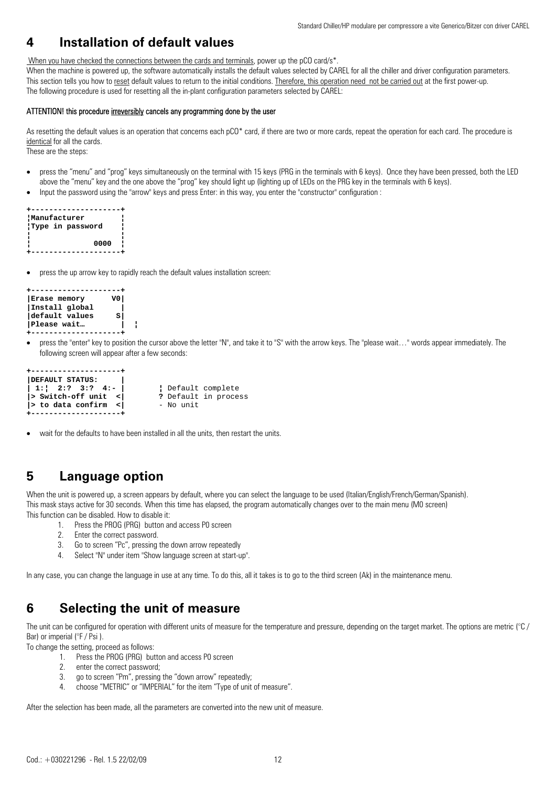## **4 Installation of default values**

When you have checked the connections between the cards and terminals, power up the pCO card/s<sup>\*</sup>.

When the machine is powered up, the software automatically installs the default values selected by CAREL for all the chiller and driver configuration parameters. This section tells you how to reset default values to return to the initial conditions. Therefore, this operation need not be carried out at the first power-up. The following procedure is used for resetting all the in-plant configuration parameters selected by CAREL:

#### ATTENTION! this procedure irreversibly cancels any programming done by the user

As resettina the default values is an operation that concerns each pCO\* card, if there are two or more cards, repeat the operation for each card. The procedure is identical for all the cards.

These are the steps:

- press the "menu" and "prog" keys simultaneously on the terminal with 15 keys (PRG in the terminals with 6 keys). Once they have been pressed, both the LED above the "menu" key and the one above the "prog" key should light up (lighting up of LEDs on the PRG key in the terminals with 6 keys).
- Input the password using the "arrow" keys and press Enter: in this way, you enter the "constructor" configuration :

```
+--------------------+ 
¦Manufacturer ¦ 
¦Type in password ¦ 
¦ ¦ 
             ¦ 0000 ¦ 
  +--------------------+
```
• press the up arrow key to rapidly reach the default values installation screen:

```
+--------------------+ 
| Erase memory
|Install global | 
\sf{default} values
|Please wait… | ¦
+--------------------+
```
• press the "enter" key to position the cursor above the letter "N", and take it to "S" with the arrow keys. The "please wait…" words appear immediately. The following screen will appear after a few seconds:

| +---------------------<br>DEFAULT STATUS:<br>$ 1: 2:?3:?4:- $                  | Default complete                  |
|--------------------------------------------------------------------------------|-----------------------------------|
| $ $ > Switch-off unit <<br>$ $ > to data confirm < $ $<br>+------------------- | ? Default in process<br>- No unit |

• wait for the defaults to have been installed in all the units, then restart the units.

## **5 Language option**

When the unit is powered up, a screen appears by default, where you can select the language to be used (Italian/English/French/German/Spanish). This mask stays active for 30 seconds. When this time has elapsed, the program automatically changes over to the main menu (M0 screen) This function can be disabled. How to disable it:

- 1. Press the PROG (PRG) button and access P0 screen
- 2. Enter the correct password.
- 3. Go to screen "Pc", pressing the down arrow repeatedly
- 4. Select "N" under item "Show language screen at start-up".

In any case, you can change the language in use at any time. To do this, all it takes is to go to the third screen (Ak) in the maintenance menu.

## **6 Selecting the unit of measure**

The unit can be configured for operation with different units of measure for the temperature and pressure, depending on the target market. The options are metric (°C / Bar) or imperial (°F / Psi).

To change the setting, proceed as follows:

- 1. Press the PROG (PRG) button and access P0 screen
- 2. enter the correct password;
- 3. go to screen "Pm", pressing the "down arrow" repeatedly;
- 4. choose "METRIC" or "IMPERIAL" for the item "Type of unit of measure".

After the selection has been made, all the parameters are converted into the new unit of measure.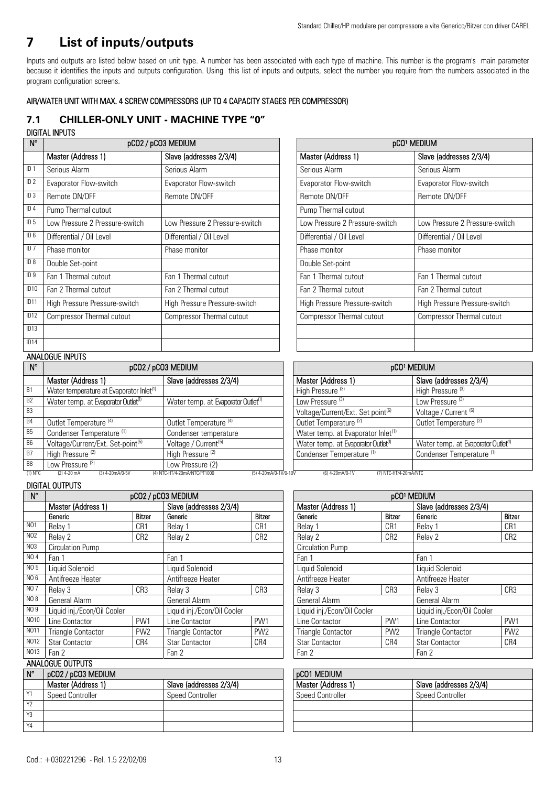## **7 List of inputs/outputs**

Inputs and outputs are listed below based on unit type. A number has been associated with each type of machine. This number is the program's main parameter because it identifies the inputs and outputs configuration. Using this list of inputs and outputs, select the number you require from the numbers associated in the program configuration screens.

## AIR/WATER UNIT WITH MAX. 4 SCREW COMPRESSORS (UP TO 4 CAPACITY STAGES PER COMPRESSOR)

## **7.1 CHILLER-ONLY UNIT - MACHINE TYPE "0"**  DIGITAL INPUTS

|                  | טוט וואו אזועוט                |                                  |                                |                                  |
|------------------|--------------------------------|----------------------------------|--------------------------------|----------------------------------|
| $N^{\circ}$      | pCO2 / pCO3 MEDIUM             |                                  |                                | pCO1 MEDIUM                      |
|                  | Master (Address 1)             | Slave (addresses 2/3/4)          | Master (Address 1)             | Slave (addresses 2/3/4)          |
| ID <sub>1</sub>  | Serious Alarm                  | Serious Alarm                    | Serious Alarm                  | Serious Alarm                    |
| ID <sub>2</sub>  | Evaporator Flow-switch         | Evaporator Flow-switch           | Evaporator Flow-switch         | Evaporator Flow-switch           |
| ID <sub>3</sub>  | Remote ON/OFF                  | Remote ON/OFF                    | Remote ON/OFF                  | Remote ON/OFF                    |
| ID <sub>4</sub>  | Pump Thermal cutout            |                                  | Pump Thermal cutout            |                                  |
| ID <sub>5</sub>  | Low Pressure 2 Pressure-switch | Low Pressure 2 Pressure-switch   | Low Pressure 2 Pressure-switch | Low Pressure 2 Pressure-switch   |
| ID <sub>6</sub>  | Differential / Oil Level       | Differential / Oil Level         | Differential / Oil Level       | Differential / Oil Level         |
| ID <sub>7</sub>  | Phase monitor                  | Phase monitor                    | Phase monitor                  | Phase monitor                    |
| ID 8             | Double Set-point               |                                  | Double Set-point               |                                  |
| ID <sub>9</sub>  | Fan 1 Thermal cutout           | Fan 1 Thermal cutout             | Fan 1 Thermal cutout           | Fan 1 Thermal cutout             |
| ID <sub>10</sub> | Fan 2 Thermal cutout           | Fan 2 Thermal cutout             | Fan 2 Thermal cutout           | Fan 2 Thermal cutout             |
| ID <sub>11</sub> | High Pressure Pressure-switch  | High Pressure Pressure-switch    | High Pressure Pressure-switch  | High Pressure Pressure-switch    |
| ID <sub>12</sub> | Compressor Thermal cutout      | <b>Compressor Thermal cutout</b> | Compressor Thermal cutout      | <b>Compressor Thermal cutout</b> |
| ID13             |                                |                                  |                                |                                  |
| ID <sub>14</sub> |                                |                                  |                                |                                  |

| pCO <sup>1</sup> MEDIUM          |                                  |  |  |  |  |
|----------------------------------|----------------------------------|--|--|--|--|
| Master (Address 1)               | Slave (addresses 2/3/4)          |  |  |  |  |
| Serious Alarm                    | Serious Alarm                    |  |  |  |  |
| Evaporator Flow-switch           | Evaporator Flow-switch           |  |  |  |  |
| Remote ON/OFF                    | Remote ON/OFF                    |  |  |  |  |
| Pump Thermal cutout              |                                  |  |  |  |  |
| Low Pressure 2 Pressure-switch   | Low Pressure 2 Pressure-switch   |  |  |  |  |
| Differential / Oil Level         | Differential / Oil Level         |  |  |  |  |
| Phase monitor                    | Phase monitor                    |  |  |  |  |
| Double Set-point                 |                                  |  |  |  |  |
| Fan 1 Thermal cutout             | Fan 1 Thermal cutout             |  |  |  |  |
| Fan 2 Thermal cutout             | Fan 2 Thermal cutout             |  |  |  |  |
| High Pressure Pressure-switch    | High Pressure Pressure-switch    |  |  |  |  |
| <b>Compressor Thermal cutout</b> | <b>Compressor Thermal cutout</b> |  |  |  |  |
|                                  |                                  |  |  |  |  |
|                                  |                                  |  |  |  |  |

## **ANALOGUE INPUTS**

|                | <b>AITALUUUL IN UIU</b>                              |                                                       |                                                 |                                                |  |
|----------------|------------------------------------------------------|-------------------------------------------------------|-------------------------------------------------|------------------------------------------------|--|
| $N^{\circ}$    | pCO2 / pCO3 MEDIUM                                   |                                                       | pCO1 MEDIUM                                     |                                                |  |
|                | Master (Address 1)                                   | Slave (addresses 2/3/4)                               | Master (Address 1)                              | Slave (addresses 2/3/4)                        |  |
| <b>B1</b>      | Water temperature at Evaporator Inlet <sup>(1)</sup> |                                                       | High Pressure <sup>(3)</sup>                    | High Pressure <sup>(3)</sup>                   |  |
| B <sub>2</sub> | Water temp. at Evaporator Outlet <sup>(1)</sup>      | Water temp. at Evaporator Outlet <sup>(1)</sup>       | Low Pressure <sup>(3)</sup>                     | Low Pressure (3)                               |  |
| <b>B3</b>      |                                                      |                                                       | Voltage/Current/Ext. Set point <sup>(6)</sup>   | Voltage / Current <sup>(6)</sup>               |  |
| <b>B4</b>      | Outlet Temperature <sup>(4)</sup>                    | Outlet Temperature <sup>(4)</sup>                     | Outlet Temperature <sup>(2)</sup>               | Outlet Temperature <sup>(2)</sup>              |  |
| <b>B5</b>      | Condenser Temperature <sup>(1)</sup>                 | Condenser temperature                                 | Water temp. at Evaporator Inlet <sup>(1)</sup>  |                                                |  |
| <b>B6</b>      | Voltage/Current/Ext. Set-point <sup>(5)</sup>        | Voltage / Current <sup>(5)</sup>                      | Water temp. at Evaporator Outlet <sup>(1)</sup> | Water temp. at Evaporator Outlet <sup>(1</sup> |  |
| <b>B7</b>      | High Pressure <sup>(2)</sup>                         | High Pressure <sup>(2)</sup>                          | Condenser Temperature <sup>(1)</sup>            | Condenser Temperature <sup>(1)</sup>           |  |
| B <sub>8</sub> | Low Pressure <sup>(2)</sup>                          | Low Pressure (2)                                      |                                                 |                                                |  |
| $(1)$ NTC      | (3) 4-20mA/0-5V<br>$(2)$ 4-20 mA                     | (5) 4-20mA/0-1V/0-10V<br>(4) NTC-HT/4-20mA/NTC/PT1000 | (6) 4-20mA/0-1V<br>(7) NTC-HT/4-20mA/NTC        |                                                |  |

| pCO <sup>1</sup> MEDIUM                         |                                                 |  |  |  |
|-------------------------------------------------|-------------------------------------------------|--|--|--|
| Master (Address 1)                              | Slave (addresses 2/3/4)                         |  |  |  |
| High Pressure <sup>(3)</sup>                    | High Pressure <sup>(3)</sup>                    |  |  |  |
| Low Pressure <sup>(3)</sup>                     | Low Pressure <sup>(3)</sup>                     |  |  |  |
| Voltage/Current/Ext. Set point <sup>(6)</sup>   | Voltage / Current <sup>(6)</sup>                |  |  |  |
| Outlet Temperature <sup>(2)</sup>               | Outlet Temperature <sup>(2)</sup>               |  |  |  |
| Water temp. at Evaporator Inlet <sup>(1)</sup>  |                                                 |  |  |  |
| Water temp. at Evaporator Outlet <sup>(1)</sup> | Water temp. at Evaporator Outlet <sup>(1)</sup> |  |  |  |
| Condenser Temperature <sup>(1)</sup>            | Condenser Temperature <sup>(1)</sup>            |  |  |  |
|                                                 |                                                 |  |  |  |

## DIGITAL OUTPUTS

| $N^{\circ}$       | pCO2 / pCO3 MEDIUM          |                 |                             |                         | pCO <sup>1</sup> MEDIUM |                             |                 |                             |                         |  |
|-------------------|-----------------------------|-----------------|-----------------------------|-------------------------|-------------------------|-----------------------------|-----------------|-----------------------------|-------------------------|--|
|                   | Master (Address 1)          |                 |                             | Slave (addresses 2/3/4) |                         | Master (Address 1)          |                 |                             | Slave (addresses 2/3/4) |  |
|                   | Generic                     | <b>Bitzer</b>   | Generic                     | <b>Bitzer</b>           |                         | Generic                     | <b>Bitzer</b>   | Generic                     | <b>Bitzer</b>           |  |
| N <sub>01</sub>   | Relav <sub>1</sub>          | CR1             | Relav <sub>1</sub>          | CR1                     |                         | Relav <sub>1</sub>          | CR <sub>1</sub> | Relav <sub>1</sub>          | CR1                     |  |
| N <sub>02</sub>   | Relav 2                     | CR <sub>2</sub> | Relay 2                     | CR <sub>2</sub>         |                         | Relay 2                     | CR <sub>2</sub> | Relay 2                     | CR2                     |  |
| N <sub>0</sub> 3  | Circulation Pump            |                 |                             |                         |                         | Circulation Pump            |                 |                             |                         |  |
| <b>NO4</b>        | Fan 1                       |                 | Fan 1                       |                         |                         | Fan 1                       |                 | Fan 1                       |                         |  |
| NO 5              | Liquid Solenoid             |                 | Liquid Solenoid             |                         |                         | Liquid Solenoid             |                 | Liquid Solenoid             |                         |  |
| NO 6              | Antifreeze Heater           |                 | Antifreeze Heater           |                         |                         | Antifreeze Heater           |                 | Antifreeze Heater           |                         |  |
| <b>NO7</b>        | Relay 3                     | CR <sub>3</sub> | Relay 3                     | CR <sub>3</sub>         |                         | Relay 3                     | CR3             | Relay 3                     | CR3                     |  |
| <b>NO8</b>        | <b>General Alarm</b>        |                 | General Alarm               |                         |                         | General Alarm               |                 | General Alarm               |                         |  |
| NO 9              | Liquid inj./Econ/Oil Cooler |                 | Liquid inj./Econ/Oil Cooler |                         |                         | Liquid inj./Econ/Oil Cooler |                 | Liquid inj./Econ/Oil Cooler |                         |  |
| NO10              | Line Contactor              | PW1             | Line Contactor              | PW1                     |                         | Line Contactor              | PW1             | Line Contactor              | PW1                     |  |
| N <sub>0</sub> 11 | <b>Triangle Contactor</b>   | PW <sub>2</sub> | <b>Triangle Contactor</b>   | PW <sub>2</sub>         |                         | <b>Triangle Contactor</b>   | PW <sub>2</sub> | <b>Triangle Contactor</b>   | PW <sub>2</sub>         |  |
| NO12              | <b>Star Contactor</b>       | CR4             | <b>Star Contactor</b>       | CR4                     |                         | <b>Star Contactor</b>       | CR4             | <b>Star Contactor</b>       | CR4                     |  |
| NO13              | Fan 2                       |                 | Fan 2                       |                         |                         | Fan 2                       |                 | Fan 2                       |                         |  |
|                   |                             |                 |                             |                         |                         |                             |                 |                             |                         |  |

|                                   | ANALOGUE OUTPUTS        |                         |                    |                         |                         |
|-----------------------------------|-------------------------|-------------------------|--------------------|-------------------------|-------------------------|
| $N^{\circ}$<br>pCO2 / pCO3 MEDIUM |                         |                         | <b>pCO1 MEDIUM</b> |                         |                         |
|                                   | Master (Address 1)      | Slave (addresses 2/3/4) |                    | Master (Address 1)      | Slave (addresses 2/3/4) |
| Υ1                                | <b>Speed Controller</b> | Speed Controller        |                    | <b>Speed Controller</b> | <b>Speed Controller</b> |
| Y <sub>2</sub>                    |                         |                         |                    |                         |                         |
| Y3                                |                         |                         |                    |                         |                         |
| Y4                                |                         |                         |                    |                         |                         |

(1) NTC (2) 4-20 mA (3) 4-20mA/0-5V (4) NTC-HT/4-20mA/NTC/PT1000 (5) 4-20mA/0-1V/0-10V (6) 4-20mA/0-1V (7) NTC-HT/4-20mA/NTC

| pCO <sup>1</sup> MEDIUM                      |                 |                                              |                 |  |  |  |  |
|----------------------------------------------|-----------------|----------------------------------------------|-----------------|--|--|--|--|
| Master (Address 1)                           |                 | Slave (addresses 2/3/4)                      |                 |  |  |  |  |
| Generic<br><b>Bitzer</b>                     |                 | Generic                                      | <b>Bitzer</b>   |  |  |  |  |
| Relay 1                                      | CR1             | Relay 1                                      | CR1             |  |  |  |  |
| Relay 2                                      | CR <sub>2</sub> | Relay 2                                      | CR <sub>2</sub> |  |  |  |  |
| Circulation Pump                             |                 |                                              |                 |  |  |  |  |
| Fan 1                                        |                 | Fan 1                                        |                 |  |  |  |  |
| Liquid Solenoid                              |                 | Liquid Solenoid                              |                 |  |  |  |  |
| Antifreeze Heater                            |                 | Antifreeze Heater                            |                 |  |  |  |  |
| Relay 3                                      | CR <sub>3</sub> | CR <sub>3</sub><br>Relay 3                   |                 |  |  |  |  |
| General Alarm                                |                 | General Alarm                                |                 |  |  |  |  |
| Liquid inj./Econ/Oil Cooler                  |                 | Liquid inj./Econ/Oil Cooler                  |                 |  |  |  |  |
| Line Contactor<br>PW1                        |                 | Line Contactor<br>PW1                        |                 |  |  |  |  |
| PW <sub>2</sub><br><b>Triangle Contactor</b> |                 | PW <sub>2</sub><br><b>Triangle Contactor</b> |                 |  |  |  |  |
| <b>Star Contactor</b><br>CR4                 |                 | <b>Star Contactor</b><br>CR4                 |                 |  |  |  |  |
| Fan 2                                        |                 | Fan 2                                        |                 |  |  |  |  |

| pCO1 MEDIUM             |                         |  |  |  |  |
|-------------------------|-------------------------|--|--|--|--|
| Master (Address 1)      | Slave (addresses 2/3/4) |  |  |  |  |
| <b>Speed Controller</b> | <b>Speed Controller</b> |  |  |  |  |
|                         |                         |  |  |  |  |
|                         |                         |  |  |  |  |
|                         |                         |  |  |  |  |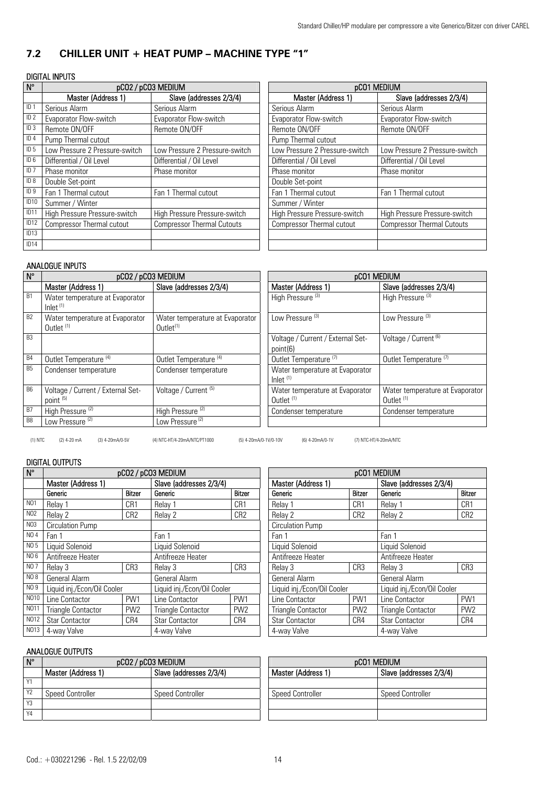## **7.2 CHILLER UNIT + HEAT PUMP – MACHINE TYPE "1"**

## DIGITAL INPUTS

|                  |                                  |                                   | <b>pCO1 MEDIUM</b>               |                                   |  |
|------------------|----------------------------------|-----------------------------------|----------------------------------|-----------------------------------|--|
| $N^{\circ}$      | pCO2 / pCO3 MEDIUM               |                                   |                                  |                                   |  |
|                  | Master (Address 1)               | Slave (addresses 2/3/4)           | Master (Address 1)               | Slave (addresses 2/3/4)           |  |
| $ID^*$           | Serious Alarm                    | Serious Alarm                     | Serious Alarm                    | Serious Alarm                     |  |
| ID <sub>2</sub>  | Evaporator Flow-switch           | Evaporator Flow-switch            | Evaporator Flow-switch           | Evaporator Flow-switch            |  |
| ID <sub>3</sub>  | Remote ON/OFF                    | Remote ON/OFF                     | Remote ON/OFF                    | Remote ON/OFF                     |  |
| ID <sub>4</sub>  | Pump Thermal cutout              |                                   | Pump Thermal cutout              |                                   |  |
| ID <sub>5</sub>  | Low Pressure 2 Pressure-switch   | Low Pressure 2 Pressure-switch    | Low Pressure 2 Pressure-switch   | Low Pressure 2 Pressure-switch    |  |
| ID <sub>6</sub>  | Differential / Oil Level         | Differential / Oil Level          | Differential / Oil Level         | Differential / Oil Level          |  |
| ID <sub>7</sub>  | Phase monitor                    | Phase monitor                     | Phase monitor                    | Phase monitor                     |  |
| ID 8             | Double Set-point                 |                                   | Double Set-point                 |                                   |  |
| ID <sub>9</sub>  | Fan 1 Thermal cutout             | Fan 1 Thermal cutout              | Fan 1 Thermal cutout             | Fan 1 Thermal cutout              |  |
| ID10             | Summer / Winter                  |                                   | Summer / Winter                  |                                   |  |
| ID11             | High Pressure Pressure-switch    | High Pressure Pressure-switch     | High Pressure Pressure-switch    | High Pressure Pressure-switch     |  |
| ID <sub>12</sub> | <b>Compressor Thermal cutout</b> | <b>Compressor Thermal Cutouts</b> | <b>Compressor Thermal cutout</b> | <b>Compressor Thermal Cutouts</b> |  |
| ID13             |                                  |                                   |                                  |                                   |  |
| ID14             |                                  |                                   |                                  |                                   |  |

### ANALOGUE INPUTS

| $N^{\circ}$    | pCO2 / pCO3 MEDIUM                                                     |                                                 |                                                                        | pCO1 MEDIUM                                              |  |  |
|----------------|------------------------------------------------------------------------|-------------------------------------------------|------------------------------------------------------------------------|----------------------------------------------------------|--|--|
|                | Master (Address 1)                                                     | Slave (addresses 2/3/4)                         | Master (Address 1)                                                     | Slave (addresses 2/3/4)                                  |  |  |
| <b>B1</b>      | Water temperature at Evaporator<br>$lnlet$ <sup><math>(1)</math></sup> |                                                 | High Pressure <sup>(3)</sup>                                           | High Pressure <sup>(3)</sup>                             |  |  |
| B <sub>2</sub> | Water temperature at Evaporator<br>Outlet <sup>(1)</sup>               | Water temperature at Evaporator<br>Outlet $(1)$ | Low Pressure <sup>(3)</sup>                                            | Low Pressure <sup>(3)</sup>                              |  |  |
| B <sub>3</sub> |                                                                        |                                                 | Voltage / Current / External Set-<br>point(6)                          | Voltage / Current <sup>(6)</sup>                         |  |  |
| B <sub>4</sub> | Outlet Temperature <sup>(4)</sup>                                      | Outlet Temperature <sup>(4)</sup>               | Outlet Temperature <sup>(7)</sup>                                      | Outlet Temperature <sup>(7)</sup>                        |  |  |
| B <sub>5</sub> | Condenser temperature                                                  | Condenser temperature                           | Water temperature at Evaporator<br>$lnlet$ <sup><math>(1)</math></sup> |                                                          |  |  |
| B <sub>6</sub> | Voltage / Current / External Set-<br>point <sup>(5)</sup>              | Voltage / Current <sup>(5)</sup>                | Water temperature at Evaporator<br>Outlet <sup>(1)</sup>               | Water temperature at Evaporator<br>Outlet <sup>(1)</sup> |  |  |
| B7             | High Pressure <sup>(2)</sup>                                           | High Pressure <sup>(2)</sup>                    | Condenser temperature                                                  | Condenser temperature                                    |  |  |
| B <sub>8</sub> | Low Pressure <sup>(2)</sup>                                            | Low Pressure <sup>(2)</sup>                     |                                                                        |                                                          |  |  |

(1) NTC (2) 4-20 mA (3) 4-20mA/0-5V (4) NTC-HT/4-20mA/NTC/PT1000 (5) 4-20mA/0-1V/0-10V (6) 4-20mA/0-1V (7) NTC-HT/4-20mA/NTC

## DIGITAL OUTPUTS

| $N^{\circ}$      | pCO2 / pCO3 MEDIUM          |                 |                             |                 | pCO1 MEDIUM                 |                 |                             |                         |  |
|------------------|-----------------------------|-----------------|-----------------------------|-----------------|-----------------------------|-----------------|-----------------------------|-------------------------|--|
|                  | Master (Address 1)          |                 | Slave (addresses 2/3/4)     |                 | Master (Address 1)          |                 |                             | Slave (addresses 2/3/4) |  |
|                  | Generic                     | <b>Bitzer</b>   | Generic                     | Bitzer          | Generic                     | Bitzer          | Generic                     | <b>Bitzer</b>           |  |
| N <sub>01</sub>  | Relay 1                     | CR1             | Relay 1                     | CR <sub>1</sub> | Relav <sub>1</sub>          | CR <sub>1</sub> | Relay <sup>'</sup>          | CR1                     |  |
| N <sub>02</sub>  | Relay 2                     | CR <sub>2</sub> | Relay 2                     | CR <sub>2</sub> | Relay 2                     | CR <sub>2</sub> | Relay 2                     | CR <sub>2</sub>         |  |
| N <sub>0</sub> 3 | <b>Circulation Pump</b>     |                 |                             |                 | <b>Circulation Pump</b>     |                 |                             |                         |  |
| NO 4             | Fan 1                       |                 | Fan 1                       |                 | Fan 1                       |                 |                             | Fan 1                   |  |
| NO 5             | Liquid Solenoid             |                 | Liquid Solenoid             |                 |                             | Liquid Solenoid |                             | Liquid Solenoid         |  |
| NO 6             | Antifreeze Heater           |                 | Antifreeze Heater           |                 | Antifreeze Heater           |                 | Antifreeze Heater           |                         |  |
| <b>NO7</b>       | Relay 3                     | CR3             | Relay 3                     | CR <sub>3</sub> | Relay 3                     | CR <sub>3</sub> | Relav <sub>3</sub>          | CR <sub>3</sub>         |  |
| NO 8             | General Alarm               |                 | General Alarm               |                 | General Alarm               |                 | General Alarm               |                         |  |
| NO 9             | Liquid inj./Econ/Oil Cooler |                 | Liquid inj./Econ/Oil Cooler |                 | Liquid inj./Econ/Oil Cooler |                 | Liquid inj./Econ/Oil Cooler |                         |  |
| N010             | Line Contactor              | PW1             | Line Contactor              | PW1             | Line Contactor              | PW1             | Line Contactor              | PW1                     |  |
| N <sub>011</sub> | <b>Triangle Contactor</b>   | PW <sub>2</sub> | <b>Triangle Contactor</b>   | PW <sub>2</sub> | <b>Triangle Contactor</b>   | PW <sub>2</sub> | <b>Triangle Contactor</b>   | PW <sub>2</sub>         |  |
| NO12             | <b>Star Contactor</b>       | CR4             | <b>Star Contactor</b>       | CR4             | <b>Star Contactor</b>       | CR4             | <b>Star Contactor</b>       | CR4                     |  |
| N013             | 4-way Valve                 |                 | 4-way Valve                 |                 | 4-way Valve<br>4-way Valve  |                 |                             |                         |  |

| $N^{\circ}$    | pCO2 / pCO3 MEDIUM      |                         | <b>pCO1 MEDIUM</b>      |                         |  |
|----------------|-------------------------|-------------------------|-------------------------|-------------------------|--|
|                | Master (Address 1)      | Slave (addresses 2/3/4) | Master (Address 1)      | Slave (addresses 2/3/4) |  |
| $\sqrt{4}$     |                         |                         |                         |                         |  |
| Y <sub>2</sub> | <b>Speed Controller</b> | <b>Speed Controller</b> | <b>Speed Controller</b> | <b>Speed Controller</b> |  |
| Y <sub>3</sub> |                         |                         |                         |                         |  |
| Y4             |                         |                         |                         |                         |  |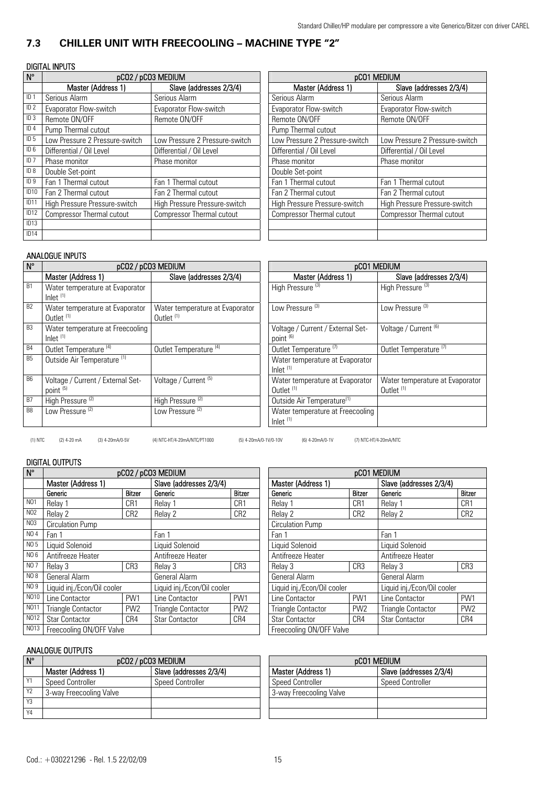## **7.3 CHILLER UNIT WITH FREECOOLING – MACHINE TYPE "2"**

## DIGITAL INPUTS

| $N^{\circ}$      |                                  | pCO2 / pCO3 MEDIUM               | <b>pCO1 MEDIUM</b>               |                                  |  |
|------------------|----------------------------------|----------------------------------|----------------------------------|----------------------------------|--|
|                  | Master (Address 1)               | Slave (addresses 2/3/4)          | Master (Address 1)               | Slave (addresses 2/3/4)          |  |
| $ID$ .           | Serious Alarm                    | Serious Alarm                    | Serious Alarm                    | Serious Alarm                    |  |
| ID <sub>2</sub>  | Evaporator Flow-switch           | Evaporator Flow-switch           | Evaporator Flow-switch           | Evaporator Flow-switch           |  |
| ID <sub>3</sub>  | Remote ON/OFF                    | Remote ON/OFF                    | Remote ON/OFF                    | Remote ON/OFF                    |  |
| ID <sub>4</sub>  | Pump Thermal cutout              |                                  | Pump Thermal cutout              |                                  |  |
| ID <sub>5</sub>  | Low Pressure 2 Pressure-switch   | Low Pressure 2 Pressure-switch   | Low Pressure 2 Pressure-switch   | Low Pressure 2 Pressure-switch   |  |
| ID 6             | Differential / Oil Level         | Differential / Oil Level         | Differential / Oil Level         | Differential / Oil Level         |  |
| ID <sub>7</sub>  | Phase monitor                    | Phase monitor                    | Phase monitor                    | Phase monitor                    |  |
| ID 8             | Double Set-point                 |                                  | Double Set-point                 |                                  |  |
| ID <sub>9</sub>  | Fan 1 Thermal cutout             | Fan 1 Thermal cutout             | Fan 1 Thermal cutout             | Fan 1 Thermal cutout             |  |
| ID <sub>10</sub> | Fan 2 Thermal cutout             | Fan 2 Thermal cutout             | Fan 2 Thermal cutout             | Fan 2 Thermal cutout             |  |
| ID <sub>11</sub> | High Pressure Pressure-switch    | High Pressure Pressure-switch    | High Pressure Pressure-switch    | High Pressure Pressure-switch    |  |
| ID <sub>12</sub> | <b>Compressor Thermal cutout</b> | <b>Compressor Thermal cutout</b> | <b>Compressor Thermal cutout</b> | <b>Compressor Thermal cutout</b> |  |
| ID13             |                                  |                                  |                                  |                                  |  |
| ID14             |                                  |                                  |                                  |                                  |  |

## ANALOGUE INPUTS

| $N^{\circ}$    | ,,,,,,,,,,,,,,,,,,,                                       | pCO2 / pCO3 MEDIUM                              | <b>pCO1 MEDIUM</b>                                                     |                                                          |  |  |  |
|----------------|-----------------------------------------------------------|-------------------------------------------------|------------------------------------------------------------------------|----------------------------------------------------------|--|--|--|
|                | Master (Address 1)                                        | Slave (addresses 2/3/4)                         | Master (Address 1)                                                     | Slave (addresses 2/3/4)                                  |  |  |  |
| <b>B1</b>      | Water temperature at Evaporator<br>Inlet $(1)$            |                                                 | High Pressure <sup>(3)</sup>                                           | High Pressure <sup>(3)</sup>                             |  |  |  |
| <b>B2</b>      | Water temperature at Evaporator<br>Outlet <sup>(1)</sup>  | Water temperature at Evaporator<br>Outlet $(1)$ | Low Pressure <sup>(3)</sup>                                            | Low Pressure <sup>(3)</sup>                              |  |  |  |
| <b>B3</b>      | Water temperature at Freecooling<br>Inlet $(1)$           |                                                 | Voltage / Current / External Set-<br>point <sup>(6)</sup>              | Voltage / Current <sup>(6)</sup>                         |  |  |  |
| <b>B4</b>      | Outlet Temperature <sup>(4)</sup>                         | Outlet Temperature <sup>(4)</sup>               | Outlet Temperature <sup>(7)</sup>                                      | Outlet Temperature <sup>(7)</sup>                        |  |  |  |
| <b>B5</b>      | Outside Air Temperature <sup>(1)</sup>                    |                                                 | Water temperature at Evaporator<br>$lnlet$ <sup><math>(1)</math></sup> |                                                          |  |  |  |
| <b>B6</b>      | Voltage / Current / External Set-<br>point <sup>(5)</sup> | Voltage / Current <sup>(5)</sup>                | Water temperature at Evaporator<br>Outlet <sup>(1)</sup>               | Water temperature at Evaporator<br>Outlet <sup>(1)</sup> |  |  |  |
| <b>B7</b>      | High Pressure <sup>(2)</sup>                              | High Pressure <sup>(2)</sup>                    | Outside Air Temperature <sup>(1)</sup>                                 |                                                          |  |  |  |
| B <sub>8</sub> | Low Pressure <sup>(2)</sup>                               | Low Pressure <sup>(2)</sup>                     | Water temperature at Freecooling<br>Inlet $(1)$                        |                                                          |  |  |  |

(1) NTC (2) 4-20 mA (3) 4-20mA/0-5V (4) NTC-HT/4-20mA/NTC/PT1000 (5) 4-20mA/0-1V/0-10V (6) 4-20mA/0-1V (7) NTC-HT/4-20mA/NTC

## DIGITAL OUTPUTS

| $N^{\circ}$      | pCO2 / pCO3 MEDIUM          |                 |                             |                 | pCO1 MEDIUM              |                                              |                 |                             |                 |
|------------------|-----------------------------|-----------------|-----------------------------|-----------------|--------------------------|----------------------------------------------|-----------------|-----------------------------|-----------------|
|                  | Master (Address 1)          |                 | Slave (addresses 2/3/4)     |                 |                          | Master (Address 1)                           |                 | Slave (addresses 2/3/4)     |                 |
|                  | Generic                     | <b>Bitzer</b>   | Generic                     | Bitzer          | Generic                  |                                              | <b>Bitzer</b>   | Generic                     | <b>Bitzer</b>   |
| N <sub>01</sub>  | Relay 1                     | CR1             | Relay 1                     | CR1             | Relay 1                  |                                              | CR1             | Relay 1                     | CR1             |
| N <sub>02</sub>  | Relay 2                     | CR <sub>2</sub> | Relay 2                     | CR <sub>2</sub> | Relay 2                  |                                              | CR <sub>2</sub> | Relay 2                     | CR <sub>2</sub> |
| N <sub>03</sub>  | Circulation Pump            |                 |                             |                 | Circulation Pump         |                                              |                 |                             |                 |
| NO 4             | Fan 1                       |                 | Fan 1                       | Fan 1           |                          |                                              | Fan 1           |                             |                 |
| NO 5             | Liquid Solenoid             |                 | Liquid Solenoid             |                 |                          | Liquid Solenoid                              |                 | Liquid Solenoid             |                 |
| N06              | Antifreeze Heater           |                 | Antifreeze Heater           |                 |                          | Antifreeze Heater                            |                 | Antifreeze Heater           |                 |
| NO 7             | Relay 3                     | CR3             | Relay 3                     | CR3             | Relay 3                  |                                              | CR3             | Relay 3                     | CR <sub>3</sub> |
| NO 8             | General Alarm               |                 | General Alarm               |                 | General Alarm            |                                              |                 | General Alarm               |                 |
| N09              | Liquid inj./Econ/Oil cooler |                 | Liquid inj./Econ/Oil cooler |                 |                          | Liquid inj./Econ/Oil cooler                  |                 | Liquid inj./Econ/Oil cooler |                 |
| NO10             | Line Contactor              | PW1             | Line Contactor              | PW1             | Line Contactor           |                                              | PW <sub>1</sub> | Line Contactor              | PW1             |
| N <sub>011</sub> | <b>Triangle Contactor</b>   | PW <sub>2</sub> | <b>Triangle Contactor</b>   | PW <sub>2</sub> |                          | PW <sub>2</sub><br><b>Triangle Contactor</b> |                 | <b>Triangle Contactor</b>   | PW <sub>2</sub> |
| NO12             | <b>Star Contactor</b>       | CR4             | <b>Star Contactor</b>       | CR4             |                          | Star Contactor<br>CR4                        |                 | <b>Star Contactor</b>       | CR4             |
| NO13             | Freecooling ON/OFF Valve    |                 |                             |                 | Freecooling ON/OFF Valve |                                              |                 |                             |                 |

| $N^{\circ}$ | pCO2 / pCO3 MEDIUM      |                         |  | <b>pCO1 MEDIUM</b>      |                         |  |
|-------------|-------------------------|-------------------------|--|-------------------------|-------------------------|--|
|             | Master (Address 1)      | Slave (addresses 2/3/4) |  | Master (Address 1)      | Slave (addresses 2/3/4) |  |
| Y1          | <b>Speed Controller</b> | Speed Controller        |  | <b>Speed Controller</b> | <b>Speed Controller</b> |  |
| <b>Y2</b>   | 3-way Freecooling Valve |                         |  | 3-way Freecooling Valve |                         |  |
| Y3          |                         |                         |  |                         |                         |  |
| <b>Y4</b>   |                         |                         |  |                         |                         |  |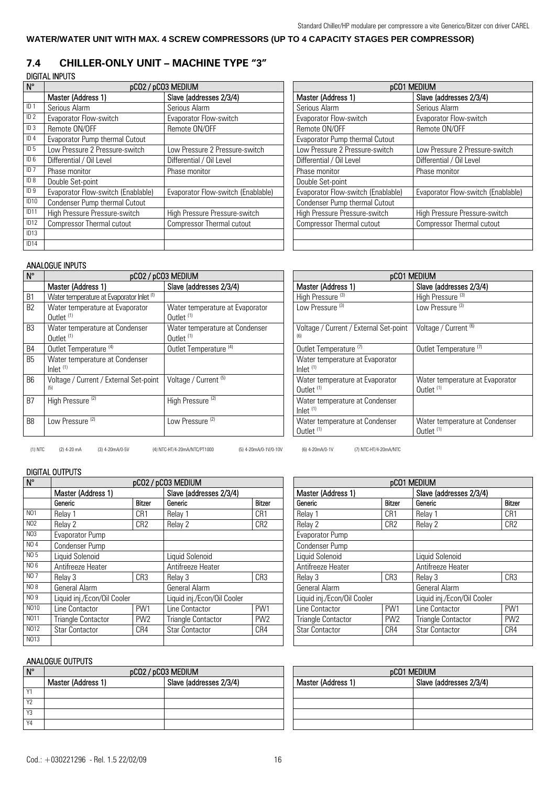## **WATER/WATER UNIT WITH MAX. 4 SCREW COMPRESSORS (UP TO 4 CAPACITY STAGES PER COMPRESSOR)**

## **7.4 CHILLER-ONLY UNIT – MACHINE TYPE "3"**

### DIGITAL INPUTS

| $N^{\circ}$      | pCO2 / pCO3 MEDIUM                 |                                    | pCO1 MEDIUM                        |                                    |  |  |
|------------------|------------------------------------|------------------------------------|------------------------------------|------------------------------------|--|--|
|                  | Master (Address 1)                 | Slave (addresses 2/3/4)            | Master (Address 1)                 | Slave (addresses 2/3/4)            |  |  |
| ID <sub>1</sub>  | Serious Alarm                      | Serious Alarm                      | Serious Alarm                      | Serious Alarm                      |  |  |
| ID <sub>2</sub>  | Evaporator Flow-switch             | Evaporator Flow-switch             | Evaporator Flow-switch             | Evaporator Flow-switch             |  |  |
| ID <sub>3</sub>  | Remote ON/OFF                      | Remote ON/OFF                      | Remote ON/OFF                      | Remote ON/OFF                      |  |  |
| ID <sub>4</sub>  | Evaporator Pump thermal Cutout     |                                    | Evaporator Pump thermal Cutout     |                                    |  |  |
| ID <sub>5</sub>  | Low Pressure 2 Pressure-switch     | Low Pressure 2 Pressure-switch     | Low Pressure 2 Pressure-switch     | Low Pressure 2 Pressure-switch     |  |  |
| ID <sub>6</sub>  | Differential / Oil Level           | Differential / Oil Level           | Differential / Oil Level           | Differential / Oil Level           |  |  |
| ID <sub>7</sub>  | Phase monitor                      | Phase monitor                      | Phase monitor                      | Phase monitor                      |  |  |
| ID 8             | Double Set-point                   |                                    | Double Set-point                   |                                    |  |  |
| ID <sub>9</sub>  | Evaporator Flow-switch (Enablable) | Evaporator Flow-switch (Enablable) | Evaporator Flow-switch (Enablable) | Evaporator Flow-switch (Enablable) |  |  |
| ID <sub>10</sub> | Condenser Pump thermal Cutout      |                                    | Condenser Pump thermal Cutout      |                                    |  |  |
| ID <sub>11</sub> | High Pressure Pressure-switch      | High Pressure Pressure-switch      | High Pressure Pressure-switch      | High Pressure Pressure-switch      |  |  |
| ID <sub>12</sub> | <b>Compressor Thermal cutout</b>   | <b>Compressor Thermal cutout</b>   | <b>Compressor Thermal cutout</b>   | <b>Compressor Thermal cutout</b>   |  |  |
| ID13             |                                    |                                    |                                    |                                    |  |  |
| ID14             |                                    |                                    |                                    |                                    |  |  |

| <b>pCO1 MEDIUM</b>                 |                                    |  |  |  |
|------------------------------------|------------------------------------|--|--|--|
| Master (Address 1)                 | Slave (addresses 2/3/4)            |  |  |  |
| Serious Alarm                      | Serious Alarm                      |  |  |  |
| Evaporator Flow-switch             | Evaporator Flow-switch             |  |  |  |
| Remote ON/OFF                      | Remote ON/OFF                      |  |  |  |
| Evaporator Pump thermal Cutout     |                                    |  |  |  |
| Low Pressure 2 Pressure-switch     | Low Pressure 2 Pressure-switch     |  |  |  |
| Differential / Oil Level           | Differential / Oil Level           |  |  |  |
| Phase monitor                      | Phase monitor                      |  |  |  |
| Double Set-point                   |                                    |  |  |  |
| Evaporator Flow-switch (Enablable) | Evaporator Flow-switch (Enablable) |  |  |  |
| Condenser Pump thermal Cutout      |                                    |  |  |  |
| High Pressure Pressure-switch      | High Pressure Pressure-switch      |  |  |  |
| <b>Compressor Thermal cutout</b>   | <b>Compressor Thermal cutout</b>   |  |  |  |
|                                    |                                    |  |  |  |
|                                    |                                    |  |  |  |

### ANALOGUE INPUTS

| $\mathsf{N}^\circ$ |                                                                       | pCO2 / pCO3 MEDIUM                                      | pCO1 MEDIUM |                                                                        |                                                  |
|--------------------|-----------------------------------------------------------------------|---------------------------------------------------------|-------------|------------------------------------------------------------------------|--------------------------------------------------|
|                    | Master (Address 1)                                                    | Slave (addresses 2/3/4)                                 |             | Master (Address 1)                                                     | Slave (addresses 2/3/4)                          |
| B <sub>1</sub>     | Water temperature at Evaporator Inlet <sup>(1)</sup>                  |                                                         |             | High Pressure <sup>(3)</sup>                                           | High Pressure <sup>(3)</sup>                     |
| B <sub>2</sub>     | Water temperature at Evaporator<br>Outlet $(1)$                       | Water temperature at Evaporator<br>Outlet $(1)$         |             | Low Pressure <sup>(3)</sup>                                            | Low Pressure <sup>(3)</sup>                      |
| B <sub>3</sub>     | Water temperature at Condenser<br>Outlet <sup>(1)</sup>               | Water temperature at Condenser<br>Outlet <sup>(1)</sup> |             | Voltage / Current / External Set-point<br>(6)                          | Voltage / Current <sup>(6)</sup>                 |
| B4                 | Outlet Temperature <sup>(4)</sup>                                     | Outlet Temperature <sup>(4)</sup>                       |             | Outlet Temperature <sup>(7)</sup>                                      | Outlet Temperature <sup>(7)</sup>                |
| <b>B5</b>          | Water temperature at Condenser<br>$lnlet$ <sup><math>(1)</math></sup> |                                                         |             | Water temperature at Evaporator<br>$lnlet$ <sup><math>(1)</math></sup> |                                                  |
| <b>B6</b>          | Voltage / Current / External Set-point<br>(5)                         | Voltage / Current <sup>(5)</sup>                        |             | Water temperature at Evaporator<br>Outlet <sup>(1)</sup>               | Water temperature at Ey<br>Outlet <sup>(1)</sup> |
| B7                 | High Pressure <sup>(2)</sup>                                          | High Pressure <sup>(2)</sup>                            |             | Water temperature at Condenser<br>$lnlet$ <sup><math>(1)</math></sup>  |                                                  |
| B <sub>8</sub>     | Low Pressure <sup>(2)</sup>                                           | Low Pressure <sup>(2)</sup>                             |             | Water temperature at Condenser<br>Outlet <sup>(1)</sup>                | Water temperature at Co<br>Outlet <sup>(1)</sup> |

| pCO1 MEDIUM                                              |                                                          |  |  |  |  |
|----------------------------------------------------------|----------------------------------------------------------|--|--|--|--|
| Master (Address 1)                                       | Slave (addresses 2/3/4)                                  |  |  |  |  |
| High Pressure <sup>(3)</sup>                             | High Pressure <sup>(3)</sup>                             |  |  |  |  |
| Low Pressure <sup>(3)</sup>                              | Low Pressure <sup>(3)</sup>                              |  |  |  |  |
| Voltage / Current / External Set-point<br>(6)            | Voltage / Current <sup>(6)</sup>                         |  |  |  |  |
| Outlet Temperature <sup>(7)</sup>                        | Outlet Temperature <sup>(7)</sup>                        |  |  |  |  |
| Water temperature at Evaporator<br>$lnlet$ $(1)$         |                                                          |  |  |  |  |
| Water temperature at Evaporator<br>Outlet <sup>(1)</sup> | Water temperature at Evaporator<br>Outlet <sup>(1)</sup> |  |  |  |  |
| Water temperature at Condenser<br>Inlet $(1)$            |                                                          |  |  |  |  |
| Water temperature at Condenser<br>Outlet <sup>(1)</sup>  | Water temperature at Condenser<br>Outlet <sup>(1)</sup>  |  |  |  |  |

(1) NTC (2) 4-20 mA (3) 4-20mA/0-5V (4) NTC-HT/4-20mA/NTC/PT1000 (5) 4-20mA/0-1V/0-10V (6) 4-20mA/0-1V (7) NTC-HT/4-20mA/NTC

## DIGITAL OUTPUTS

| $N^{\circ}$     | pCO2 / pCO3 MEDIUM          |                 |                             |                 | pCO1 MEDIUM                 |                 |                             |                 |
|-----------------|-----------------------------|-----------------|-----------------------------|-----------------|-----------------------------|-----------------|-----------------------------|-----------------|
|                 | Master (Address 1)          |                 | Slave (addresses 2/3/4)     |                 | Master (Address 1)          |                 | Slave (addresses 2/3/4)     |                 |
|                 | Generic                     | <b>Bitzer</b>   | Generic                     | <b>Bitzer</b>   | Generic                     | <b>Bitzer</b>   | Generic                     | <b>Bitzer</b>   |
| N <sub>01</sub> | Relay 1                     | CR1             | Relay 1                     | CR <sub>1</sub> | Relay 1                     | CR1             | Relay 1                     | CR <sub>1</sub> |
| N <sub>02</sub> | Relay 2                     | CR <sub>2</sub> | Relay 2                     | CR <sub>2</sub> | Relay 2                     | CR <sub>2</sub> | Relay 2                     | CR <sub>2</sub> |
| N03             | Evaporator Pump             |                 |                             |                 | Evaporator Pump             |                 |                             |                 |
| NO 4            | Condenser Pump              |                 |                             |                 | Condenser Pump              |                 |                             |                 |
| NO 5            | Liquid Solenoid             |                 | Liauid Solenoid             |                 | Liquid Solenoid             |                 | Liquid Solenoid             |                 |
| NO 6            | Antifreeze Heater           |                 | Antifreeze Heater           |                 | Antifreeze Heater           |                 | Antifreeze Heater           |                 |
| <b>NO7</b>      | Relay 3                     | CR3             | Relay 3                     | CR <sub>3</sub> | Relay 3                     | CR <sub>3</sub> | Relay 3                     | CR3             |
| NO 8            | General Alarm               |                 | General Alarm               |                 | General Alarm               |                 | <b>General Alarm</b>        |                 |
| NO 9            | Liquid inj./Econ/Oil Cooler |                 | Liquid inj./Econ/Oil Cooler |                 | Liquid inj./Econ/Oil Cooler |                 | Liquid inj./Econ/Oil Cooler |                 |
| N010            | Line Contactor              | PW1             | Line Contactor              | PW1             | Line Contactor              | PW1             | Line Contactor              | PW1             |
| N011            | <b>Triangle Contactor</b>   | PW <sub>2</sub> | Triangle Contactor          | PW <sub>2</sub> | <b>Triangle Contactor</b>   | PW <sub>2</sub> | <b>Triangle Contactor</b>   | PW <sub>2</sub> |
| N012            | <b>Star Contactor</b>       | CR4             | <b>Star Contactor</b>       | CR4             | <b>Star Contactor</b>       | CR4             | <b>Star Contactor</b>       | CR4             |
| N013            |                             |                 |                             |                 |                             |                 |                             |                 |

# Master (Address 1) Slave (addresses 2/3/4) Evaporator Pump Condenser Pump Liquid Solenoid<br>
Antifreeze Heater<br>
Antifreeze Heater<br>
Antifreeze Heater Antifreeze Heater Antifree<br>
Relay 3 CR3 Relay 3 No 9 Liquid inj./Econ/Oil Cooler Liquid inj./Econ/Oil Cooler Line Contactor PW1 Line Contactor Triangle Contactor PW2 Triangle Contactor PW2<br>
Star Contactor CR4 Star Contactor CR4

| $N^{\circ}$    | pCO2 / pCO3 MEDIUM |                         |  | pCO1 MEDIUM        |                         |  |
|----------------|--------------------|-------------------------|--|--------------------|-------------------------|--|
|                | Master (Address 1) | Slave (addresses 2/3/4) |  | Master (Address 1) | Slave (addresses 2/3/4) |  |
| $\sqrt{4}$     |                    |                         |  |                    |                         |  |
| Y <sub>2</sub> |                    |                         |  |                    |                         |  |
| Y3             |                    |                         |  |                    |                         |  |
| Y4             |                    |                         |  |                    |                         |  |

| pCO1 MEDIUM        |                         |  |  |  |  |
|--------------------|-------------------------|--|--|--|--|
| Master (Address 1) | Slave (addresses 2/3/4) |  |  |  |  |
|                    |                         |  |  |  |  |
|                    |                         |  |  |  |  |
|                    |                         |  |  |  |  |
|                    |                         |  |  |  |  |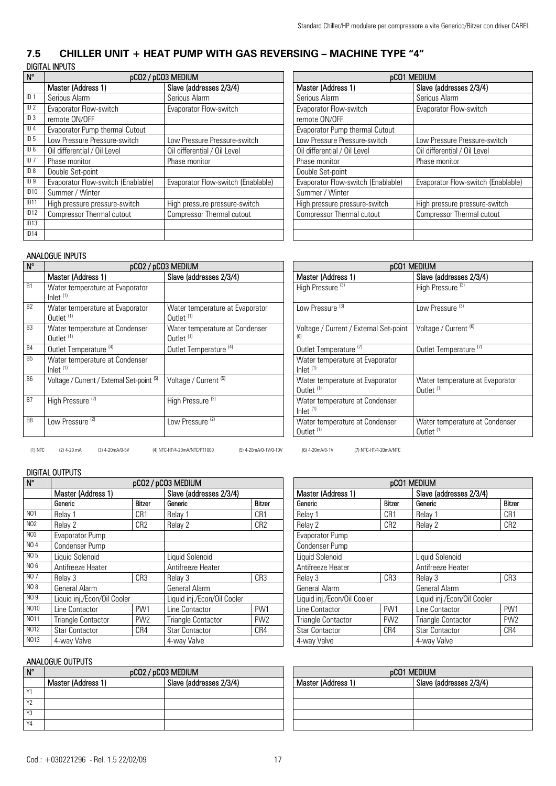## **7.5 CHILLER UNIT + HEAT PUMP WITH GAS REVERSING – MACHINE TYPE "4"**  DIGITAL INPUTS

| $\mathsf{N}^\circ$ | pCO2 / pCO3 MEDIUM                 |                                    | <b>pCO1 MEDIUM</b>                 |                                    |  |
|--------------------|------------------------------------|------------------------------------|------------------------------------|------------------------------------|--|
|                    | Master (Address 1)                 | Slave (addresses 2/3/4)            | Master (Address 1)                 | Slave (addresses 2/3/4)            |  |
| ID <sub>1</sub>    | Serious Alarm                      | Serious Alarm                      | Serious Alarm                      | Serious Alarm                      |  |
| ID2                | Evaporator Flow-switch             | Evaporator Flow-switch             | Evaporator Flow-switch             | Evaporator Flow-switch             |  |
| ID <sub>3</sub>    | remote ON/OFF                      |                                    | remote ON/OFF                      |                                    |  |
| ID4                | Evaporator Pump thermal Cutout     |                                    | Evaporator Pump thermal Cutout     |                                    |  |
| ID <sub>5</sub>    | Low Pressure Pressure-switch       | Low Pressure Pressure-switch       | Low Pressure Pressure-switch       | Low Pressure Pressure-switch       |  |
| ID <sub>6</sub>    | Oil differential / Oil Level       | Oil differential / Oil Level       | Oil differential / Oil Level       | Oil differential / Oil Level       |  |
| ID7                | Phase monitor                      | Phase monitor                      | Phase monitor                      | Phase monitor                      |  |
| ID 8               | Double Set-point                   |                                    | Double Set-point                   |                                    |  |
| ID <sub>9</sub>    | Evaporator Flow-switch (Enablable) | Evaporator Flow-switch (Enablable) | Evaporator Flow-switch (Enablable) | Evaporator Flow-switch (Enablable) |  |
| ID <sub>10</sub>   | Summer / Winter                    |                                    | Summer / Winter                    |                                    |  |
| ID11               | High pressure pressure-switch      | High pressure pressure-switch      | High pressure pressure-switch      | High pressure pressure-switch      |  |
| ID <sub>12</sub>   | <b>Compressor Thermal cutout</b>   | <b>Compressor Thermal cutout</b>   | <b>Compressor Thermal cutout</b>   | <b>Compressor Thermal cutout</b>   |  |
| ID13               |                                    |                                    |                                    |                                    |  |
| ID14               |                                    |                                    |                                    |                                    |  |

| pCO1 MEDIUM                        |                                    |  |  |  |
|------------------------------------|------------------------------------|--|--|--|
| Master (Address 1)                 | Slave (addresses 2/3/4)            |  |  |  |
| Serious Alarm                      | Serious Alarm                      |  |  |  |
| Evaporator Flow-switch             | Evaporator Flow-switch             |  |  |  |
| remote ON/OFF                      |                                    |  |  |  |
| Evaporator Pump thermal Cutout     |                                    |  |  |  |
| Low Pressure Pressure-switch       | Low Pressure Pressure-switch       |  |  |  |
| Oil differential / Oil Level       | Oil differential / Oil Level       |  |  |  |
| Phase monitor                      | Phase monitor                      |  |  |  |
| Double Set-point                   |                                    |  |  |  |
| Evaporator Flow-switch (Enablable) | Evaporator Flow-switch (Enablable) |  |  |  |
| Summer / Winter                    |                                    |  |  |  |
| High pressure pressure-switch      | High pressure pressure-switch      |  |  |  |
| <b>Compressor Thermal cutout</b>   | <b>Compressor Thermal cutout</b>   |  |  |  |
|                                    |                                    |  |  |  |
|                                    |                                    |  |  |  |

## ANALOGUE INPUTS

| $N^{\circ}$    |                                                                        | pCO2 / pCO3 MEDIUM                                       | <b>pCO1 MEDIUM</b>                                       |                                                  |  |  |
|----------------|------------------------------------------------------------------------|----------------------------------------------------------|----------------------------------------------------------|--------------------------------------------------|--|--|
|                | Master (Address 1)                                                     | Slave (addresses 2/3/4)                                  | Master (Address 1)                                       | Slave (addresses 2/3/4)                          |  |  |
| B1             | Water temperature at Evaporator<br>$lnlet$ <sup><math>(1)</math></sup> |                                                          | High Pressure <sup>(3)</sup>                             | High Pressure <sup>(3)</sup>                     |  |  |
| B2             | Water temperature at Evaporator<br>Outlet <sup>(1)</sup>               | Water temperature at Evaporator<br>Outlet <sup>(1)</sup> | Low Pressure <sup>(3)</sup>                              | Low Pressure <sup>(3)</sup>                      |  |  |
| B3             | Water temperature at Condenser<br>Outlet <sup>(1)</sup>                | Water temperature at Condenser<br>Outlet <sup>(1)</sup>  | Voltage / Current / External Set-point<br>(6)            | Voltage / Current <sup>(6)</sup>                 |  |  |
| <b>B4</b>      | Outlet Temperature <sup>(4)</sup>                                      | Outlet Temperature <sup>(4)</sup>                        | Outlet Temperature <sup>(7)</sup>                        | Outlet Temperature <sup>(7)</sup>                |  |  |
| <b>B5</b>      | Water temperature at Condenser<br>$lnlet$ $(1)$                        |                                                          | Water temperature at Evaporator<br>Inlet $(1)$           |                                                  |  |  |
| B <sub>6</sub> | Voltage / Current / External Set-point (5)                             | Voltage / Current <sup>(5)</sup>                         | Water temperature at Evaporator<br>Outlet <sup>(1)</sup> | Water temperature at Ev<br>Outlet <sup>(1)</sup> |  |  |
| <b>B7</b>      | High Pressure <sup>(2)</sup>                                           | High Pressure <sup>(2)</sup>                             | Water temperature at Condenser<br>Inlet $(1)$            |                                                  |  |  |
| B <sub>8</sub> | Low Pressure <sup>(2)</sup>                                            | Low Pressure <sup>(2)</sup>                              | Water temperature at Condenser<br>Outlet <sup>(1)</sup>  | Water temperature at Co<br>Outlet <sup>(1)</sup> |  |  |
|                |                                                                        |                                                          |                                                          |                                                  |  |  |

| ) medium                                                 | <b>pCO1 MEDIUM</b>                                      |                                                          |  |  |  |  |  |
|----------------------------------------------------------|---------------------------------------------------------|----------------------------------------------------------|--|--|--|--|--|
| Slave (addresses 2/3/4)                                  | Master (Address 1)                                      | Slave (addresses 2/3/4)                                  |  |  |  |  |  |
|                                                          | High Pressure <sup>(3)</sup>                            | High Pressure <sup>(3)</sup>                             |  |  |  |  |  |
| Water temperature at Evaporator<br>Outlet <sup>(1)</sup> | Low Pressure <sup>(3)</sup>                             | Low Pressure <sup>(3)</sup>                              |  |  |  |  |  |
| Water temperature at Condenser<br>Outlet <sup>(1)</sup>  | Voltage / Current / External Set-point<br>(6)           | Voltage / Current <sup>(6)</sup>                         |  |  |  |  |  |
| Outlet Temperature <sup>(4)</sup>                        | Outlet Temperature <sup>(7)</sup>                       | Outlet Temperature <sup>(7)</sup>                        |  |  |  |  |  |
|                                                          | Water temperature at Evaporator<br>Inlet $(1)$          |                                                          |  |  |  |  |  |
| Voltage / Current <sup>(5)</sup>                         | Water temperature at Evaporator<br>Outlet $(1)$         | Water temperature at Evaporator<br>Outlet <sup>(1)</sup> |  |  |  |  |  |
| High Pressure <sup>(2)</sup>                             | Water temperature at Condenser<br>Inlet $(1)$           |                                                          |  |  |  |  |  |
| Low Pressure (2)                                         | Water temperature at Condenser<br>Outlet <sup>(1)</sup> | Water temperature at Condenser<br>Outlet <sup>(1)</sup>  |  |  |  |  |  |

(1) NTC (2) 4-20 mA (3) 4-20mA/0-5V (4) NTC-HT/4-20mA/NTC/PT1000 (5) 4-20mA/0-1V/0-10V (6) 4-20mA/0-1V (7) NTC-HT/4-20mA/NTC

## DIGITAL OUTPUTS

| $N^{\circ}$      | pCO2 / pCO3 MEDIUM          |                 |                             |                         |  |                             | pCO1 MEDIUM     |                             |                         |  |
|------------------|-----------------------------|-----------------|-----------------------------|-------------------------|--|-----------------------------|-----------------|-----------------------------|-------------------------|--|
|                  | Master (Address 1)          |                 |                             | Slave (addresses 2/3/4) |  | Master (Address 1)          |                 |                             | Slave (addresses 2/3/4) |  |
|                  | Generic                     | <b>Bitzer</b>   | Generic                     | <b>Bitzer</b>           |  | Generic                     | <b>Bitzer</b>   | Generic                     | <b>Bitzer</b>           |  |
| N <sub>01</sub>  | Relav 1                     | CR <sub>1</sub> | Relav 1                     | CR1                     |  | Relav 1                     | CR1             | Relav 1                     | CR1                     |  |
| N <sub>02</sub>  | Relav 2                     | CR <sub>2</sub> | Relay 2                     | CR <sub>2</sub>         |  | Relav 2                     | CR2             | Relav 2                     | CR2                     |  |
| N <sub>0</sub> 3 | Evaporator Pump             |                 |                             |                         |  | Evaporator Pump             |                 |                             |                         |  |
| NO 4             | Condenser Pump              |                 |                             |                         |  | Condenser Pump              |                 |                             |                         |  |
| NO 5             | Liquid Solenoid             |                 | Liquid Solenoid             |                         |  | Liquid Solenoid             |                 | Liquid Solenoid             |                         |  |
| NO 6             | Antifreeze Heater           |                 | Antifreeze Heater           |                         |  | Antifreeze Heater           |                 | Antifreeze Heater           |                         |  |
| NO 7             | Relay 3                     | CR <sub>3</sub> | Relay 3                     | CR <sub>3</sub>         |  | Relay 3                     | CR <sub>3</sub> | Relay 3                     | CR3                     |  |
| NO 8             | General Alarm               |                 | General Alarm               |                         |  | General Alarm               |                 | General Alarm               |                         |  |
| NO 9             | Liquid inj./Econ/Oil Cooler |                 | Liquid inj./Econ/Oil Cooler |                         |  | Liquid inj./Econ/Oil Cooler |                 | Liquid inj./Econ/Oil Cooler |                         |  |
| NO10             | Line Contactor              | PW1             | Line Contactor              | PW1                     |  | Line Contactor              | PW1             | Line Contactor              | PW1                     |  |
| N011             | <b>Triangle Contactor</b>   | PW <sub>2</sub> | <b>Triangle Contactor</b>   | PW <sub>2</sub>         |  | <b>Triangle Contactor</b>   | PW <sub>2</sub> | <b>Triangle Contactor</b>   | PW <sub>2</sub>         |  |
| NO12             | <b>Star Contactor</b>       | CR4             | <b>Star Contactor</b>       | CR4                     |  | <b>Star Contactor</b>       | CR4             | <b>Star Contactor</b>       | CR4                     |  |
| NO13             | 4-way Valve                 |                 | 4-way Valve                 |                         |  | 4-way Valve                 |                 | 4-way Valve                 |                         |  |

## Master (Address 1) Slave (addresses 2/3/4) Evaporator Pump Condenser Pump NO 5 Liquid Solenoid Liquid Solenoid Liquid Solenoid Liquid Solenoid Antifreeze Heater Antifreeze Heater General Alarm General Alarm General Alarm General Alarm General Alarm General Alarm General Alarm General Alarm General Alarm General Alarm General Alarm General Alarm General Alarm General Alarm General Alarm General Alar Liquid inj./Econ/Oil Cooler Liquid inj./Econ/Oil Cooler Line Contactor Line Contactor Triangle Contactor PW2 Triangle Contactor PW2<br>
Star Contactor CR4 Star Contactor CR4

| $N^{\circ}$    | pCO2 / pCO3 MEDIUM |                         |  | <b>pCO1 MEDIUM</b> |                         |
|----------------|--------------------|-------------------------|--|--------------------|-------------------------|
|                | Master (Address 1) | Slave (addresses 2/3/4) |  | Master (Address 1) | Slave (addresses 2/3/4) |
|                |                    |                         |  |                    |                         |
| Y <sub>2</sub> |                    |                         |  |                    |                         |
| Y3             |                    |                         |  |                    |                         |
| Y4             |                    |                         |  |                    |                         |

|                    | pCO1 MEDIUM |                         |  |  |  |
|--------------------|-------------|-------------------------|--|--|--|
| Master (Address 1) |             | Slave (addresses 2/3/4) |  |  |  |
|                    |             |                         |  |  |  |
|                    |             |                         |  |  |  |
|                    |             |                         |  |  |  |
|                    |             |                         |  |  |  |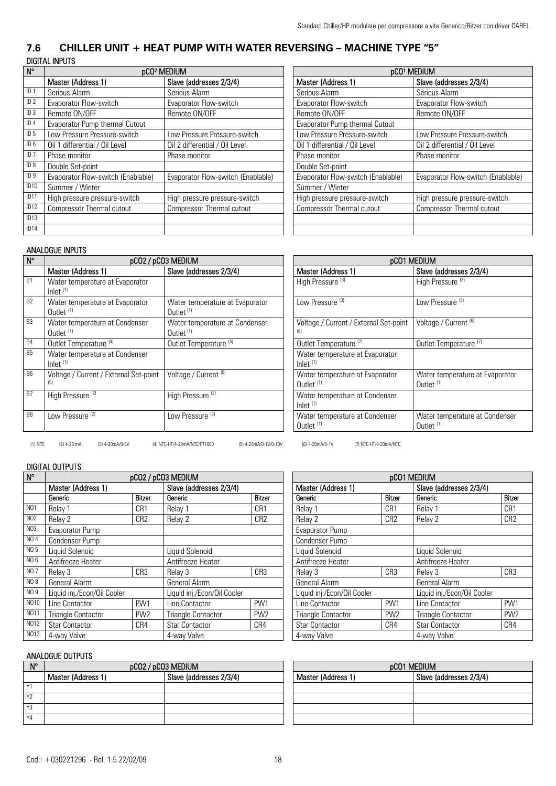## **7.6 CHILLER UNIT + HEAT PUMP WITH WATER REVERSING – MACHINE TYPE "5"**  DIGITAL INPUTS

| $N^{\circ}$        | pCO <sup>2</sup> MEDIUM            |                                    | <b>pCO<sup>1</sup> MEDIUM</b>      |                                    |  |
|--------------------|------------------------------------|------------------------------------|------------------------------------|------------------------------------|--|
|                    | Master (Address 1)                 | Slave (addresses 2/3/4)            | Master (Address 1)                 | Slave (addresses 2/3/4)            |  |
| ID <sub>1</sub>    | Serious Alarm                      | Serious Alarm                      | Serious Alarm                      | Serious Alarm                      |  |
| ID <sub>2</sub>    | Evaporator Flow-switch             | Evaporator Flow-switch             | Evaporator Flow-switch             | Evaporator Flow-switch             |  |
| ID <sub>3</sub>    | Remote ON/OFF                      | Remote ON/OFF                      | Remote ON/OFF                      | Remote ON/OFF                      |  |
| ID4                | Evaporator Pump thermal Cutout     |                                    | Evaporator Pump thermal Cutout     |                                    |  |
| ID <sub>5</sub>    | Low Pressure Pressure-switch       | Low Pressure Pressure-switch       | Low Pressure Pressure-switch       | Low Pressure Pressure-switch       |  |
| ID <sub>6</sub>    | Oil 1 differential / Oil Level     | Oil 2 differential / Oil Level     | Oil 1 differential / Oil Level     | Oil 2 differential / Oil Level     |  |
| $\overline{1}$ D 7 | Phase monitor                      | Phase monitor                      | Phase monitor                      | Phase monitor                      |  |
| ID 8               | Double Set-point                   |                                    | Double Set-point                   |                                    |  |
| ID <sub>9</sub>    | Evaporator Flow-switch (Enablable) | Evaporator Flow-switch (Enablable) | Evaporator Flow-switch (Enablable) | Evaporator Flow-switch (Enablable) |  |
| ID <sub>10</sub>   | Summer / Winter                    |                                    | Summer / Winter                    |                                    |  |
| ID <sub>11</sub>   | High pressure pressure-switch      | High pressure pressure-switch      | High pressure pressure-switch      | High pressure pressure-switch      |  |
| ID <sub>12</sub>   | <b>Compressor Thermal cutout</b>   | <b>Compressor Thermal cutout</b>   | Compressor Thermal cutout          | <b>Compressor Thermal cutout</b>   |  |
| ID13               |                                    |                                    |                                    |                                    |  |
| ID14               |                                    |                                    |                                    |                                    |  |

| pCO <sup>1</sup> MEDIUM            |                                    |  |  |  |
|------------------------------------|------------------------------------|--|--|--|
| Master (Address 1)                 | Slave (addresses 2/3/4)            |  |  |  |
| Serious Alarm                      | Serious Alarm                      |  |  |  |
| Evaporator Flow-switch             | Evaporator Flow-switch             |  |  |  |
| Remote ON/OFF                      | Remote ON/OFF                      |  |  |  |
| Evaporator Pump thermal Cutout     |                                    |  |  |  |
| Low Pressure Pressure-switch       | Low Pressure Pressure-switch       |  |  |  |
| Oil 1 differential / Oil Level     | Oil 2 differential / Oil Level     |  |  |  |
| Phase monitor                      | Phase monitor                      |  |  |  |
| Double Set-point                   |                                    |  |  |  |
| Evaporator Flow-switch (Enablable) | Evaporator Flow-switch (Enablable) |  |  |  |
| Summer / Winter                    |                                    |  |  |  |
| High pressure pressure-switch      | High pressure pressure-switch      |  |  |  |
| <b>Compressor Thermal cutout</b>   | <b>Compressor Thermal cutout</b>   |  |  |  |
|                                    |                                    |  |  |  |
|                                    |                                    |  |  |  |

## ANALOGUE INPUTS

| $\overline{\mathsf{N}^{\circ}}$ | pCO2 / pCO3 MEDIUM                                                     |                                                          |                                     |                                        | pCO1 MEDIUM                                      |
|---------------------------------|------------------------------------------------------------------------|----------------------------------------------------------|-------------------------------------|----------------------------------------|--------------------------------------------------|
|                                 | Master (Address 1)                                                     | Slave (addresses 2/3/4)                                  | Master (Address 1)                  |                                        | Slave (addresses 2/3/4)                          |
| <b>B1</b>                       | Water temperature at Evaporator<br>$lnlet$ <sup><math>(1)</math></sup> |                                                          | High Pressure <sup>(3)</sup>        |                                        | High Pressure <sup>(3)</sup>                     |
| <b>B2</b>                       | Water temperature at Evaporator<br>Outlet $(1)$                        | Water temperature at Evaporator<br>Outlet <sup>(1)</sup> | Low Pressure <sup>(3)</sup>         |                                        | Low Pressure <sup>(3)</sup>                      |
| <b>B3</b>                       | Water temperature at Condenser<br>Outlet $(1)$                         | Water temperature at Condenser<br>Outlet <sup>(1)</sup>  | (6)                                 | Voltage / Current / External Set-point | Voltage / Current <sup>(6)</sup>                 |
| <b>B4</b>                       | Outlet Temperature <sup>(4)</sup>                                      | Outlet Temperature <sup>(4)</sup>                        | Outlet Temperature <sup>(7)</sup>   |                                        | Outlet Temperature <sup>(7)</sup>                |
| B5                              | Water temperature at Condenser<br>$lnlet$ <sup><math>(1)</math></sup>  |                                                          | $lnlet$ <sup><math>(1)</math></sup> | Water temperature at Evaporator        |                                                  |
| <b>B6</b>                       | Voltage / Current / External Set-point<br>(5)                          | Voltage / Current <sup>(5)</sup>                         | Outlet <sup>(1)</sup>               | Water temperature at Evaporator        | Water temperature at Ey<br>Outlet <sup>(1)</sup> |
| <b>B7</b>                       | High Pressure <sup>(2)</sup>                                           | High Pressure <sup>(2)</sup>                             | $lnlet$ <sup><math>(1)</math></sup> | Water temperature at Condenser         |                                                  |
| B <sub>8</sub>                  | Low Pressure <sup>(2)</sup>                                            | Low Pressure <sup>(2)</sup>                              | Outlet <sup>(1)</sup>               | Water temperature at Condenser         | Water temperature at Co<br>Outlet <sup>(1)</sup> |

| <b>MEDIUM</b>                                            | pCO1 MEDIUM                                              |                                                          |  |  |  |  |  |
|----------------------------------------------------------|----------------------------------------------------------|----------------------------------------------------------|--|--|--|--|--|
| Slave (addresses 2/3/4)                                  | Master (Address 1)                                       | Slave (addresses 2/3/4)                                  |  |  |  |  |  |
|                                                          | High Pressure <sup>(3)</sup>                             | High Pressure <sup>(3)</sup>                             |  |  |  |  |  |
| Water temperature at Evaporator<br>Outlet <sup>(1)</sup> | Low Pressure (3)                                         | Low Pressure (3)                                         |  |  |  |  |  |
| Water temperature at Condenser<br>Outlet <sup>(1)</sup>  | Voltage / Current / External Set-point<br>(6)            | Voltage / Current <sup>(6)</sup>                         |  |  |  |  |  |
| Outlet Temperature <sup>(4)</sup>                        | Outlet Temperature <sup>(7)</sup>                        | Outlet Temperature <sup>(7)</sup>                        |  |  |  |  |  |
|                                                          | Water temperature at Evaporator<br>Inlet $(1)$           |                                                          |  |  |  |  |  |
| Voltage / Current <sup>(5)</sup>                         | Water temperature at Evaporator<br>Outlet <sup>(1)</sup> | Water temperature at Evaporator<br>Outlet <sup>(1)</sup> |  |  |  |  |  |
| High Pressure <sup>(2)</sup>                             | Water temperature at Condenser<br>Inlet $(1)$            |                                                          |  |  |  |  |  |
| Low Pressure <sup>(2)</sup>                              | Water temperature at Condenser<br>Outlet <sup>(1)</sup>  | Water temperature at Condenser<br>Outlet <sup>(1)</sup>  |  |  |  |  |  |

(1) NTC (2) 4-20 mA (3) 4-20mA/0-5V (4) NTC-HT/4-20mA/NTC/PT1000 (5) 4-20mA/0-1V/0-10V (6) 4-20mA/0-1V (7) NTC-HT/4-20mA/NTC

## DIGITAL OUTPUTS

| $N^{\circ}$      | pCO2 / pCO3 MEDIUM          |                 |                             |                 | pCO1 MEDIUM |                             |                 |                             |                         |  |
|------------------|-----------------------------|-----------------|-----------------------------|-----------------|-------------|-----------------------------|-----------------|-----------------------------|-------------------------|--|
|                  | Master (Address 1)          |                 | Slave (addresses 2/3/4)     |                 |             | Master (Address 1)          |                 |                             | Slave (addresses 2/3/4) |  |
|                  | Generic                     | <b>Bitzer</b>   | Generic                     | <b>Bitzer</b>   |             | Generic                     | <b>Bitzer</b>   | Generic                     | <b>Bitzer</b>           |  |
| N <sub>0</sub> 1 | Relay 1                     | CR1             | Relay 1                     | CR1             |             | Relay 1                     | CR1             | Relay 1                     | CR1                     |  |
| N02              | Relay 2                     | CR <sub>2</sub> | Relay 2                     | CR <sub>2</sub> |             | Relav <sub>2</sub>          | CR <sub>2</sub> | Relay 2                     | CR2                     |  |
| N <sub>03</sub>  | Evaporator Pump             |                 |                             |                 |             | Evaporator Pump             |                 |                             |                         |  |
| NO 4             | Condenser Pump              |                 |                             |                 |             | Condenser Pump              |                 |                             |                         |  |
| NO 5             | Liquid Solenoid             |                 | Liquid Solenoid             |                 |             | Liauid Solenoid             |                 | Liquid Solenoid             |                         |  |
| NO 6             | Antifreeze Heater           |                 | Antifreeze Heater           |                 |             | Antifreeze Heater           |                 | Antifreeze Heater           |                         |  |
| <b>NO7</b>       | Relay 3                     | CR3             | Relay 3                     | CR <sub>3</sub> |             | Relay 3                     | CR <sub>3</sub> | Relay 3                     | CR3                     |  |
| NO 8             | General Alarm               |                 | General Alarm               |                 |             | General Alarm               |                 | General Alarm               |                         |  |
| NO 9             | Liquid inj./Econ/Oil Cooler |                 | Liquid inj./Econ/Oil Cooler |                 |             | Liquid inj./Econ/Oil Cooler |                 | Liquid inj./Econ/Oil Cooler |                         |  |
| N010             | Line Contactor              | PW <sub>1</sub> | Line Contactor              | PW1             |             | Line Contactor              | PW1             | Line Contactor              | PW1                     |  |
| N011             | <b>Triangle Contactor</b>   | PW <sub>2</sub> | <b>Triangle Contactor</b>   | PW <sub>2</sub> |             | Triangle Contactor          | PW <sub>2</sub> | <b>Triangle Contactor</b>   | PW <sub>2</sub>         |  |
| NO12             | <b>Star Contactor</b>       | CR4             | <b>Star Contactor</b>       | CR4             |             | <b>Star Contactor</b>       | CR4             | <b>Star Contactor</b>       | CR4                     |  |
| N013             | 4-way Valve                 |                 | 4-way Valve                 |                 |             | 4-way Valve                 |                 | 4-way Valve                 |                         |  |

| $N^{\circ}$    |                    | pCO2 / pCO3 MEDIUM      | pCO1 MEDIUM        |                         |  |
|----------------|--------------------|-------------------------|--------------------|-------------------------|--|
|                | Master (Address 1) | Slave (addresses 2/3/4) | Master (Address 1) | Slave (addresses 2/3/4) |  |
| Y1             |                    |                         |                    |                         |  |
| Y <sub>2</sub> |                    |                         |                    |                         |  |
| Y3             |                    |                         |                    |                         |  |
| Y4             |                    |                         |                    |                         |  |

| pCO1 MEDIUM                 |                 |                             |                 |  |  |  |  |  |
|-----------------------------|-----------------|-----------------------------|-----------------|--|--|--|--|--|
| Master (Address 1)          |                 | Slave (addresses 2/3/4)     |                 |  |  |  |  |  |
| Generic                     | <b>Bitzer</b>   | Generic                     | <b>Bitzer</b>   |  |  |  |  |  |
| Relay 1                     | CR1             | Relay 1                     | CR1             |  |  |  |  |  |
| Relay 2                     | CR <sub>2</sub> | Relay 2                     | CR <sub>2</sub> |  |  |  |  |  |
| Evaporator Pump             |                 |                             |                 |  |  |  |  |  |
| Condenser Pump              |                 |                             |                 |  |  |  |  |  |
| Liquid Solenoid             |                 | Liquid Solenoid             |                 |  |  |  |  |  |
| Antifreeze Heater           |                 | Antifreeze Heater           |                 |  |  |  |  |  |
| Relay 3                     | CR <sub>3</sub> | CR <sub>3</sub><br>Relay 3  |                 |  |  |  |  |  |
| General Alarm               |                 | General Alarm               |                 |  |  |  |  |  |
| Liquid inj./Econ/Oil Cooler |                 | Liquid inj./Econ/Oil Cooler |                 |  |  |  |  |  |
| Line Contactor              | PW1             | Line Contactor              | PW1             |  |  |  |  |  |
| <b>Triangle Contactor</b>   | PW <sub>2</sub> | <b>Triangle Contactor</b>   | PW <sub>2</sub> |  |  |  |  |  |
| <b>Star Contactor</b>       | CR4             | <b>Star Contactor</b>       | CR4             |  |  |  |  |  |
| 4-way Valve                 |                 | 4-way Valve                 |                 |  |  |  |  |  |

| pCO1 MEDIUM        |  |                         |  |  |  |
|--------------------|--|-------------------------|--|--|--|
| Master (Address 1) |  | Slave (addresses 2/3/4) |  |  |  |
|                    |  |                         |  |  |  |
|                    |  |                         |  |  |  |
|                    |  |                         |  |  |  |
|                    |  |                         |  |  |  |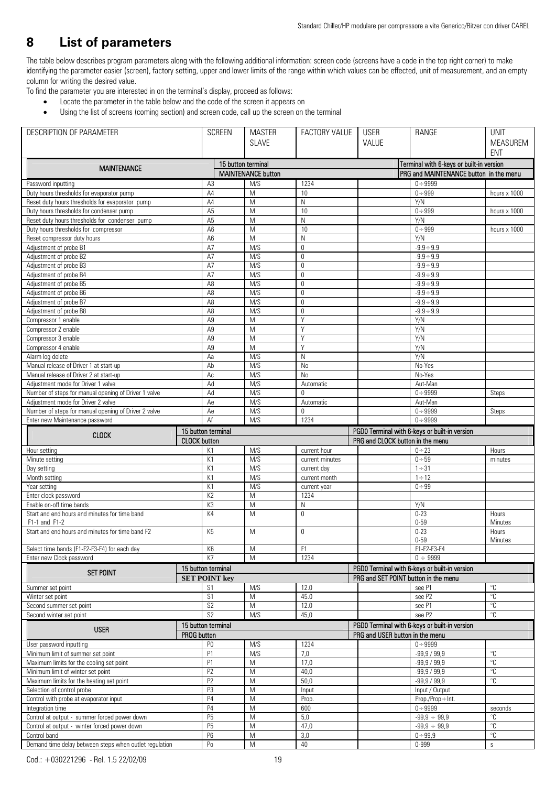## **8 List of parameters**

The table below describes program parameters along with the following additional information: screen code (screens have a code in the top right corner) to make identifying the parameter easier (screen), factory setting, upper and lower limits of the range within which values can be effected, unit of measurement, and an empty column for writing the desired value.

- To find the parameter you are interested in on the terminal's display, proceed as follows:
	- Locate the parameter in the table below and the code of the screen it appears on
	- Using the list of screens (coming section) and screen code, call up the screen on the terminal

| DESCRIPTION OF PARAMETER                                               |                      | <b>SCREEN</b>      | <b>MASTER</b>             | FACTORY VALUE     | <b>USER</b>                          | RANGE                                         | <b>UNIT</b>                      |
|------------------------------------------------------------------------|----------------------|--------------------|---------------------------|-------------------|--------------------------------------|-----------------------------------------------|----------------------------------|
|                                                                        |                      |                    | <b>SLAVE</b>              |                   | VALUE                                |                                               | <b>MEASUREM</b>                  |
|                                                                        |                      |                    |                           |                   |                                      |                                               | <b>ENT</b>                       |
|                                                                        |                      | 15 button terminal |                           |                   |                                      | Terminal with 6-keys or built-in version      |                                  |
| <b>MAINTENANCE</b>                                                     |                      |                    | <b>MAINTENANCE button</b> |                   |                                      | PRG and MAINTENANCE button in the menu        |                                  |
| Password inputting                                                     | A <sub>3</sub>       |                    | M/S                       | 1234              |                                      | $0 + 9999$                                    |                                  |
| Duty hours thresholds for evaporator pump                              | A4                   |                    | M                         | 10                |                                      | $0 \div 999$                                  | hours x 1000                     |
| Reset duty hours thresholds for evaporator pump                        | A4                   |                    | M                         | ${\sf N}$         |                                      | Y/N                                           |                                  |
| Duty hours thresholds for condenser pump                               | A <sub>5</sub>       |                    | M                         | 10                |                                      | $0 \div 999$                                  | hours x 1000                     |
| Reset duty hours thresholds for condenser pump                         | A <sub>5</sub>       |                    | M                         | $\mathsf{N}$      |                                      | Y/N                                           |                                  |
| Duty hours thresholds for compressor                                   | A <sub>6</sub>       |                    | M                         | 10                |                                      | $0 + 999$                                     | hours x 1000                     |
| Reset compressor duty hours                                            | A <sub>6</sub>       |                    | M                         | N                 |                                      | Y/N                                           |                                  |
| Adjustment of probe B1                                                 | A7                   |                    | M/S                       | $\mathbf 0$       |                                      | $-9.9 \div 9.9$                               |                                  |
| Adjustment of probe B2                                                 | A7                   |                    | M/S                       | $\mathbf{0}$      |                                      | $-9.9 \div 9.9$                               |                                  |
| Adjustment of probe B3                                                 | A7                   |                    | M/S                       | $\mathbf 0$       |                                      | $-9.9 \div 9.9$                               |                                  |
| Adjustment of probe B4                                                 | A7                   |                    | M/S                       | $\mathbf 0$       |                                      | $-9.9 \div 9.9$                               |                                  |
| Adjustment of probe B5                                                 | A <sub>8</sub>       |                    | M/S                       | $\mathbf 0$       |                                      | $-9.9 \div 9.9$                               |                                  |
| Adjustment of probe B6                                                 | A <sub>8</sub>       |                    | M/S                       | $\mathbf 0$       |                                      | $-9.9 \div 9.9$                               |                                  |
| Adjustment of probe B7                                                 | A <sub>8</sub>       |                    | M/S                       | $\mathbf{0}$      |                                      | $-9.9 \div 9.9$                               |                                  |
| Adjustment of probe B8                                                 | A <sub>8</sub>       |                    | M/S                       | $\mathbf 0$       |                                      | $-9.9 \div 9.9$                               |                                  |
| Compressor 1 enable                                                    | A <sub>9</sub>       |                    | M                         | Y                 |                                      | Y/N                                           |                                  |
| Compressor 2 enable                                                    | A9                   |                    | M                         | Y                 |                                      | Y/N                                           |                                  |
| Compressor 3 enable                                                    | A <sub>9</sub>       |                    | $\overline{M}$            | Y                 |                                      | Y/N                                           |                                  |
| Compressor 4 enable                                                    | A <sub>9</sub>       |                    | M                         | Y                 |                                      | Y/N                                           |                                  |
| Alarm log delete                                                       | Aa                   |                    | M/S                       | N                 |                                      | Y/N                                           |                                  |
| Manual release of Driver 1 at start-up                                 | Ab                   |                    | M/S                       | <b>No</b>         |                                      | No-Yes                                        |                                  |
| Manual release of Driver 2 at start-up                                 | Ac                   |                    | M/S                       | No                |                                      | No-Yes                                        |                                  |
| Adjustment mode for Driver 1 valve                                     | Ad                   |                    | M/S                       | Automatic         |                                      | Aut-Man                                       |                                  |
| Number of steps for manual opening of Driver 1 valve                   | Ad                   |                    | M/S                       | $\overline{0}$    |                                      | $0 \div 9999$                                 | Steps                            |
| Adjustment mode for Driver 2 valve                                     | Ae                   |                    | M/S                       | Automatic         |                                      | Aut-Man                                       |                                  |
| Number of steps for manual opening of Driver 2 valve                   | Ae                   |                    | M/S                       | $\mathbf 0$       |                                      | $0 + 9999$                                    | Steps                            |
| Enter new Maintenance password                                         | Af                   |                    | M/S                       | 1234              |                                      | $0 \div 9999$                                 |                                  |
| <b>CLOCK</b>                                                           | 15 button terminal   |                    |                           |                   |                                      | PGD0 Terminal with 6-keys or built-in version |                                  |
|                                                                        | <b>CLOCK</b> button  |                    |                           |                   | PRG and CLOCK button in the menu     |                                               |                                  |
| Hour setting                                                           | K1                   |                    | M/S                       | current hour      |                                      | $0 + 23$                                      | Hours                            |
| Minute setting                                                         | K1                   |                    | M/S                       | current minutes   |                                      | $0 + 59$                                      | minutes                          |
| Day setting                                                            | K1                   |                    | M/S                       | current day       |                                      | $1 \div 31$                                   |                                  |
| Month setting                                                          | K1                   |                    | M/S                       | current month     |                                      | $1 \div 12$                                   |                                  |
| Year setting                                                           | K1                   |                    | M/S                       | current year      |                                      | $0 + 99$                                      |                                  |
| Enter clock password<br>Enable on-off time bands                       | K <sub>2</sub><br>K3 |                    | M<br>M                    | 1234              |                                      |                                               |                                  |
|                                                                        | K4                   |                    | M                         | N<br>$\mathbf{0}$ |                                      | Y/N<br>$0 - 23$                               |                                  |
| Start and end hours and minutes for time band<br>F1-1 and F1-2         |                      |                    |                           |                   |                                      | $0 - 59$                                      | Hours<br>Minutes                 |
| Start and end hours and minutes for time band F2                       | K5                   |                    | M                         | $\mathbf{0}$      |                                      | $0 - 23$                                      | Hours                            |
|                                                                        |                      |                    |                           |                   |                                      | $0 - 59$                                      | Minutes                          |
| Select time bands (F1-F2-F3-F4) for each day                           | K <sub>6</sub>       |                    | M                         | F1                |                                      | F1-F2-F3-F4                                   |                                  |
| Enter new Clock password                                               | K7                   |                    | M                         | 1234              |                                      | $0 \div 9999$                                 |                                  |
|                                                                        | 15 button terminal   |                    |                           |                   |                                      | PGD0 Terminal with 6-keys or built-in version |                                  |
| <b>SET POINT</b>                                                       | <b>SET POINT key</b> |                    |                           |                   | PRG and SET POINT button in the menu |                                               |                                  |
| Summer set point                                                       | S <sub>1</sub>       |                    | M/S                       | 12.0              |                                      | see P1                                        | $^{\circ}{\rm C}$                |
| Winter set point                                                       | $\overline{S1}$      |                    | M                         | 45.0              |                                      | see P2                                        | $\mathrm{C}$                     |
| Second summer set-point                                                | S2                   |                    | M                         | 12.0              |                                      | see P1                                        | $^{\circ}{\rm C}$                |
| Second winter set point                                                | S <sub>2</sub>       |                    | M/S                       | 45,0              |                                      | see P2                                        | $^{\circ}{\rm C}$                |
|                                                                        | 15 button terminal   |                    |                           |                   |                                      | PGD0 Terminal with 6-keys or built-in version |                                  |
| <b>USER</b>                                                            | <b>PROG</b> button   |                    |                           |                   | PRG and USER button in the menu      |                                               |                                  |
| User password inputting                                                | P <sub>0</sub>       |                    | M/S                       | 1234              |                                      | $0 \div 9999$                                 |                                  |
| Minimum limit of summer set point                                      | P <sub>1</sub>       |                    | M/S                       | 7,0               |                                      | $-99,9/99,9$                                  | $^{\circ}{\rm C}$                |
| Maximum limits for the cooling set point                               | P1                   |                    | M                         | 17,0              |                                      | $-99.9/99.9$                                  | $^{\circ}C$                      |
| Minimum limit of winter set point                                      | P <sub>2</sub>       |                    | M                         | 40,0              |                                      | $-99,9/99,9$                                  | °C                               |
|                                                                        | P <sub>2</sub>       |                    | M                         | 50,0              |                                      | $-99,9/99,9$                                  | $^{\circ} \mathbb{C}$            |
|                                                                        |                      |                    |                           |                   |                                      | Input / Output                                |                                  |
| Maximum limits for the heating set point                               |                      |                    |                           |                   |                                      |                                               |                                  |
| Selection of control probe                                             | P <sub>3</sub>       |                    | M                         | Input             |                                      |                                               |                                  |
| Control with probe at evaporator input                                 | P <sub>4</sub>       |                    | M                         | Prop.             |                                      | Prop./Prop+Int.                               |                                  |
| Integration time                                                       | P <sub>4</sub>       |                    | M                         | 600               |                                      | $0 \div 9999$                                 | seconds                          |
| Control at output - summer forced power down                           | P <sub>5</sub>       |                    | M                         | 5,0               |                                      | $-99,9 \div 99,9$                             | $^{\circ}C$                      |
| Control at output - winter forced power down                           | P <sub>5</sub>       |                    | M                         | 47,0              |                                      | $-99,9 \div 99,9$                             | $^{\circ}{\rm C}$                |
| Control band<br>Demand time delay between steps when outlet regulation | P <sub>6</sub><br>Po |                    | M<br>M                    | 3,0<br>40         |                                      | $0 + 99,9$<br>0-999                           | $^{\circ}{\rm C}$<br>$\mathbb S$ |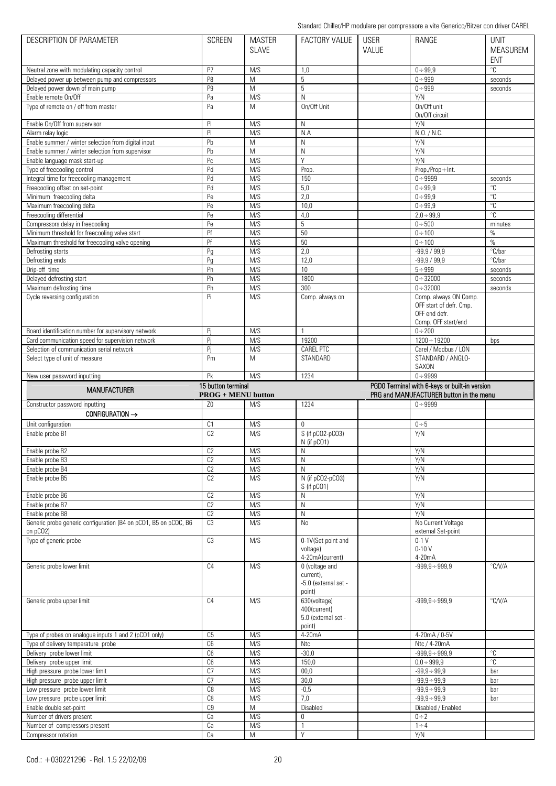| DESCRIPTION OF PARAMETER                                        | <b>SCREEN</b>             | <b>MASTER</b>  | <b>FACTORY VALUE</b> | <b>USER</b> | RANGE                                         | <b>UNIT</b>              |
|-----------------------------------------------------------------|---------------------------|----------------|----------------------|-------------|-----------------------------------------------|--------------------------|
|                                                                 |                           | <b>SLAVE</b>   |                      | VALUE       |                                               | <b>MEASUREM</b>          |
|                                                                 |                           |                |                      |             |                                               | <b>ENT</b>               |
| Neutral zone with modulating capacity control                   | P7                        | M/S            | 1,0                  |             | $0 \div 99.9$                                 | $\overline{\text{C}}$    |
| Delayed power up between pump and compressors                   | P8                        | M              | 5                    |             | $0 + 999$                                     | seconds                  |
| Delayed power down of main pump                                 | P <sub>9</sub>            | $\overline{M}$ | 5                    |             | $0 + 999$                                     | seconds                  |
| Enable remote On/Off                                            | Pa                        | M/S            | N                    |             | Y/N                                           |                          |
| Type of remote on / off from master                             | Pa                        | M              | On/Off Unit          |             | On/Off unit                                   |                          |
|                                                                 |                           |                |                      |             | On/Off circuit                                |                          |
| Enable On/Off from supervisor                                   | P                         | M/S            | N                    |             | Y/N                                           |                          |
| Alarm relay logic                                               | PI                        | M/S            | N.A                  |             | N.O. / N.C.                                   |                          |
| Enable summer / winter selection from digital input             | Pb                        | M              | $\mathsf{N}$         |             | Y/N                                           |                          |
|                                                                 |                           | M              | $\mathsf{N}$         |             | Y/N                                           |                          |
| Enable summer / winter selection from supervisor                | Pb                        |                |                      |             |                                               |                          |
| Enable language mask start-up                                   | Pc                        | M/S            | Y                    |             | Y/N                                           |                          |
| Type of freecooling control                                     | Pd                        | M/S            | Prop.                |             | Prop./Prop+Int.                               |                          |
| Integral time for freecooling management                        | Pd                        | M/S            | 150                  |             | $0 + 9999$                                    | seconds                  |
| Freecooling offset on set-point                                 | Pd                        | M/S            | 5,0                  |             | $0 + 99.9$                                    | $^{\circ}C$              |
| Minimum freecooling delta                                       | Pe                        | M/S            | 2,0                  |             | $0 + 99,9$                                    | $^{\circ}{\rm C}$        |
| Maximum freecooling delta                                       | Pe                        | M/S            | 10,0                 |             | $0 \div 99.9$                                 | $\overline{\mathcal{C}}$ |
| Freecooling differential                                        | Pe                        | M/S            | 4,0                  |             | $2,0 \div 99,9$                               | $^{\circ}{\rm C}$        |
| Compressors delay in freecooling                                | Pe                        | M/S            | 5                    |             | $0 + 500$                                     | minutes                  |
| Minimum threshold for freecooling valve start                   | Pf                        | M/S            | 50                   |             | $0 \div 100$                                  | $\%$                     |
| Maximum threshold for freecooling valve opening                 | Pf                        | M/S            | 50                   |             | $0 \div 100$                                  | $\%$                     |
| Defrosting starts                                               | Pg                        | M/S            | 2,0                  |             | $-99,9/99,9$                                  | °C/bar                   |
| Defrosting ends                                                 | Pq                        | M/S            | 12,0                 |             | $-99,9/99,9$                                  | °C/bar                   |
| Drip-off time                                                   | Ph                        | M/S            | 10                   |             | $5 \div 999$                                  | seconds                  |
| Delayed defrosting start                                        | Ph                        | M/S            | 1800                 |             | $0 + 32000$                                   | seconds                  |
|                                                                 |                           |                |                      |             |                                               |                          |
| Maximum defrosting time<br>Cycle reversing configuration        | Ph<br>Pi                  | M/S<br>M/S     | 300                  |             | $0 + 32000$<br>Comp. always ON Comp.          | seconds                  |
|                                                                 |                           |                | Comp. always on      |             | OFF start of defr. Cmp.                       |                          |
|                                                                 |                           |                |                      |             | OFF end defr.                                 |                          |
|                                                                 |                           |                |                      |             |                                               |                          |
|                                                                 |                           |                |                      |             | Comp. OFF start/end                           |                          |
| Board identification number for supervisory network             | Pi                        | M/S            | $\mathbf{1}$         |             | $0 + 200$                                     |                          |
| Card communication speed for supervision network                | Pi                        | M/S            | 19200                |             | $1200 \div 19200$                             | bps                      |
| Selection of communication serial network                       | Pi                        | M/S            | <b>CAREL PTC</b>     |             | Carel / Modbus / LON                          |                          |
| Select type of unit of measure                                  | Pm                        | M              | STANDARD             |             | STANDARD / ANGLO-                             |                          |
|                                                                 |                           |                |                      |             | SAXON                                         |                          |
| New user password inputting                                     | Pk                        | M/S            | 1234                 |             | $0 + 9999$                                    |                          |
|                                                                 |                           |                |                      |             |                                               |                          |
|                                                                 | 15 button terminal        |                |                      |             | PGD0 Terminal with 6-keys or built-in version |                          |
| <b>MANUFACTURER</b>                                             | <b>PROG + MENU button</b> |                |                      |             | PRG and MANUFACTURER button in the menu       |                          |
| Constructor password inputting                                  | Z <sub>0</sub>            | M/S            | 1234                 |             | $0 - 9999$                                    |                          |
| CONFIGURATION →                                                 |                           |                |                      |             |                                               |                          |
|                                                                 |                           |                | $\Omega$             |             |                                               |                          |
| Unit configuration                                              | C <sub>1</sub>            | M/S            |                      |             | $0 \div 5$                                    |                          |
| Enable probe B1                                                 | C <sub>2</sub>            | M/S            | S (if pCO2-pCO3)     |             | Y/N                                           |                          |
|                                                                 |                           |                | N (if pCO1)          |             |                                               |                          |
| Enable probe B2                                                 | C <sub>2</sub>            | M/S            | N                    |             | Y/N                                           |                          |
| Enable probe B3                                                 | C2                        | M/S            | $\mathsf{N}$         |             | Y/N                                           |                          |
| Enable probe B4                                                 | C <sub>2</sub>            | M/S            | N                    |             | Y/N                                           |                          |
| Enable probe B5                                                 | C <sub>2</sub>            | M/S            | N (if pCO2-pCO3)     |             | Y/N                                           |                          |
|                                                                 |                           |                | S (if pCO1)          |             |                                               |                          |
| Enable probe B6                                                 | C <sub>2</sub>            | M/S            | N                    |             | Y/N                                           |                          |
| Enable probe B7                                                 | C <sub>2</sub>            | M/S            | ${\sf N}$            |             | Y/N                                           |                          |
| Enable probe B8                                                 | C <sub>2</sub>            | M/S            | $\mathsf N$          |             | Y/N                                           |                          |
| Generic probe generic configuration (B4 on pCO1, B5 on pCOC, B6 | C <sub>3</sub>            | M/S            | No                   |             | No Current Voltage                            |                          |
| on pCO2)                                                        |                           |                |                      |             | external Set-point                            |                          |
| Type of generic probe                                           | C <sub>3</sub>            | M/S            | 0-1V(Set point and   |             | $0-1$ V                                       |                          |
|                                                                 |                           |                | voltage)             |             | $0 - 10V$                                     |                          |
|                                                                 |                           |                | 4-20mA(current)      |             | 4-20mA                                        |                          |
| Generic probe lower limit                                       | C4                        | M/S            | 0 (voltage and       |             | $-999,9 \div 999,9$                           | °C/V/A                   |
|                                                                 |                           |                | current),            |             |                                               |                          |
|                                                                 |                           |                | -5.0 (external set - |             |                                               |                          |
|                                                                 |                           |                | point)               |             |                                               |                          |
| Generic probe upper limit                                       | C <sub>4</sub>            | M/S            | 630(voltage)         |             | $-999,9 \div 999,9$                           | $\degree$ C/V/A          |
|                                                                 |                           |                | 400(current)         |             |                                               |                          |
|                                                                 |                           |                | 5.0 (external set -  |             |                                               |                          |
|                                                                 |                           |                | point)               |             |                                               |                          |
| Type of probes on analogue inputs 1 and 2 (pCO1 only)           | C <sub>5</sub>            | M/S            | 4-20mA               |             | 4-20mA / 0-5V                                 |                          |
| Type of delivery temperature probe                              | C6                        | M/S            | <b>Ntc</b>           |             | Ntc / 4-20mA                                  |                          |
| Delivery probe lower limit                                      | C6                        | M/S            | $-30,0$              |             | $-999,9 \div 999,9$                           | $^{\circ}{\rm C}$        |
| Delivery probe upper limit                                      | C6                        | M/S            | 150,0                |             | $0,0 \div 999,9$                              | $\overline{\text{c}}$    |
| High pressure probe lower limit                                 | $\overline{C}$            | M/S            | 00,0                 |             | $-99.9 \div 99.9$                             | bar                      |
| High pressure probe upper limit                                 | C <sub>7</sub>            | M/S            | 30,0                 |             | $-99,9 \div 99,9$                             | bar                      |
|                                                                 | C8                        |                |                      |             |                                               | bar                      |
| Low pressure probe lower limit                                  | C8                        | M/S            | $-0,5$<br>7.0        |             | $-99,9 \div 99,9$                             |                          |
| Low pressure probe upper limit                                  |                           | M/S            |                      |             | $-99.9 \div 99.9$                             | bar                      |
| Enable double set-point                                         | C9                        | M              | Disabled             |             | Disabled / Enabled                            |                          |
| Number of drivers present                                       | Ca                        | M/S            | 0                    |             | $0 \div 2$                                    |                          |
| Number of compressors present<br>Compressor rotation            | Ca<br>Ca                  | M/S<br>M       | $\mathbf{1}$<br>Y    |             | $1 \div 4$<br>Y/N                             |                          |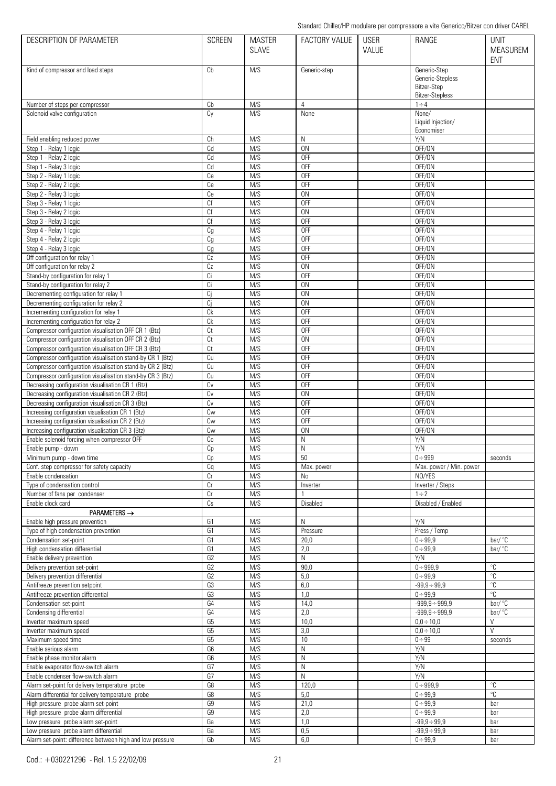| DESCRIPTION OF PARAMETER                                                                                        | <b>SCREEN</b>        | <b>MASTER</b><br><b>SLAVE</b> | <b>FACTORY VALUE</b>        | <b>USER</b><br>VALUE | RANGE                                                                     | <b>UNIT</b><br><b>MEASUREM</b><br><b>ENT</b> |
|-----------------------------------------------------------------------------------------------------------------|----------------------|-------------------------------|-----------------------------|----------------------|---------------------------------------------------------------------------|----------------------------------------------|
| Kind of compressor and load steps                                                                               | Cb                   | M/S                           | Generic-step                |                      | Generic-Step<br>Generic-Stepless<br>Bitzer-Step<br><b>Bitzer-Stepless</b> |                                              |
| Number of steps per compressor                                                                                  | Cb                   | M/S                           | 4                           |                      | $1 \div 4$                                                                |                                              |
| Solenoid valve configuration                                                                                    | Cy                   | M/S                           | None                        |                      | None/<br>Liquid Injection/<br>Economiser                                  |                                              |
| Field enabling reduced power                                                                                    | Сh                   | M/S                           | N                           |                      | Y/N                                                                       |                                              |
| Step 1 - Relay 1 logic                                                                                          | Cd                   | M/S                           | <b>ON</b>                   |                      | OFF/ON                                                                    |                                              |
| Step 1 - Relay 2 logic<br>Step 1 - Relay 3 logic                                                                | Cd<br>Cd             | M/S<br>M/S                    | <b>OFF</b><br><b>OFF</b>    |                      | OFF/ON<br>OFF/ON                                                          |                                              |
| Step 2 - Relay 1 logic                                                                                          | Ce                   | M/S                           | <b>OFF</b>                  |                      | OFF/ON                                                                    |                                              |
| Step 2 - Relay 2 logic                                                                                          | Ce                   | M/S                           | <b>OFF</b>                  |                      | OFF/ON                                                                    |                                              |
| Step 2 - Relay 3 logic                                                                                          | Сe                   | M/S                           | 0 <sub>N</sub>              |                      | OFF/ON                                                                    |                                              |
| Step 3 - Relay 1 logic                                                                                          | Cf                   | M/S                           | <b>OFF</b>                  |                      | OFF/ON                                                                    |                                              |
| Step 3 - Relay 2 logic                                                                                          | Cf                   | M/S                           | 0N                          |                      | OFF/ON                                                                    |                                              |
| Step 3 - Relay 3 logic                                                                                          | Сf                   | M/S<br>M/S                    | <b>OFF</b><br><b>OFF</b>    |                      | OFF/ON<br>OFF/ON                                                          |                                              |
| Step 4 - Relay 1 logic<br>Step 4 - Relay 2 logic                                                                | Cg<br>Cg             | M/S                           | <b>OFF</b>                  |                      | OFF/ON                                                                    |                                              |
| Step 4 - Relay 3 logic                                                                                          | Cg                   | M/S                           | <b>OFF</b>                  |                      | OFF/ON                                                                    |                                              |
| Off configuration for relay 1                                                                                   | Cz                   | M/S                           | <b>OFF</b>                  |                      | OFF/ON                                                                    |                                              |
| Off configuration for relay 2                                                                                   | Cz                   | M/S                           | 0 <sub>N</sub>              |                      | OFF/ON                                                                    |                                              |
| Stand-by configuration for relay 1                                                                              | Ci                   | M/S                           | <b>OFF</b>                  |                      | OFF/ON                                                                    |                                              |
| Stand-by configuration for relay 2                                                                              | Ci                   | M/S                           | <b>ON</b>                   |                      | OFF/ON                                                                    |                                              |
| Decrementing configuration for relay 1<br>Decrementing configuration for relay 2                                | Ci<br>Ci             | M/S<br>M/S                    | 0 <sub>N</sub><br><b>ON</b> |                      | OFF/ON<br>OFF/ON                                                          |                                              |
| Incrementing configuration for relay 1                                                                          | Сk                   | M/S                           | <b>OFF</b>                  |                      | OFF/ON                                                                    |                                              |
| Incrementing configuration for relay 2                                                                          | Ck                   | M/S                           | <b>OFF</b>                  |                      | OFF/ON                                                                    |                                              |
| Compressor configuration visualisation OFF CR 1 (Btz)                                                           | Ct                   | M/S                           | <b>OFF</b>                  |                      | OFF/ON                                                                    |                                              |
| Compressor configuration visualisation OFF CR 2 (Btz)                                                           | Ct                   | M/S                           | 0 <sub>N</sub>              |                      | OFF/ON                                                                    |                                              |
| Compressor configuration visualisation OFF CR 3 (Btz)                                                           | Ct                   | M/S                           | <b>OFF</b>                  |                      | OFF/ON                                                                    |                                              |
| Compressor configuration visualisation stand-by CR 1 (Btz)                                                      | Cu                   | M/S                           | <b>OFF</b>                  |                      | OFF/ON                                                                    |                                              |
| Compressor configuration visualisation stand-by CR 2 (Btz)                                                      | Cu<br>Cu             | M/S<br>M/S                    | <b>OFF</b><br><b>OFF</b>    |                      | OFF/ON<br>OFF/ON                                                          |                                              |
| Compressor configuration visualisation stand-by CR 3 (Btz)<br>Decreasing configuration visualisation CR 1 (Btz) | Cv                   | M/S                           | <b>OFF</b>                  |                      | OFF/ON                                                                    |                                              |
| Decreasing configuration visualisation CR 2 (Btz)                                                               | Cv                   | M/S                           | <b>ON</b>                   |                      | OFF/ON                                                                    |                                              |
| Decreasing configuration visualisation CR 3 (Btz)                                                               | Cv                   | M/S                           | <b>OFF</b>                  |                      | OFF/ON                                                                    |                                              |
| Increasing configuration visualisation CR 1 (Btz)                                                               | Cw                   | M/S                           | <b>OFF</b>                  |                      | OFF/ON                                                                    |                                              |
| Increasing configuration visualisation CR 2 (Btz)                                                               | Cw                   | M/S                           | <b>OFF</b>                  |                      | OFF/ON                                                                    |                                              |
| Increasing configuration visualisation CR 3 (Btz)                                                               | Cw                   | M/S                           | <b>ON</b>                   |                      | OFF/ON                                                                    |                                              |
| Enable solenoid forcing when compressor OFF<br>Enable pump - down                                               | Cо<br>Cp             | M/S<br>M/S                    | Ν<br>N                      |                      | Y/N<br>Y/N                                                                |                                              |
| Minimum pump - down time                                                                                        | Cp                   | M/S                           | 50                          |                      | $0 + 999$                                                                 | seconds                                      |
| Conf. step compressor for safety capacity                                                                       | Cq                   | M/S                           | Max. power                  |                      | Max. power / Min. power                                                   |                                              |
| Enable condensation                                                                                             | Cr                   | M/S                           | <b>No</b>                   |                      | NO/YES                                                                    |                                              |
| Type of condensation control                                                                                    | Cr                   | M/S                           | Inverter                    |                      | Inverter / Steps                                                          |                                              |
| Number of fans per condenser                                                                                    | Cr                   | M/S                           |                             |                      | $1 \div 2$                                                                |                                              |
| Enable clock card                                                                                               | Cs                   | M/S                           | Disabled                    |                      | Disabled / Enabled                                                        |                                              |
| $PARAMETERS \rightarrow$<br>Enable high pressure prevention                                                     | G1                   | M/S                           | N                           |                      | Y/N                                                                       |                                              |
| Type of high condensation prevention                                                                            | G1                   | M/S                           | Pressure                    |                      | Press / Temp                                                              |                                              |
| Condensation set-point                                                                                          | G1                   | M/S                           | 20,0                        |                      | $0 + 99.9$                                                                | $bar/$ °C                                    |
| High condensation differential                                                                                  | G1                   | M/S                           | 2,0                         |                      | $0 + 99.9$                                                                | bar/ °C                                      |
| Enable delivery prevention                                                                                      | G <sub>2</sub>       | M/S                           | N                           |                      | Y/N                                                                       |                                              |
| Delivery prevention set-point                                                                                   | G <sub>2</sub>       | M/S                           | 90,0                        |                      | $0 + 999.9$                                                               | $^{\circ}{\rm C}$<br>$\mathrm{C}$            |
| Delivery prevention differential<br>Antifreeze prevention setpoint                                              | G <sub>2</sub><br>G3 | M/S<br>M/S                    | 5,0<br>6,0                  |                      | $0 + 99.9$<br>$-99,9 \div 99,9$                                           | $^{\circ}{\rm C}$                            |
| Antifreeze prevention differential                                                                              | G3                   | M/S                           | 1,0                         |                      | $0 + 99.9$                                                                | $\overline{\mathcal{C}}$                     |
| Condensation set-point                                                                                          | G4                   | M/S                           | 14,0                        |                      | $-999,9 \div 999,9$                                                       | bar/ $\degree$ C                             |
| Condensing differential                                                                                         | G4                   | M/S                           | 2,0                         |                      | $-999,9 \div 999,9$                                                       | bar/ $\degree$ C                             |
| Inverter maximum speed                                                                                          | G <sub>5</sub>       | M/S                           | 10,0                        |                      | $0,0 \div 10,0$                                                           | $\vee$                                       |
| Inverter maximum speed                                                                                          | G <sub>5</sub>       | M/S                           | 3,0                         |                      | $0,0 \div 10,0$                                                           | $\vee$                                       |
| Maximum speed time<br>Enable serious alarm                                                                      | G <sub>5</sub><br>G6 | M/S<br>M/S                    | 10<br>N                     |                      | $0 \div 99$<br>Y/N                                                        | seconds                                      |
| Enable phase monitor alarm                                                                                      | G6                   | M/S                           | N                           |                      | Y/N                                                                       |                                              |
| Enable evaporator flow-switch alarm                                                                             | G7                   | M/S                           | $\mathsf{N}$                |                      | Y/N                                                                       |                                              |
| Enable condenser flow-switch alarm                                                                              | G7                   | M/S                           | N                           |                      | Y/N                                                                       |                                              |
| Alarm set-point for delivery temperature probe                                                                  | G8                   | M/S                           | 120,0                       |                      | $0 + 999.9$                                                               | $^{\circ}{\rm C}$                            |
| Alarm differential for delivery temperature probe                                                               | G8                   | M/S                           | 5,0                         |                      | $0 + 99.9$                                                                | $\overline{C}$                               |
| High pressure probe alarm set-point                                                                             | G9                   | M/S                           | 21,0                        |                      | $0 + 99.9$                                                                | bar                                          |
| High pressure probe alarm differential<br>Low pressure probe alarm set-point                                    | G9<br>Ga             | M/S<br>M/S                    | 2,0<br>1,0                  |                      | $0 + 99.9$<br>$-99,9 \div 99,9$                                           | bar<br>bar                                   |
| Low pressure probe alarm differential                                                                           | Ga                   | M/S                           | 0,5                         |                      | $-99,9 \div 99,9$                                                         | bar                                          |
| Alarm set-point: difference between high and low pressure                                                       | Gb                   | M/S                           | 6,0                         |                      | $0 + 99.9$                                                                | bar                                          |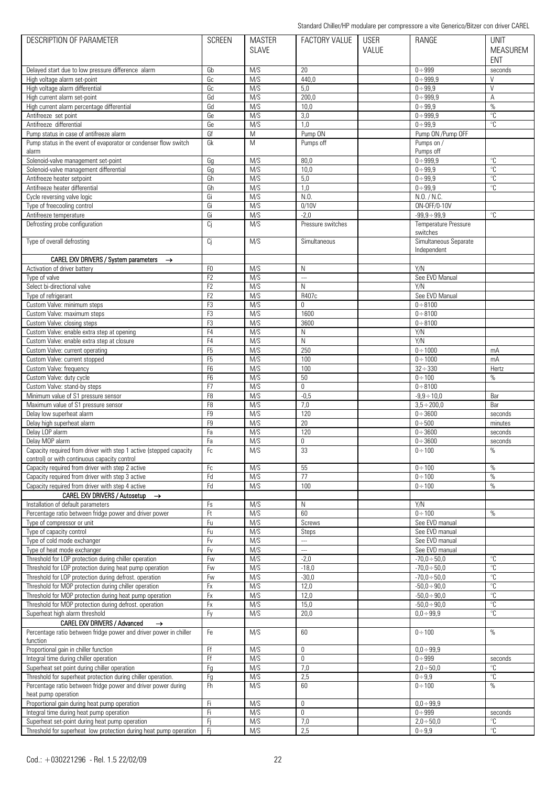| <b>DESCRIPTION OF PARAMETER</b>                                                                                   | <b>SCREEN</b>  | <b>MASTER</b> | <b>FACTORY VALUE</b> | <b>USER</b> | RANGE                            | <b>UNIT</b>             |
|-------------------------------------------------------------------------------------------------------------------|----------------|---------------|----------------------|-------------|----------------------------------|-------------------------|
|                                                                                                                   |                | <b>SLAVE</b>  |                      | VALUE       |                                  | <b>MEASUREM</b>         |
|                                                                                                                   |                |               |                      |             |                                  | <b>ENT</b>              |
| Delayed start due to low pressure difference alarm                                                                | Gb             | M/S           | 20                   |             | $0 \div 999$                     | seconds                 |
| High voltage alarm set-point                                                                                      | Gc             | M/S           | 440.0                |             | $0 \div 999.9$                   | $\vee$                  |
| High voltage alarm differential                                                                                   | Gc             | M/S           | 5,0                  |             | $0 + 99.9$                       | $\vee$                  |
| High current alarm set-point                                                                                      | Gd             | M/S           | 200,0                |             | $0 \div 999.9$                   | A                       |
| High current alarm percentage differential                                                                        | Gd             | M/S           | 10,0                 |             | $0 + 99.9$                       | %                       |
| Antifreeze set point                                                                                              | Ge             | M/S           | 3,0                  |             | $0 \div 999,9$                   | $\overline{C}$          |
| Antifreeze differential                                                                                           | Ge             | M/S           | 1,0                  |             | $0 \div 99.9$                    | $\mathrm{C}$            |
| Pump status in case of antifreeze alarm                                                                           | Gf             | M             | Pump ON              |             | Pump ON /Pump OFF                |                         |
| Pump status in the event of evaporator or condenser flow switch                                                   | Gk             | M             | Pumps off            |             | Pumps on /                       |                         |
| alarm                                                                                                             |                |               |                      |             | Pumps off                        |                         |
| Solenoid-valve management set-point                                                                               | Gg             | M/S           | 80,0                 |             | $0 + 999,9$                      | $\overline{\mathbb{C}}$ |
| Solenoid-valve management differential                                                                            | Gg             | M/S           | 10,0                 |             | $0 + 99.9$                       | $\overline{C}$          |
| Antifreeze heater setpoint                                                                                        | Gh             | M/S           | 5,0                  |             | $0 + 99,9$                       | $\mathrm{C}$            |
| Antifreeze heater differential                                                                                    | Gh             | M/S           | 1,0                  |             | $0 + 99,9$                       | °C                      |
| Cycle reversing valve logic                                                                                       | Gi             | M/S           | N.0                  |             | N.0. / N.C.                      |                         |
| Type of freecooling control                                                                                       | Gi             | M/S           | 0/10V                |             | ON-OFF/0-10V                     |                         |
| Antifreeze temperature                                                                                            | Gi             | M/S           | $-2.0$               |             | $-99,9 \div 99,9$                | $\mathrm{C}$            |
| Defrosting probe configuration                                                                                    | Ci             | M/S           | Pressure switches    |             | Temperature Pressure             |                         |
|                                                                                                                   |                |               |                      |             | switches                         |                         |
| Type of overall defrosting                                                                                        | Ci             | M/S           | Simultaneous         |             | Simultaneous Separate            |                         |
|                                                                                                                   |                |               |                      |             | Independent                      |                         |
| CAREL EXV DRIVERS / System parameters<br>$\rightarrow$                                                            |                |               |                      |             |                                  |                         |
| Activation of driver battery                                                                                      | F <sub>0</sub> | M/S           | N                    |             | Y/N                              |                         |
| Type of valve                                                                                                     | F <sub>2</sub> | M/S           | $\overline{a}$       |             | See EVD Manual                   |                         |
| Select bi-directional valve                                                                                       | F <sub>2</sub> | M/S           | N                    |             | Y/N                              |                         |
| Type of refrigerant                                                                                               | F <sub>2</sub> | M/S           | R407c                |             | See EVD Manual                   |                         |
| Custom Valve: minimum steps                                                                                       | F <sub>3</sub> | M/S           | $\overline{0}$       |             | $0 \div 8100$                    |                         |
| Custom Valve: maximum steps                                                                                       | F <sub>3</sub> | M/S           | 1600                 |             | $0 \div 8100$                    |                         |
| Custom Valve: closing steps                                                                                       | F <sub>3</sub> | M/S           | 3600                 |             | $0 \div 8100$                    |                         |
| Custom Valve: enable extra step at opening                                                                        | F <sub>4</sub> | M/S           | N                    |             | Y/N                              |                         |
| Custom Valve: enable extra step at closure                                                                        | F <sub>4</sub> | M/S           | N                    |             | Y/N                              |                         |
| Custom Valve: current operating                                                                                   | F <sub>5</sub> | M/S           | 250                  |             | $0 \div 1000$                    | mA                      |
| Custom Valve: current stopped                                                                                     | F <sub>5</sub> | M/S           | 100                  |             | $0 \div 1000$                    | mA                      |
| Custom Valve: frequency                                                                                           | F <sub>6</sub> | M/S           | 100                  |             | $32 \div 330$                    | Hertz                   |
| Custom Valve: duty cycle                                                                                          | F <sub>6</sub> | M/S           | 50                   |             | $0 \div 100$                     | %                       |
| Custom Valve: stand-by steps                                                                                      | F <sub>7</sub> | M/S           | 0                    |             | $0 \div 8100$                    |                         |
| Minimum value of S1 pressure sensor                                                                               | F <sub>8</sub> | M/S           | $-0,5$               |             | $-9.9 \div 10.0$                 | Bar                     |
| Maximum value of S1 pressure sensor                                                                               | F <sub>8</sub> | M/S           | 7,0                  |             | $3,5 \div 200,0$                 | Bar                     |
| Delay low superheat alarm                                                                                         | F <sub>9</sub> | M/S           | 120                  |             | $0 + 3600$                       | seconds                 |
| Delay high superheat alarm                                                                                        | F <sub>9</sub> | M/S           | 20                   |             | $0 + 500$                        | minutes                 |
| Delay LOP alarm                                                                                                   | Fa             | M/S           | 120                  |             | $0 + 3600$                       | seconds                 |
| Delay MOP alarm                                                                                                   | Fa             | M/S           | 0                    |             | $0 + 3600$                       | seconds                 |
| Capacity required from driver with step 1 active (stepped capacity                                                | Fc             | M/S           | 33                   |             | $0 \div 100$                     | $\frac{0}{0}$           |
| control) or with continuous capacity control                                                                      |                |               |                      |             |                                  |                         |
| Capacity required from driver with step 2 active                                                                  | Fc             | M/S           | 55                   |             | $0 \div 100$                     | %                       |
| Capacity required from driver with step 3 active                                                                  | Fd             | M/S           | 77                   |             | $0 \div 100$                     | $\%$                    |
| Capacity required from driver with step 4 active                                                                  | Fd             | M/S           | 100                  |             | $0 \div 100$                     | $\%$                    |
| CAREL EXV DRIVERS / Autosetup →                                                                                   |                |               |                      |             |                                  |                         |
| Installation of default parameters<br>Percentage ratio between fridge power and driver power                      | Fs             | M/S<br>M/S    | N<br>60              |             | Y/N<br>$0 \div 100$              |                         |
|                                                                                                                   | Ft             |               |                      |             |                                  | $\%$                    |
| Type of compressor or unit                                                                                        | Fu             | M/S           | Screws               |             | See EVD manual                   |                         |
| Type of capacity control<br>Type of cold mode exchanger                                                           | Fu<br>Fv       | M/S<br>M/S    | Steps<br>---         |             | See EVD manual<br>See EVD manual |                         |
| Type of heat mode exchanger                                                                                       | Fv             | M/S           | ш.                   |             | See EVD manual                   |                         |
| Threshold for LOP protection during chiller operation                                                             | Fw             | M/S           | $-2,0$               |             | $-70,0 \div 50,0$                | $^{\circ}{\rm C}$       |
|                                                                                                                   | Fw             | M/S           | $-18,0$              |             | $-70,0 \div 50,0$                | °C                      |
| Threshold for LOP protection during heat pump operation<br>Threshold for LOP protection during defrost. operation |                | M/S           | $-30,0$              |             | $-70,0 \div 50,0$                | °C                      |
| Threshold for MOP protection during chiller operation                                                             | Fw<br>Fx       | M/S           | 12,0                 |             | $-50,0 \div 90,0$                | $\overline{C}$          |
| Threshold for MOP protection during heat pump operation                                                           | Fx             | M/S           | 12,0                 |             | $-50,0 \div 90,0$                | $^{\circ}C$             |
|                                                                                                                   | Fx             | M/S           | 15,0                 |             | $-50,0 \div 90,0$                | °C                      |
| Threshold for MOP protection during defrost. operation                                                            |                | M/S           |                      |             |                                  | $^{\circ}C$             |
| Superheat high alarm threshold<br>CAREL EXV DRIVERS / Advanced                                                    | Fy             |               | 20,0                 |             | $0,0 \div 99,9$                  |                         |
| $\rightarrow$<br>Percentage ratio between fridge power and driver power in chiller                                |                | M/S           |                      |             |                                  | $\%$                    |
| function                                                                                                          | Fe             |               | 60                   |             | $0 \div 100$                     |                         |
| Proportional gain in chiller function                                                                             | Ff             | M/S           | 0                    |             | $0,0 \div 99,9$                  |                         |
| Integral time during chiller operation                                                                            | Ff             | M/S           | $\mathbf 0$          |             | $0 + 999$                        | seconds                 |
| Superheat set point during chiller operation                                                                      | Fg             | M/S           | 7,0                  |             | $2,0 \div 50,0$                  | °C                      |
| Threshold for superheat protection during chiller operation.                                                      | Fg             | M/S           | 2,5                  |             | $0 + 9.9$                        | $^{\circ}{\rm C}$       |
| Percentage ratio between fridge power and driver power during                                                     | Fh             | M/S           | 60                   |             | $0 \div 100$                     | $\%$                    |
| heat pump operation                                                                                               |                |               |                      |             |                                  |                         |
| Proportional gain during heat pump operation                                                                      | -Fi            | M/S           | $\mathbf 0$          |             | $0,0 \div 99,9$                  |                         |
| Integral time during heat pump operation                                                                          | Fi             | M/S           | $\mathbf 0$          |             | $0 + 999$                        | seconds                 |
| Superheat set-point during heat pump operation                                                                    | -Fi            | M/S           | 7,0                  |             | $2,0 \div 50,0$                  | $^{\circ}{\rm C}$       |
| Threshold for superheat low protection during heat pump operation                                                 | -Fi            | M/S           | 2,5                  |             | $0 + 9.9$                        | $\overline{\text{c}}$   |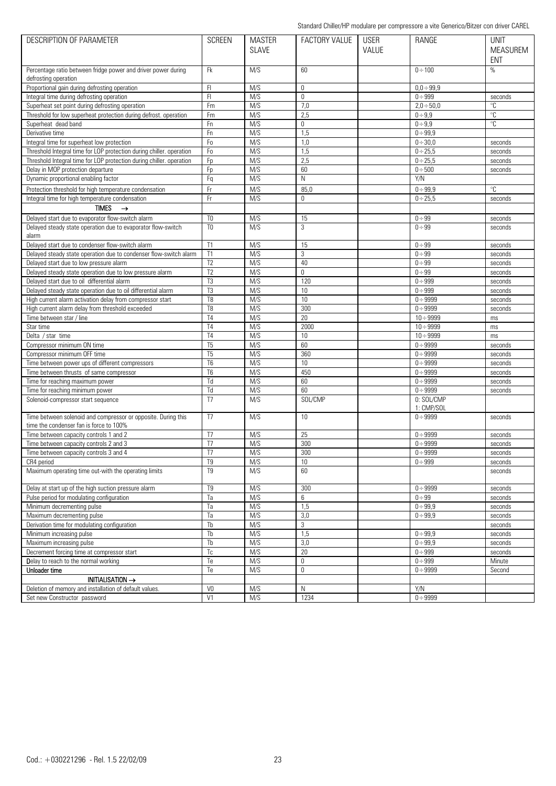| <b>DESCRIPTION OF PARAMETER</b>                                      | <b>SCREEN</b>   | <b>MASTER</b> | FACTORY VALUE | <b>USER</b> | RANGE                    | <b>UNIT</b>     |
|----------------------------------------------------------------------|-----------------|---------------|---------------|-------------|--------------------------|-----------------|
|                                                                      |                 | <b>SLAVE</b>  |               | VALUE       |                          | <b>MEASUREM</b> |
|                                                                      |                 |               |               |             |                          | <b>ENT</b>      |
| Percentage ratio between fridge power and driver power during        | <b>Fk</b>       | M/S           | 60            |             | $0 \div 100$             | $\%$            |
| defrosting operation                                                 |                 |               |               |             |                          |                 |
| Proportional gain during defrosting operation                        | FI.             | M/S           | 0             |             | $0,0 \div 99,9$          |                 |
| Integral time during defrosting operation                            | F1              | M/S           | $\mathbf 0$   |             | $0 \div 999$             | seconds         |
| Superheat set point during defrosting operation                      | Fm              | M/S           | 7,0           |             | $2,0 \div 50,0$          | °C              |
| Threshold for low superheat protection during defrost. operation     | Fm              | M/S           | 2,5           |             | $0 + 9.9$                | $\mathrm{C}$    |
| Superheat dead band                                                  | Fn              | M/S           | 0             |             | $0 + 9.9$                | °C              |
| Derivative time                                                      | Fn              | M/S           | 1,5           |             | $0 + 99.9$               |                 |
|                                                                      |                 |               |               |             |                          |                 |
| Integral time for superheat low protection                           | Fo              | M/S           | 1,0           |             | $0 + 30,0$               | seconds         |
| Threshold Integral time for LOP protection during chiller. operation | Fo              | M/S           | 1,5           |             | $0 \div 25.5$            | seconds         |
| Threshold Integral time for LOP protection during chiller, operation | Fp              | M/S           | 2,5           |             | $0 \div 25,5$            | seconds         |
| Delay in MOP protection departure                                    | Fp              | M/S           | 60            |             | $0 + 500$                | seconds         |
| Dynamic proportional enabling factor                                 | Fq              | M/S           | N             |             | Y/N                      |                 |
| Protection threshold for high temperature condensation               | Fr              | M/S           | 85,0          |             | $0 + 99.9$               | °C              |
| Integral time for high temperature condensation                      | Fr              | M/S           | $\mathbf 0$   |             | $0 \div 25.5$            | seconds         |
| <b>TIMES</b><br>$\rightarrow$                                        |                 |               |               |             |                          |                 |
| Delayed start due to evaporator flow-switch alarm                    | T <sub>0</sub>  | M/S           | 15            |             | $0 + 99$                 | seconds         |
|                                                                      | T <sub>0</sub>  | M/S           | 3             |             |                          |                 |
| Delayed steady state operation due to evaporator flow-switch         |                 |               |               |             | $0 \div 99$              | seconds         |
| alarm                                                                |                 |               |               |             |                          |                 |
| Delaved start due to condenser flow-switch alarm                     | T1              | M/S           | 15            |             | $0 \div 99$              | seconds         |
| Delayed steady state operation due to condenser flow-switch alarm    | T1              | M/S           | 3             |             | $0 \div 99$              | seconds         |
| Delayed start due to low pressure alarm                              | T <sub>2</sub>  | M/S           | 40            |             | $0 + 99$                 | seconds         |
| Delayed steady state operation due to low pressure alarm             | T <sub>2</sub>  | M/S           | 0             |             | $0 + 99$                 | seconds         |
| Delayed start due to oil differential alarm                          | T3              | M/S           | 120           |             | $0 + 999$                | seconds         |
| Delayed steady state operation due to oil differential alarm         | T <sub>3</sub>  | M/S           | 10            |             | $0 + 999$                | seconds         |
| High current alarm activation delay from compressor start            | T <sub>8</sub>  | M/S           | 10            |             | $0 \div 9999$            | seconds         |
| High current alarm delay from threshold exceeded                     | T <sub>8</sub>  | M/S           | 300           |             | $0 \div 9999$            | seconds         |
| Time between star / line                                             | T <sub>4</sub>  | M/S           | 20            |             | $10 \div 9999$           | ms              |
| Star time                                                            | T <sub>4</sub>  | M/S           | 2000          |             | $10 \div 9999$           | ms              |
| Delta / star time                                                    | T <sub>4</sub>  | M/S           | 10            |             | $10 \div 9999$           | ms              |
| Compressor minimum ON time                                           | T <sub>5</sub>  | M/S           | 60            |             | $0 + 9999$               | seconds         |
| Compressor minimum OFF time                                          | $\overline{15}$ | M/S           | 360           |             | $0 + 9999$               | seconds         |
| Time between power ups of different compressors                      | T <sub>6</sub>  | M/S           | 10            |             | $0 \div 9999$            |                 |
|                                                                      |                 |               |               |             |                          | seconds         |
| Time between thrusts of same compressor                              | T <sub>6</sub>  | M/S           | 450           |             | $0 + 9999$               | seconds         |
| Time for reaching maximum power                                      | Td              | M/S           | 60            |             | $0 \div 9999$            | seconds         |
| Time for reaching minimum power                                      | Td              | M/S           | 60            |             | $0 \div 9999$            | seconds         |
| Solenoid-compressor start sequence                                   | T <sub>7</sub>  | M/S           | SOL/CMP       |             | 0: SOL/CMP<br>1: CMP/SOL |                 |
| Time between solenoid and compressor or opposite. During this        | T <sub>7</sub>  | M/S           | 10            |             | $0 + 9999$               | seconds         |
| time the condenser fan is force to 100%                              |                 |               |               |             |                          |                 |
| Time between capacity controls 1 and 2                               | T7              | M/S           | 25            |             | $0 + 9999$               | seconds         |
| Time between capacity controls 2 and 3                               | T <sub>7</sub>  | M/S           | 300           |             | $0 + 9999$               |                 |
|                                                                      |                 |               |               |             |                          | seconds         |
| Time between capacity controls 3 and 4                               | T7              | M/S           | 300           |             | $0 + 9999$               | seconds         |
| CR4 period                                                           | T <sub>9</sub>  | M/S           | 10            |             | $0 \div 999$             | seconds         |
| Maximum operating time out-with the operating limits                 | T9              | M/S           | 60            |             |                          | seconds         |
| Delay at start up of the high suction pressure alarm                 | T9              | M/S           | 300           |             | $0 + 9999$               | seconds         |
| Pulse period for modulating configuration                            | Ta              | M/S           | 6             |             | $0 + 99$                 | seconds         |
| Minimum decrementing pulse                                           | Ta              | M/S           | 1,5           |             | $0 + 99,9$               | seconds         |
|                                                                      |                 |               |               |             |                          |                 |
| Maximum decrementing pulse                                           | Ta              | M/S           | 3,0           |             | $0 + 99.9$               | seconds         |
| Derivation time for modulating configuration                         | Tb              | M/S           | 3             |             |                          | seconds         |
| Minimum increasing pulse                                             | Tb              | M/S           | 1,5           |             | $0 + 99.9$               | seconds         |
| Maximum increasing pulse                                             | Tb              | M/S           | 3,0           |             | $0 + 99.9$               | seconds         |
| Decrement forcing time at compressor start                           | Тc              | M/S           | 20            |             | $0 \div 999$             | seconds         |
| Delay to reach to the normal working                                 | Te              | M/S           | 0             |             | $0 \div 999$             | Minute          |
| Unloader time                                                        | Te              | M/S           | 0             |             | $0 + 9999$               | Second          |
| <b>INITIALISATION →</b>                                              |                 |               |               |             |                          |                 |
| Deletion of memory and installation of default values.               | V <sub>0</sub>  | M/S           | N             |             | Y/N                      |                 |
| Set new Constructor password                                         | V1              | M/S           | 1234          |             | $0 + 9999$               |                 |
|                                                                      |                 |               |               |             |                          |                 |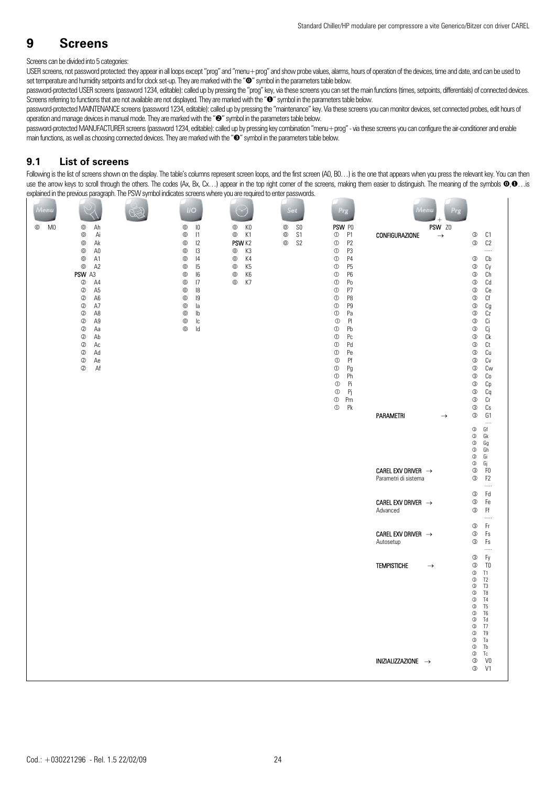## **9 Screens**

## Screens can be divided into 5 categories:

USER screens, not password protected: they appear in all loops except "prog" and "menu+prog" and show probe values, alarms, hours of operation of the devices, time and date, and can be used to set temperature and humidity setpoints and for clock set-up. They are marked with the " $\circ$ " symbol in the parameters table below.

password-protected USER screens (password 1234, editable): called up by pressing the "prog" key, via these screens you can set the main functions (times, setpoints, differentials) of connected devices. Screens referring to functions that are not available are not displayed. They are marked with the " $\bullet$ " symbol in the parameters table below.

password-protected MAINTENANCE screens (password 1234, editable): called up by pressing the "maintenance" key. Via these screens you can monitor devices, set connected probes, edit hours of operation and manage devices in manual mode. They are marked with the "<sup>o"</sup> symbol in the parameters table below.

password-protected MANUFACTURER screens (password 1234, editable): called up by pressing key combination "menu+prog" - via these screens you can configure the air-conditioner and enable main functions, as well as choosing connected devices. They are marked with the " $\bullet$ " symbol in the parameters table below.

## **9.1 List of screens**

Following is the list of screens shown on the display. The table's columns represent screen loops, and the first screen (A0, B0...) is the one that appears when you press the relevant key. You can then use the arrow keys to scroll through the others. The codes  $(Ax, Bx, Cx...)$  appear in the top right corner of the screens, making them easier to distinguish. The meaning of the symbols  $\odot$ , is explained in the previous paragraph. The PSW symbol indicates screens where you are required to enter passwords.

| Aenu                         |                                                                  | $II$ $\odot$                                                    |                                                                                           |                                                                 | 近日                                                                                                                                                       |                                               | $A$ enu<br>$\ddot{}$    |                                                                                                   |
|------------------------------|------------------------------------------------------------------|-----------------------------------------------------------------|-------------------------------------------------------------------------------------------|-----------------------------------------------------------------|----------------------------------------------------------------------------------------------------------------------------------------------------------|-----------------------------------------------|-------------------------|---------------------------------------------------------------------------------------------------|
| M <sub>0</sub><br>$^{\circ}$ | $^{\circ}$<br>Ah<br>$^{\circ}$<br>Ai                             | $\sf I0$<br>$^{\circ}$<br> 1<br>$^\copyright$                   | K <sub>0</sub><br>$^{\circ}$<br>$^{\circ}$<br>K1                                          | $^{\circ}$<br>S <sub>0</sub><br>S <sub>1</sub><br>$^\copyright$ | PSW PO<br>P <sub>1</sub><br>$\circledv$                                                                                                                  | <b>CONFIGURAZIONE</b>                         | PSW Z0<br>$\rightarrow$ | $\circledS$<br>C1                                                                                 |
|                              | $^{\circ}$<br>Ak<br>$^\copyright$<br>A <sub>0</sub>              | 12<br>$^\copyright$<br> 3<br>$^{\circ}$                         | PSW <sub>K2</sub><br>K3<br>$^\copyright$                                                  | $^\copyright$<br>S <sub>2</sub>                                 | $\textcircled{\scriptsize{1}}$<br>P <sub>2</sub><br>$\circledR$<br>P3                                                                                    |                                               |                         | C <sub>2</sub><br>$\circledS$<br>$\cdots$                                                         |
|                              | $^\copyright$<br>A1<br>$^\copyright$<br>A <sub>2</sub><br>PSW A3 | $^{\circ}$<br> 4<br>$^{\circ}$<br> 5<br> 6<br>$^\circledR$      | $^\copyright$<br>K4<br>$^\copyright$<br>K <sub>5</sub><br>K <sub>6</sub><br>$^\copyright$ |                                                                 | $\textcircled{\scriptsize{1}}$<br>P <sub>4</sub><br>P <sub>5</sub><br>$\textcircled{\scriptsize{1}}$<br>$\textcircled{\scriptsize{1}}$<br>P <sub>6</sub> |                                               |                         | Cb<br>$\circledS$<br>$\circledS$<br>Cy<br>$\circledS$<br>Ch                                       |
|                              | $^\copyright$<br>A4<br>$^\copyright$<br>A <sub>5</sub>           | $^\copyright$<br>17<br> 8<br>$^\circledR$                       | $^{\circ}$<br>K7                                                                          |                                                                 | $\textcircled{\scriptsize{1}}$<br>Po<br>$\textcircled{\scriptsize{1}}$<br>P7                                                                             |                                               |                         | $\circledS$<br>Cd<br>$\circledS$<br>Ce                                                            |
|                              | $^\copyright$<br>A <sub>6</sub><br>$^\copyright$<br>A7           | $^\copyright$<br> 9<br>$^\copyright$<br>la                      |                                                                                           |                                                                 | P <sub>8</sub><br>$\circledv$<br>P9<br>$\textcircled{\scriptsize{1}}$                                                                                    |                                               |                         | $\circledS$<br>Cf<br>$\circledS$<br>Cg                                                            |
|                              | $^{\circ}$<br>A <sub>8</sub><br>$\circledS$<br>A9                | $^{\circ}$<br>lb<br>$^\copyright$<br>$\ensuremath{\mathsf{lc}}$ |                                                                                           |                                                                 | $\circledcirc$<br>Pa<br>$\textcircled{\scriptsize{1}}$<br>P                                                                                              |                                               |                         | $\circledS$<br>Сz<br>$\circledS$<br>Ci                                                            |
|                              | $\circledS$<br>Aa<br>$^\circledR$<br>Ab<br>$^\copyright$<br>Ac   | $^\copyright$<br>$\sf{Id}$                                      |                                                                                           |                                                                 | $\textcircled{\scriptsize{1}}$<br>Pb<br>$\textcircled{\scriptsize{1}}$<br>Pc<br>$\textcircled{\scriptsize{1}}$<br>Pd                                     |                                               |                         | $\circledS$<br>Сj<br>$\circledS$<br>Сk<br>$\circledS$<br>Сt                                       |
|                              | $^\copyright$<br>Ad<br>$^\circledR$<br>Ae                        |                                                                 |                                                                                           |                                                                 | $\textcircled{\scriptsize{1}}$<br>Pe<br>$\circledcirc$<br>Pf                                                                                             |                                               |                         | $\circledS$<br>Cu<br>$\circledS$<br>Cv                                                            |
|                              | $^\copyright$<br>Af                                              |                                                                 |                                                                                           |                                                                 | $\circledv$<br>Pg<br>$\textcircled{\scriptsize{1}}$<br>Ph                                                                                                |                                               |                         | $\circledS$<br>Cw<br>$\circledS$<br>Co                                                            |
|                              |                                                                  |                                                                 |                                                                                           |                                                                 | $\textcircled{\scriptsize{1}}$<br>Pi<br>$\textcircled{\scriptsize{1}}$<br>Pj                                                                             |                                               |                         | $\circledS$<br>Cp<br>$\circledS$<br>Cq                                                            |
|                              |                                                                  |                                                                 |                                                                                           |                                                                 | $\textcircled{\scriptsize{1}}$<br>Pm<br>Pk<br>$\circledR$                                                                                                | PARAMETRI                                     | $\rightarrow$           | $\circledS$<br>Сr<br>$\circledS$<br>Cs<br>$\circledS$<br>G1                                       |
|                              |                                                                  |                                                                 |                                                                                           |                                                                 |                                                                                                                                                          |                                               |                         | <br>$^\circledR$<br>Gf                                                                            |
|                              |                                                                  |                                                                 |                                                                                           |                                                                 |                                                                                                                                                          |                                               |                         | $^\circledR$<br>Gk<br>$^\circledR$<br>Gg<br>$^\circledR$<br>Gh                                    |
|                              |                                                                  |                                                                 |                                                                                           |                                                                 |                                                                                                                                                          | CAREL EXV DRIVER $\rightarrow$                |                         | $\circledS$<br>Gi<br>$^\circledR$<br>Gj<br>$\circledS$<br>F <sub>0</sub>                          |
|                              |                                                                  |                                                                 |                                                                                           |                                                                 |                                                                                                                                                          | Parametri di sistema                          |                         | $\circledS$<br>F <sub>2</sub><br>                                                                 |
|                              |                                                                  |                                                                 |                                                                                           |                                                                 |                                                                                                                                                          | CAREL EXV DRIVER $\rightarrow$                |                         | $\circledS$<br>Fd<br>$\circledS$<br>Fe                                                            |
|                              |                                                                  |                                                                 |                                                                                           |                                                                 |                                                                                                                                                          | Advanced                                      |                         | $\circledS$<br>Ff<br><br>$\circledS$<br>Fr                                                        |
|                              |                                                                  |                                                                 |                                                                                           |                                                                 |                                                                                                                                                          | CAREL EXV DRIVER $\;\rightarrow$<br>Autosetup |                         | $\circledS$<br>Fs<br>$\circledS$<br>Fs                                                            |
|                              |                                                                  |                                                                 |                                                                                           |                                                                 |                                                                                                                                                          |                                               |                         | .<br>$\circledS$<br>Fy                                                                            |
|                              |                                                                  |                                                                 |                                                                                           |                                                                 |                                                                                                                                                          | <b>TEMPISTICHE</b>                            | $\rightarrow$           | $\circledS$<br>T <sub>0</sub><br>$^\circledR$<br>T <sub>1</sub><br>$^\circledR$<br>T <sub>2</sub> |
|                              |                                                                  |                                                                 |                                                                                           |                                                                 |                                                                                                                                                          |                                               |                         | $^\circledR$<br>T <sub>3</sub><br>$\circledS$<br>T <sub>8</sub><br>$\circledS$<br>T <sub>4</sub>  |
|                              |                                                                  |                                                                 |                                                                                           |                                                                 |                                                                                                                                                          |                                               |                         | $^\circledR$<br>T <sub>5</sub><br>$^\circledR$<br>T <sub>6</sub>                                  |
|                              |                                                                  |                                                                 |                                                                                           |                                                                 |                                                                                                                                                          |                                               |                         | $^\circledR$<br>Td<br>$^\circledR$<br>T7<br>$\circledS$<br>T <sub>9</sub>                         |
|                              |                                                                  |                                                                 |                                                                                           |                                                                 |                                                                                                                                                          |                                               |                         | $^\circledR$<br>Ta<br>$^\circledR$<br>Tb                                                          |
|                              |                                                                  |                                                                 |                                                                                           |                                                                 |                                                                                                                                                          | INIZIALIZZAZIONE →                            |                         | $\circledS$<br>V <sub>0</sub><br>$\circledS$<br>V1                                                |
|                              |                                                                  |                                                                 |                                                                                           |                                                                 |                                                                                                                                                          |                                               |                         | $^\circledR$<br>Тc                                                                                |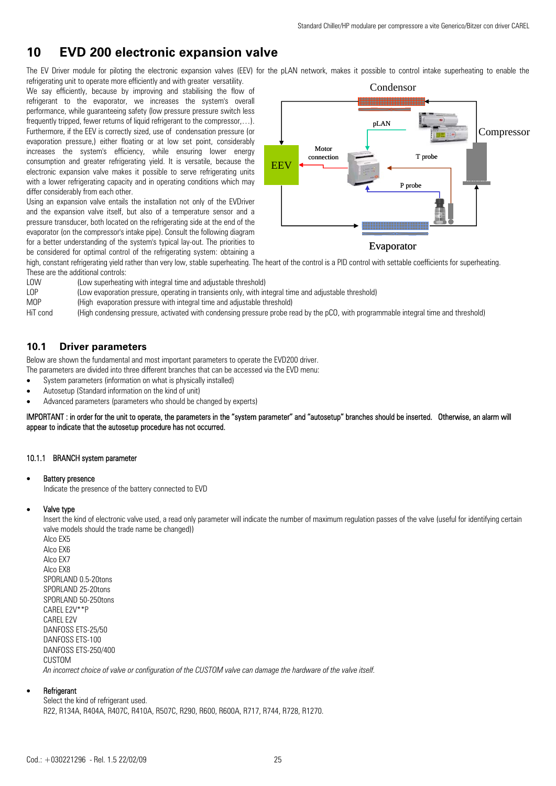## **10 EVD 200 electronic expansion valve**

The EV Driver module for piloting the electronic expansion valves (EEV) for the pLAN network, makes it possible to control intake superheating to enable the refrigerating unit to operate more efficiently and with greater versatility.

We say efficiently, because by improving and stabilising the flow of refrigerant to the evaporator, we increases the system's overall performance, while guaranteeing safety (low pressure pressure switch less frequently tripped, fewer returns of liquid refrigerant to the compressor....). Furthermore, if the EEV is correctly sized, use of condensation pressure (or evaporation pressure,) either floating or at low set point, considerably increases the system's efficiency, while ensuring lower energy consumption and greater refrigerating yield. It is versatile, because the electronic expansion valve makes it possible to serve refrigerating units with a lower refrigerating capacity and in operating conditions which may differ considerably from each other.

Using an expansion valve entails the installation not only of the EVDriver and the expansion valve itself, but also of a temperature sensor and a pressure transducer, both located on the refrigerating side at the end of the evaporator (on the compressor's intake pipe). Consult the following diagram for a better understanding of the system's typical lay-out. The priorities to be considered for optimal control of the refrigerating system: obtaining a



Evaporator

high, constant refrigerating yield rather than very low, stable superheating. The heart of the control is a PID control with settable coefficients for superheating. These are the additional controls:

- LOW (Low superheating with integral time and adjustable threshold)
- LOP (Low evaporation pressure, operating in transients only, with integral time and adjustable threshold)<br>
MOP (High evaporation pressure with integral time and adjustable threshold)
- (High evaporation pressure with integral time and adjustable threshold)

HiT cond (High condensing pressure, activated with condensing pressure probe read by the pCO, with programmable integral time and threshold)

## **10.1 Driver parameters**

Below are shown the fundamental and most important parameters to operate the EVD200 driver.

The parameters are divided into three different branches that can be accessed via the EVD menu:

- System parameters (information on what is physically installed)
- Autosetup (Standard information on the kind of unit)
- Advanced parameters (parameters who should be changed by experts)

IMPORTANT : in order for the unit to operate, the parameters in the "system parameter" and "autosetup" branches should be inserted. Otherwise, an alarm will appear to indicate that the autosetup procedure has not occurred.

#### 10.1.1 BRANCH system parameter

#### **Battery presence**

Indicate the presence of the battery connected to EVD

#### • Valve type

Insert the kind of electronic valve used, a read only parameter will indicate the number of maximum regulation passes of the valve (useful for identifying certain valve models should the trade name be changed))

Alco EX5 Alco EX6 Alco EX7 Alco EX8 SPORLAND 0.5-20tons SPORLAND 25-20tons SPORLAND 50-250tons CAREL E2V\*\*P CAREL E2V DANFOSS ETS-25/50 DANFOSS ETS-100 DANFOSS ETS-250/400 CUSTOM *An incorrect choice of valve or configuration of the CUSTOM valve can damage the hardware of the valve itself.* 

#### **Refrigerant**

Select the kind of refrigerant used. R22, R134A, R404A, R407C, R410A, R507C, R290, R600, R600A, R717, R744, R728, R1270.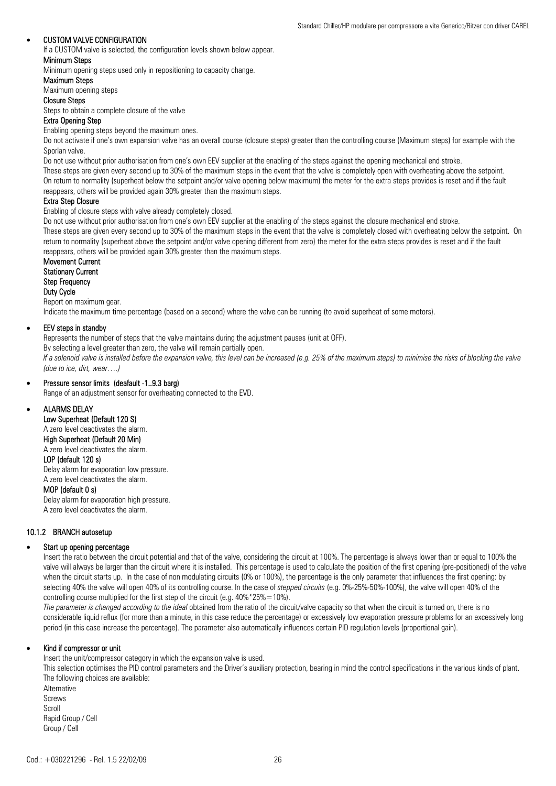#### • CUSTOM VALVE CONFIGURATION

If a CUSTOM valve is selected, the configuration levels shown below appear.

#### Minimum Steps

Minimum opening steps used only in repositioning to capacity change.

#### Maximum Steps

Maximum opening steps

#### Closure Steps

Steps to obtain a complete closure of the valve

### Extra Opening Step

Enabling opening steps beyond the maximum ones.

Do not activate if one's own expansion valve has an overall course (closure steps) greater than the controlling course (Maximum steps) for example with the Sporlan valve.

Do not use without prior authorisation from one's own EEV supplier at the enabling of the steps against the opening mechanical end stroke.

These steps are given every second up to 30% of the maximum steps in the event that the valve is completely open with overheating above the setpoint. On return to normality (superheat below the setpoint and/or valve opening below maximum) the meter for the extra steps provides is reset and if the fault reappears, others will be provided again 30% greater than the maximum steps.

#### Extra Step Closure

Enabling of closure steps with valve already completely closed.

Do not use without prior authorisation from one's own EEV supplier at the enabling of the steps against the closure mechanical end stroke.

These steps are given every second up to 30% of the maximum steps in the event that the valve is completely closed with overheating below the setpoint. On return to normality (superheat above the setpoint and/or valve opening different from zero) the meter for the extra steps provides is reset and if the fault reappears, others will be provided again 30% greater than the maximum steps.

Movement Current Stationary Current Step Frequency Duty Cycle Report on maximum gear.

Indicate the maximum time percentage (based on a second) where the valve can be running (to avoid superheat of some motors).

#### • EEV steps in standby

Represents the number of steps that the valve maintains during the adjustment pauses (unit at OFF).

By selecting a level greater than zero, the valve will remain partially open.

*If a solenoid valve is installed before the expansion valve, this level can be increased (e.g. 25% of the maximum steps) to minimise the risks of blocking the valve (due to ice, dirt, wear….)* 

### • Pressure sensor limits (deafault -1..9.3 barg)

Range of an adjustment sensor for overheating connected to the EVD.

#### • ALARMS DELAY

Low Superheat (Default 120 S)

## A zero level deactivates the alarm.

High Superheat (Default 20 Min)

#### A zero level deactivates the alarm. LOP (default 120 s)

Delay alarm for evaporation low pressure. A zero level deactivates the alarm.

#### MOP (default 0 s)

Delay alarm for evaporation high pressure. A zero level deactivates the alarm.

#### 10.1.2 BRANCH autosetup

#### Start up opening percentage

Insert the ratio between the circuit potential and that of the valve, considering the circuit at 100%. The percentage is always lower than or equal to 100% the valve will always be larger than the circuit where it is installed. This percentage is used to calculate the position of the first opening (pre-positioned) of the valve when the circuit starts up. In the case of non modulating circuits (0% or 100%), the percentage is the only parameter that influences the first opening: by selecting 40% the valve will open 40% of its controlling course. In the case of *stepped circuits* (e.g. 0%-25%-50%-100%), the valve will open 40% of the controlling course multiplied for the first step of the circuit (e.g. 40%\*25%=10%).

*The parameter is changed according to the ideal* obtained from the ratio of the circuit/valve capacity so that when the circuit is turned on, there is no considerable liquid reflux (for more than a minute, in this case reduce the percentage) or excessively low evaporation pressure problems for an excessively long period (in this case increase the percentage). The parameter also automatically influences certain PID regulation levels (proportional gain).

#### • Kind if compressor or unit

Insert the unit/compressor category in which the expansion valve is used.

This selection optimises the PID control parameters and the Driver's auxiliary protection, bearing in mind the control specifications in the various kinds of plant. The following choices are available:

**Alternative** Screws Scroll Rapid Group / Cell Group / Cell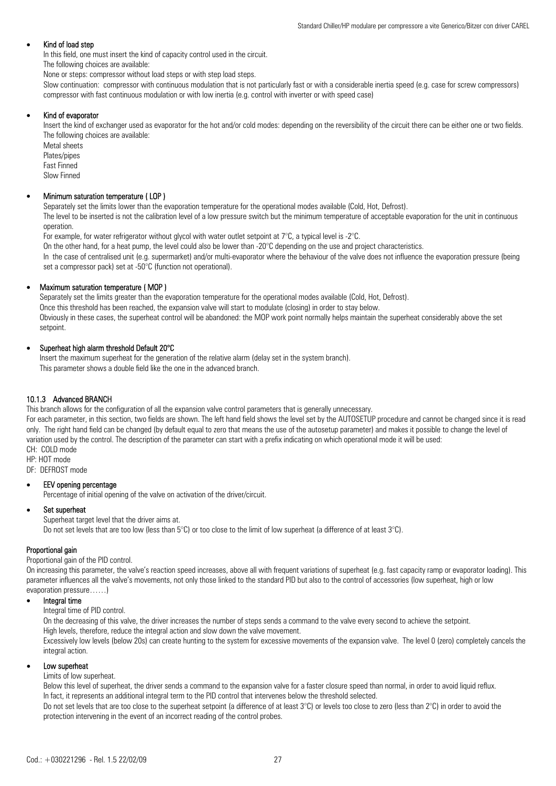#### Kind of load step

In this field, one must insert the kind of capacity control used in the circuit.

The following choices are available:

None or steps: compressor without load steps or with step load steps.

Slow continuation: compressor with continuous modulation that is not particularly fast or with a considerable inertia speed (e.g. case for screw compressors) compressor with fast continuous modulation or with low inertia (e.g. control with inverter or with speed case)

#### • Kind of evaporator

Insert the kind of exchanger used as evaporator for the hot and/or cold modes: depending on the reversibility of the circuit there can be either one or two fields. The following choices are available:

Metal sheets Plates/pipes Fast Finned Slow Finned

#### • Minimum saturation temperature ( LOP )

Separately set the limits lower than the evaporation temperature for the operational modes available (Cold, Hot, Defrost). The level to be inserted is not the calibration level of a low pressure switch but the minimum temperature of acceptable evaporation for the unit in continuous operation.

For example, for water refrigerator without glycol with water outlet setpoint at  $7^{\circ}$ C, a typical level is -2 $^{\circ}$ C.

On the other hand, for a heat pump, the level could also be lower than -20 $\degree$ C depending on the use and project characteristics.

In the case of centralised unit (e.g. supermarket) and/or multi-evaporator where the behaviour of the valve does not influence the evaporation pressure (being set a compressor pack) set at -50°C (function not operational).

#### • Maximum saturation temperature ( MOP )

Separately set the limits greater than the evaporation temperature for the operational modes available (Cold, Hot, Defrost). Once this threshold has been reached, the expansion valve will start to modulate (closing) in order to stay below. Obviously in these cases, the superheat control will be abandoned: the MOP work point normally helps maintain the superheat considerably above the set setpoint.

#### • Superheat high alarm threshold Default 20°C

Insert the maximum superheat for the generation of the relative alarm (delay set in the system branch). This parameter shows a double field like the one in the advanced branch.

#### 10.1.3 Advanced BRANCH

This branch allows for the configuration of all the expansion valve control parameters that is generally unnecessary.

For each parameter, in this section, two fields are shown. The left hand field shows the level set by the AUTOSETUP procedure and cannot be changed since it is read only. The right hand field can be changed (by default equal to zero that means the use of the autosetup parameter) and makes it possible to change the level of variation used by the control. The description of the parameter can start with a prefix indicating on which operational mode it will be used: CH: COLD mode

HP: HOT mode

DF: DEFROST mode

#### EEV opening percentage

Percentage of initial opening of the valve on activation of the driver/circuit.

#### • Set superheat

Superheat target level that the driver aims at. Do not set levels that are too low (less than  $5^{\circ}$ C) or too close to the limit of low superheat (a difference of at least  $3^{\circ}$ C).

#### Proportional gain

Proportional gain of the PID control.

On increasing this parameter, the valve's reaction speed increases, above all with frequent variations of superheat (e.g. fast capacity ramp or evaporator loading). This parameter influences all the valve's movements, not only those linked to the standard PID but also to the control of accessories (low superheat, high or low evaporation pressure……)

#### Integral time

Integral time of PID control.

On the decreasing of this valve, the driver increases the number of steps sends a command to the valve every second to achieve the setpoint. High levels, therefore, reduce the integral action and slow down the valve movement.

Excessively low levels (below 20s) can create hunting to the system for excessive movements of the expansion valve. The level 0 (zero) completely cancels the integral action.

#### Low superheat

Limits of low superheat.

Below this level of superheat, the driver sends a command to the expansion valve for a faster closure speed than normal, in order to avoid liquid reflux. In fact, it represents an additional integral term to the PID control that intervenes below the threshold selected.

Do not set levels that are too close to the superheat setpoint (a difference of at least  $3^{\circ}$ C) or levels too close to zero (less than  $2^{\circ}$ C) in order to avoid the protection intervening in the event of an incorrect reading of the control probes.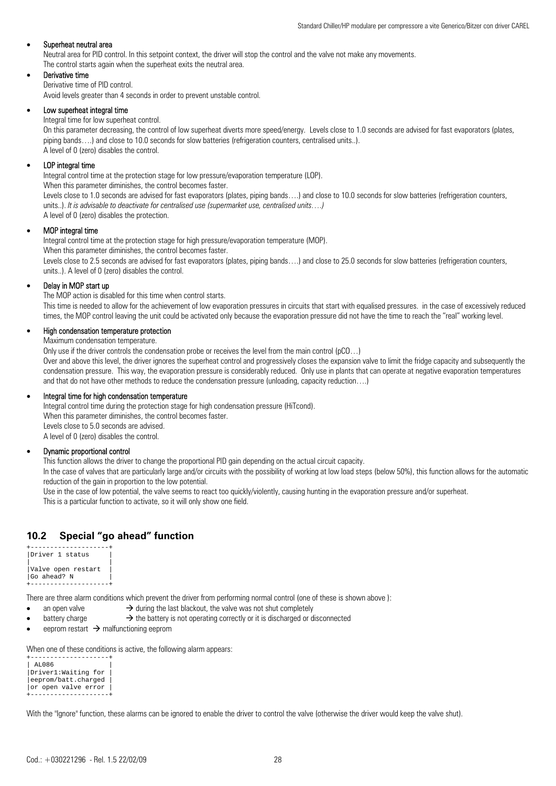#### Superheat neutral area

Neutral area for PID control. In this setpoint context, the driver will stop the control and the valve not make any movements. The control starts again when the superheat exits the neutral area.

#### Derivative time

Derivative time of PID control.

Avoid levels greater than 4 seconds in order to prevent unstable control.

#### Low superheat integral time

Integral time for low superheat control.

On this parameter decreasing, the control of low superheat diverts more speed/energy. Levels close to 1.0 seconds are advised for fast evaporators (plates, piping bands….) and close to 10.0 seconds for slow batteries (refrigeration counters, centralised units..). A level of 0 (zero) disables the control.

#### LOP integral time

Integral control time at the protection stage for low pressure/evaporation temperature (LOP).

When this parameter diminishes, the control becomes faster.

Levels close to 1.0 seconds are advised for fast evaporators (plates, piping bands...) and close to 10.0 seconds for slow batteries (refrigeration counters, units..). *It is advisable to deactivate for centralised use (supermarket use, centralised units….)*  A level of 0 (zero) disables the protection.

#### • MOP integral time

Integral control time at the protection stage for high pressure/evaporation temperature (MOP). When this parameter diminishes, the control becomes faster.

Levels close to 2.5 seconds are advised for fast evaporators (plates, piping bands....) and close to 25.0 seconds for slow batteries (refrigeration counters, units..). A level of 0 (zero) disables the control.

#### Delay in MOP start up

The MOP action is disabled for this time when control starts.

This time is needed to allow for the achievement of low evaporation pressures in circuits that start with equalised pressures. in the case of excessively reduced times, the MOP control leaving the unit could be activated only because the evaporation pressure did not have the time to reach the "real" working level.

## • High condensation temperature protection

Maximum condensation temperature.

Only use if the driver controls the condensation probe or receives the level from the main control (pCO…)

Over and above this level, the driver ignores the superheat control and progressively closes the expansion valve to limit the fridge capacity and subsequently the condensation pressure. This way, the evaporation pressure is considerably reduced. Only use in plants that can operate at negative evaporation temperatures and that do not have other methods to reduce the condensation pressure (unloading, capacity reduction….)

#### • Integral time for high condensation temperature

Integral control time during the protection stage for high condensation pressure (HiTcond). When this parameter diminishes, the control becomes faster. Levels close to 5.0 seconds are advised. A level of 0 (zero) disables the control.

#### • Dynamic proportional control

This function allows the driver to change the proportional PID gain depending on the actual circuit capacity.

In the case of valves that are particularly large and/or circuits with the possibility of working at low load steps (below 50%), this function allows for the automatic reduction of the gain in proportion to the low potential.

Use in the case of low potential, the valve seems to react too quickly/violently, causing hunting in the evaporation pressure and/or superheat. This is a particular function to activate, so it will only show one field.

## **10.2 Special "go ahead" function**

| Driver 1 status    |  |
|--------------------|--|
|                    |  |
| Valve open restart |  |
| Go ahead? N        |  |
|                    |  |

There are three alarm conditions which prevent the driver from performing normal control (one of these is shown above ):

- an open valve  $\rightarrow$  during the last blackout, the valve was not shut completely
- battery charge  $\rightarrow$  the battery is not operating correctly or it is discharged or disconnected
- eeprom restart  $\rightarrow$  malfunctioning eeprom

When one of these conditions is active, the following alarm appears:

```
+--------------------+ 
 AL086
|Driver1:Waiting for | 
eeprom/batt.charged
|or open valve error | 
+--------------------+
```
With the "Ignore" function, these alarms can be ignored to enable the driver to control the valve (otherwise the driver would keep the valve shut).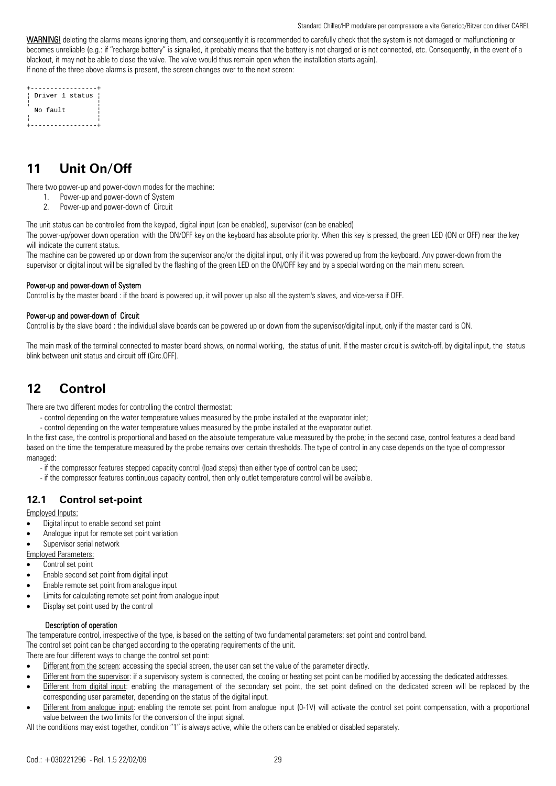WARNING! deleting the alarms means ignoring them, and consequently it is recommended to carefully check that the system is not damaged or malfunctioning or becomes unreliable (e.g.: if "recharge battery" is signalled, it probably means that the battery is not charged or is not connected, etc. Consequently, in the event of a blackout, it may not be able to close the valve. The valve would thus remain open when the installation starts again). If none of the three above alarms is present, the screen changes over to the next screen:

|  |          | Driver 1 status |  |
|--|----------|-----------------|--|
|  |          |                 |  |
|  | No fault |                 |  |
|  |          |                 |  |
|  |          |                 |  |

## **11 Unit On/Off**

There two power-up and power-down modes for the machine:

- 1. Power-up and power-down of System
- 2. Power-up and power-down of Circuit

The unit status can be controlled from the keypad, digital input (can be enabled), supervisor (can be enabled)

The power-up/power down operation with the ON/OFF key on the keyboard has absolute priority. When this key is pressed, the green LED (ON or OFF) near the key will indicate the current status.

The machine can be powered up or down from the supervisor and/or the digital input, only if it was powered up from the keyboard. Any power-down from the supervisor or digital input will be signalled by the flashing of the green LED on the ON/OFF key and by a special wording on the main menu screen.

#### Power-up and power-down of System

Control is by the master board : if the board is powered up, it will power up also all the system's slaves, and vice-versa if OFF.

#### Power-up and power-down of Circuit

Control is by the slave board : the individual slave boards can be powered up or down from the supervisor/digital input, only if the master card is ON.

The main mask of the terminal connected to master board shows, on normal working, the status of unit. If the master circuit is switch-off, by digital input, the status blink between unit status and circuit off (Circ.OFF).

## **12 Control**

There are two different modes for controlling the control thermostat:

- control depending on the water temperature values measured by the probe installed at the evaporator inlet;
- control depending on the water temperature values measured by the probe installed at the evaporator outlet.

In the first case, the control is proportional and based on the absolute temperature value measured by the probe; in the second case, control features a dead band based on the time the temperature measured by the probe remains over certain thresholds. The type of control in any case depends on the type of compressor managed<sup>-</sup>

- if the compressor features stepped capacity control (load steps) then either type of control can be used;
- if the compressor features continuous capacity control, then only outlet temperature control will be available.

## **12.1 Control set-point**

Employed Inputs:

- Digital input to enable second set point
- Analogue input for remote set point variation
- Supervisor serial network
- Employed Parameters:
- Control set point
- Enable second set point from digital input
- Enable remote set point from analogue input
- Limits for calculating remote set point from analogue input
- Display set point used by the control

#### Description of operation

The temperature control, irrespective of the type, is based on the setting of two fundamental parameters: set point and control band. The control set point can be changed according to the operating requirements of the unit.

There are four different ways to change the control set point:

- Different from the screen: accessing the special screen, the user can set the value of the parameter directly.
- Different from the supervisor: if a supervisory system is connected, the cooling or heating set point can be modified by accessing the dedicated addresses.
- Different from digital input: enabling the management of the secondary set point, the set point defined on the dedicated screen will be replaced by the corresponding user parameter, depending on the status of the digital input.
- Different from analogue input: enabling the remote set point from analogue input (0-1V) will activate the control set point compensation, with a proportional value between the two limits for the conversion of the input signal.

All the conditions may exist together, condition "1" is always active, while the others can be enabled or disabled separately.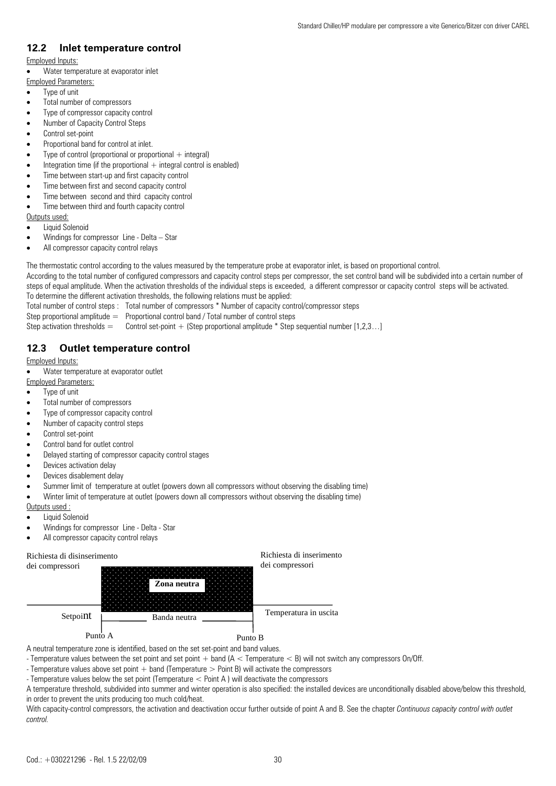## **12.2 Inlet temperature control**

- Employed Inputs:
- Water temperature at evaporator inlet
- Employed Parameters:
- Type of unit
- Total number of compressors
- Type of compressor capacity control
- Number of Capacity Control Steps
- Control set-point
- Proportional band for control at inlet.
- Type of control (proportional or proportional  $+$  integral)
- Integration time (if the proportional  $+$  integral control is enabled)
- Time between start-up and first capacity control
- Time between first and second capacity control
- Time between second and third capacity control
- Time between third and fourth capacity control

Outputs used:

- Liquid Solenoid
- Windings for compressor Line Delta Star
- All compressor capacity control relays

The thermostatic control according to the values measured by the temperature probe at evaporator inlet, is based on proportional control. According to the total number of configured compressors and capacity control steps per compressor, the set control band will be subdivided into a certain number of steps of equal amplitude. When the activation thresholds of the individual steps is exceeded, a different compressor or capacity control steps will be activated. To determine the different activation thresholds, the following relations must be applied:

Total number of control steps : Total number of compressors \* Number of capacity control/compressor steps

- Step proportional amplitude  $=$  Proportional control band / Total number of control steps
- Step activation thresholds  $=$  Control set-point  $+$  (Step proportional amplitude  $*$  Step sequential number [1,2,3...]

## **12.3 Outlet temperature control**

Employed Inputs:

• Water temperature at evaporator outlet

Employed Parameters:

- Type of unit
- Total number of compressors
- Type of compressor capacity control
- Number of capacity control steps
- Control set-point
- Control band for outlet control
- Delayed starting of compressor capacity control stages
- Devices activation delay
- Devices disablement delay
- Summer limit of temperature at outlet (powers down all compressors without observing the disabling time)
- Winter limit of temperature at outlet (powers down all compressors without observing the disabling time)

Outputs used :

- Liquid Solenoid
- Windings for compressor Line Delta Star
- All compressor capacity control relays

## Richiesta di disinserimento



A neutral temperature zone is identified, based on the set set-point and band values.

- Temperature values between the set point and set point + band (A < Temperature < B) will not switch any compressors On/Off.

- Temperature values above set point  $+$  band (Temperature  $>$  Point B) will activate the compressors
- Temperature values below the set point (Temperature < Point A ) will deactivate the compressors

A temperature threshold, subdivided into summer and winter operation is also specified: the installed devices are unconditionally disabled above/below this threshold, in order to prevent the units producing too much cold/heat.

Richiesta di inserimento

With capacity-control compressors, the activation and deactivation occur further outside of point A and B. See the chapter *Continuous capacity control with outlet control.*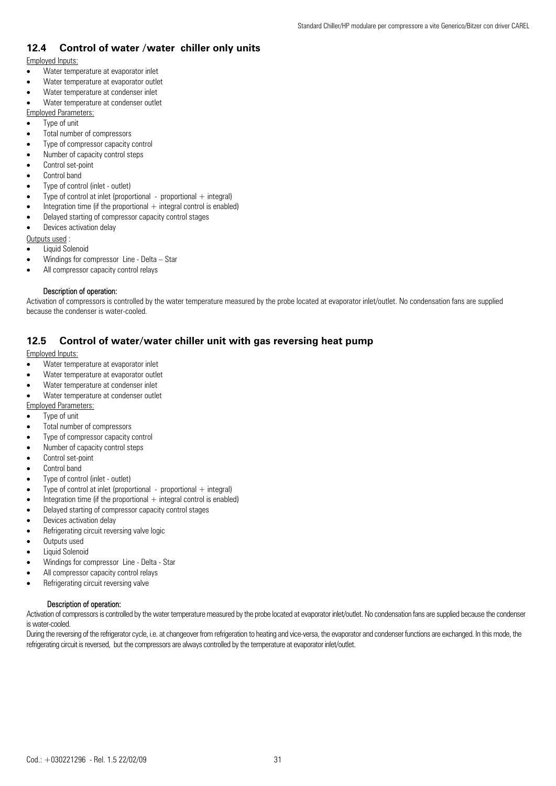## **12.4 Control of water /water chiller only units**

### Employed Inputs:

- Water temperature at evaporator inlet
- Water temperature at evaporator outlet
- Water temperature at condenser inlet
- Water temperature at condenser outlet
- Employed Parameters:
- Type of unit
- Total number of compressors
- Type of compressor capacity control
- Number of capacity control steps
- Control set-point
- Control band
- Type of control (inlet outlet)
- Type of control at inlet (proportional proportional  $+$  integral)
- Integration time (if the proportional  $+$  integral control is enabled)
- Delayed starting of compressor capacity control stages
- Devices activation delay

Outputs used :

- Liquid Solenoid
- Windings for compressor Line Delta Star
- All compressor capacity control relays

#### Description of operation:

Activation of compressors is controlled by the water temperature measured by the probe located at evaporator inlet/outlet. No condensation fans are supplied because the condenser is water-cooled.

## **12.5 Control of water/water chiller unit with gas reversing heat pump**

### Employed Inputs:

- Water temperature at evaporator inlet
- Water temperature at evaporator outlet
- Water temperature at condenser inlet
- Water temperature at condenser outlet
- Employed Parameters:
- Type of unit
- Total number of compressors
- Type of compressor capacity control
- Number of capacity control steps
- Control set-point
- Control band
- Type of control (inlet outlet)
- Type of control at inlet (proportional proportional  $+$  integral)
- Integration time (if the proportional  $+$  integral control is enabled)
- Delayed starting of compressor capacity control stages
- Devices activation delay
- Refrigerating circuit reversing valve logic
- Outputs used
- Liquid Solenoid
- Windings for compressor Line Delta Star
- All compressor capacity control relays
- Refrigerating circuit reversing valve

### Description of operation:

Activation of compressors is controlled by the water temperature measured by the probe located at evaporator inlet/outlet. No condensation fans are supplied because the condenser is water-cooled.

During the reversing of the refrigerator cycle, i.e. at changeover from refrigeration to heating and vice-versa, the evaporator and condenser functions are exchanged. In this mode, the refrigerating circuit is reversed, but the compressors are always controlled by the temperature at evaporator inlet/outlet.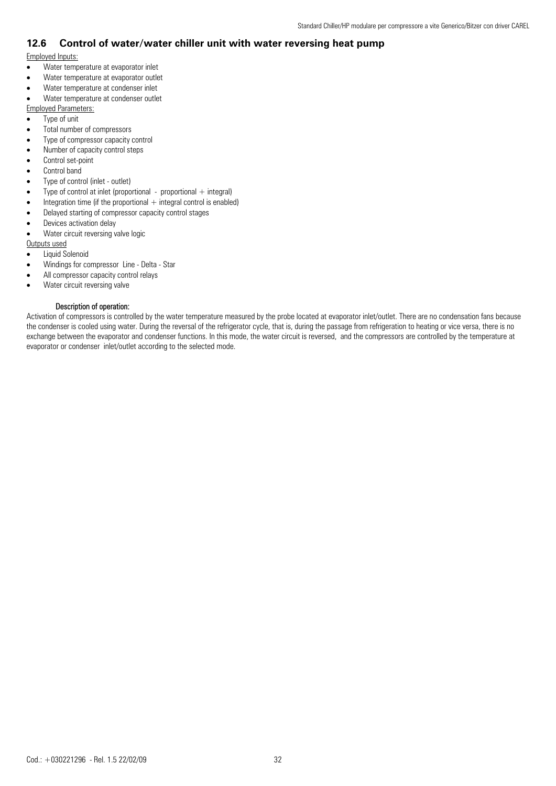## **12.6 Control of water/water chiller unit with water reversing heat pump**

## Employed Inputs:

- Water temperature at evaporator inlet
- Water temperature at evaporator outlet
- Water temperature at condenser inlet
- Water temperature at condenser outlet

Employed Parameters:

- Type of unit
- Total number of compressors
- Type of compressor capacity control
- Number of capacity control steps
- Control set-point
- Control band
- Type of control (inlet outlet)
- Type of control at inlet (proportional proportional  $+$  integral)
- Integration time (if the proportional  $+$  integral control is enabled)
- Delayed starting of compressor capacity control stages
- Devices activation delay
- Water circuit reversing valve logic

Outputs used

- Liquid Solenoid
- Windings for compressor Line Delta Star
- All compressor capacity control relays
- Water circuit reversing valve

### Description of operation:

Activation of compressors is controlled by the water temperature measured by the probe located at evaporator inlet/outlet. There are no condensation fans because the condenser is cooled using water. During the reversal of the refrigerator cycle, that is, during the passage from refrigeration to heating or vice versa, there is no exchange between the evaporator and condenser functions. In this mode, the water circuit is reversed, and the compressors are controlled by the temperature at evaporator or condenser inlet/outlet according to the selected mode.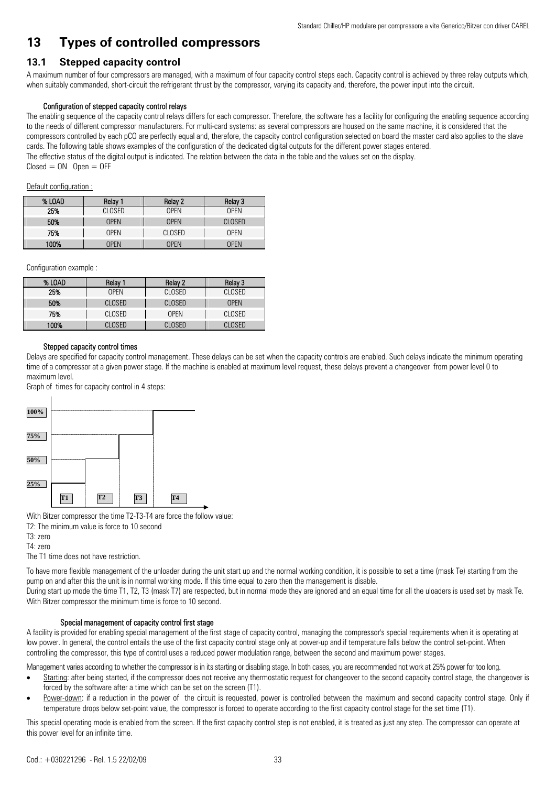## **13 Types of controlled compressors**

## **13.1 Stepped capacity control**

A maximum number of four compressors are managed, with a maximum of four capacity control steps each. Capacity control is achieved by three relay outputs which, when suitably commanded, short-circuit the refrigerant thrust by the compressor, varying its capacity and, therefore, the power input into the circuit.

#### Configuration of stepped capacity control relays

The enabling sequence of the capacity control relays differs for each compressor. Therefore, the software has a facility for configuring the enabling sequence according to the needs of different compressor manufacturers. For multi-card systems: as several compressors are housed on the same machine, it is considered that the compressors controlled by each pCO are perfectly equal and, therefore, the capacity control configuration selected on board the master card also applies to the slave cards. The following table shows examples of the configuration of the dedicated digital outputs for the different power stages entered. The effective status of the digital output is indicated. The relation between the data in the table and the values set on the display.  $Closed = ON$  Open  $=$  OFF

#### Default configuration :

| % LOAD | Relay 1     | Relay 2     | Relay 3     |
|--------|-------------|-------------|-------------|
| 25%    | CLOSED      | <b>OPFN</b> | <b>OPFN</b> |
| 50%    | <b>OPFN</b> | <b>OPFN</b> | CLOSED      |
| 75%    | <b>OPFN</b> | CLOSED      | <b>OPFN</b> |
| 100%   | <b>OPFN</b> | <b>OPFN</b> | <b>OPFN</b> |

Configuration example :

| % LOAD | Relay 1     | Relay 2     | Relay 3     |
|--------|-------------|-------------|-------------|
| 25%    | <b>OPFN</b> | CLOSED      | CLOSED      |
| 50%    | CLOSED      | CLOSED      | <b>OPFN</b> |
| 75%    | CLOSED      | <b>OPFN</b> | CLOSED      |
| 100%   | CI OSED     | CI OSED     | CI OSED     |

#### Stepped capacity control times

Delays are specified for capacity control management. These delays can be set when the capacity controls are enabled. Such delays indicate the minimum operating time of a compressor at a given power stage. If the machine is enabled at maximum level request, these delays prevent a changeover from power level 0 to maximum level.

Graph of times for capacity control in 4 steps:



With Bitzer compressor the time T2-T3-T4 are force the follow value:

T2: The minimum value is force to 10 second

T3: zero

T4: zero

The T1 time does not have restriction.

To have more flexible management of the unloader during the unit start up and the normal working condition, it is possible to set a time (mask Te) starting from the pump on and after this the unit is in normal working mode. If this time equal to zero then the management is disable. During start up mode the time T1, T2, T3 (mask T7) are respected, but in normal mode they are ignored and an equal time for all the uloaders is used set by mask Te. With Bitzer compressor the minimum time is force to 10 second.

### Special management of capacity control first stage

A facility is provided for enabling special management of the first stage of capacity control, managing the compressor's special requirements when it is operating at low power. In general, the control entails the use of the first capacity control stage only at power-up and if temperature falls below the control set-point. When controlling the compressor, this type of control uses a reduced power modulation range, between the second and maximum power stages.

Management varies according to whether the compressor is in its starting or disabling stage. In both cases, you are recommended not work at 25% power for too long.

- Starting: after being started, if the compressor does not receive any thermostatic request for changeover to the second capacity control stage, the changeover is forced by the software after a time which can be set on the screen (T1).
- Power-down: if a reduction in the power of the circuit is requested, power is controlled between the maximum and second capacity control stage. Only if temperature drops below set-point value, the compressor is forced to operate according to the first capacity control stage for the set time (T1).

This special operating mode is enabled from the screen. If the first capacity control step is not enabled, it is treated as just any step. The compressor can operate at this power level for an infinite time.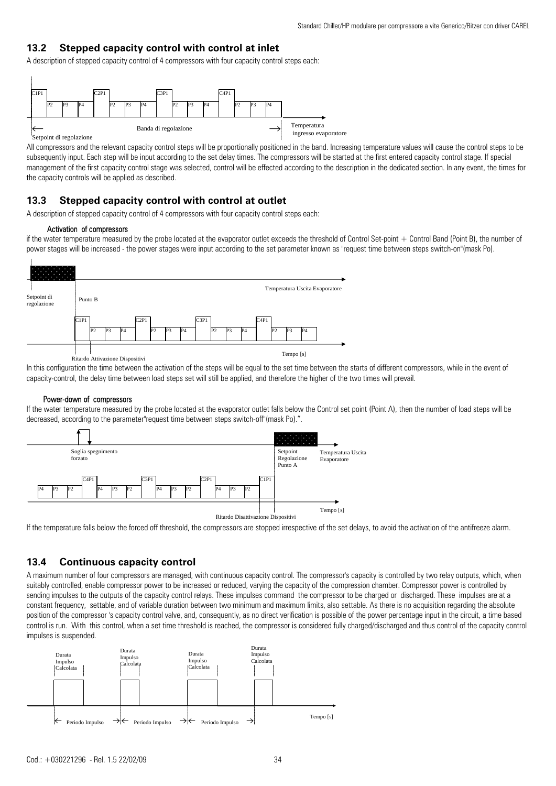## **13.2 Stepped capacity control with control at inlet**

A description of stepped capacity control of 4 compressors with four capacity control steps each:



All compressors and the relevant capacity control steps will be proportionally positioned in the band. Increasing temperature values will cause the control steps to be subsequently input. Each step will be input according to the set delay times. The compressors will be started at the first entered capacity control stage. If special management of the first capacity control stage was selected, control will be effected according to the description in the dedicated section. In any event, the times for the capacity controls will be applied as described.

## **13.3 Stepped capacity control with control at outlet**

A description of stepped capacity control of 4 compressors with four capacity control steps each:

#### Activation of compressors

if the water temperature measured by the probe located at the evaporator outlet exceeds the threshold of Control Set-point + Control Band (Point B), the number of power stages will be increased - the power stages were input according to the set parameter known as "request time between steps switch-on"(mask Po).



In this configuration the time between the activation of the steps will be equal to the set time between the starts of different compressors, while in the event of capacity-control, the delay time between load steps set will still be applied, and therefore the higher of the two times will prevail.

#### Power-down of compressors

If the water temperature measured by the probe located at the evaporator outlet falls below the Control set point (Point A), then the number of load steps will be decreased, according to the parameter"request time between steps switch-off"(mask Po).".



If the temperature falls below the forced off threshold, the compressors are stopped irrespective of the set delays, to avoid the activation of the antifreeze alarm.

## **13.4 Continuous capacity control**

A maximum number of four compressors are managed, with continuous capacity control. The compressor's capacity is controlled by two relay outputs, which, when suitably controlled, enable compressor power to be increased or reduced, varying the capacity of the compression chamber. Compressor power is controlled by sending impulses to the outputs of the capacity control relays. These impulses command the compressor to be charged or discharged. These impulses are at a constant frequency, settable, and of variable duration between two minimum and maximum limits, also settable. As there is no acquisition regarding the absolute position of the compressor 's capacity control valve, and, consequently, as no direct verification is possible of the power percentage input in the circuit, a time based control is run. With this control, when a set time threshold is reached, the compressor is considered fully charged/discharged and thus control of the capacity control impulses is suspended.

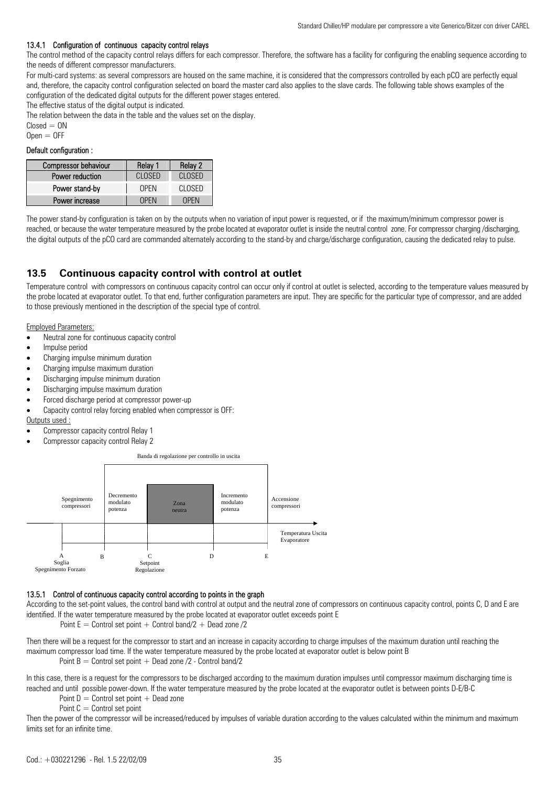#### 13.4.1 Configuration of continuous capacity control relays

The control method of the capacity control relays differs for each compressor. Therefore, the software has a facility for configuring the enabling sequence according to the needs of different compressor manufacturers.

For multi-card systems: as several compressors are housed on the same machine, it is considered that the compressors controlled by each pCO are perfectly equal and, therefore, the capacity control configuration selected on board the master card also applies to the slave cards. The following table shows examples of the configuration of the dedicated digital outputs for the different power stages entered.

The effective status of the digital output is indicated.

The relation between the data in the table and the values set on the display.

 $Closed = ON$ 

 $Open = OFF$ 

### Default configuration :

| <b>Compressor behaviour</b> | Relay 1     | Relay 2 |
|-----------------------------|-------------|---------|
| Power reduction             | CLOSED      | CLOSED  |
| Power stand-by              | <b>OPEN</b> | CLOSED  |
| Power increase              | OPEN        | OPEN    |

The power stand-by configuration is taken on by the outputs when no variation of input power is requested, or if the maximum/minimum compressor power is reached, or because the water temperature measured by the probe located at evaporator outlet is inside the neutral control zone. For compressor charging /discharging, the digital outputs of the pCO card are commanded alternately according to the stand-by and charge/discharge configuration, causing the dedicated relay to pulse.

## **13.5 Continuous capacity control with control at outlet**

Temperature control with compressors on continuous capacity control can occur only if control at outlet is selected, according to the temperature values measured by the probe located at evaporator outlet. To that end, further configuration parameters are input. They are specific for the particular type of compressor, and are added to those previously mentioned in the description of the special type of control.

Employed Parameters:

- Neutral zone for continuous capacity control
- Impulse period
- Charging impulse minimum duration
- Charging impulse maximum duration
- Discharging impulse minimum duration
- Discharging impulse maximum duration
- Forced discharge period at compressor power-up
- Capacity control relay forcing enabled when compressor is OFF:

#### Outputs used :

- Compressor capacity control Relay 1
- Compressor capacity control Relay 2



#### 13.5.1 Control of continuous capacity control according to points in the graph

According to the set-point values, the control band with control at output and the neutral zone of compressors on continuous capacity control, points C, D and E are identified. If the water temperature measured by the probe located at evaporator outlet exceeds point E

Point  $E =$  Control set point  $+$  Control band/2  $+$  Dead zone /2

Then there will be a request for the compressor to start and an increase in capacity according to charge impulses of the maximum duration until reaching the maximum compressor load time. If the water temperature measured by the probe located at evaporator outlet is below point B

Point  $B =$  Control set point  $+$  Dead zone  $/2$  - Control band $/2$ 

In this case, there is a request for the compressors to be discharged according to the maximum duration impulses until compressor maximum discharging time is reached and until possible power-down. If the water temperature measured by the probe located at the evaporator outlet is between points D-E/B-C

Point  $D =$  Control set point  $+$  Dead zone

Point  $C =$  Control set point

Then the power of the compressor will be increased/reduced by impulses of variable duration according to the values calculated within the minimum and maximum limits set for an infinite time.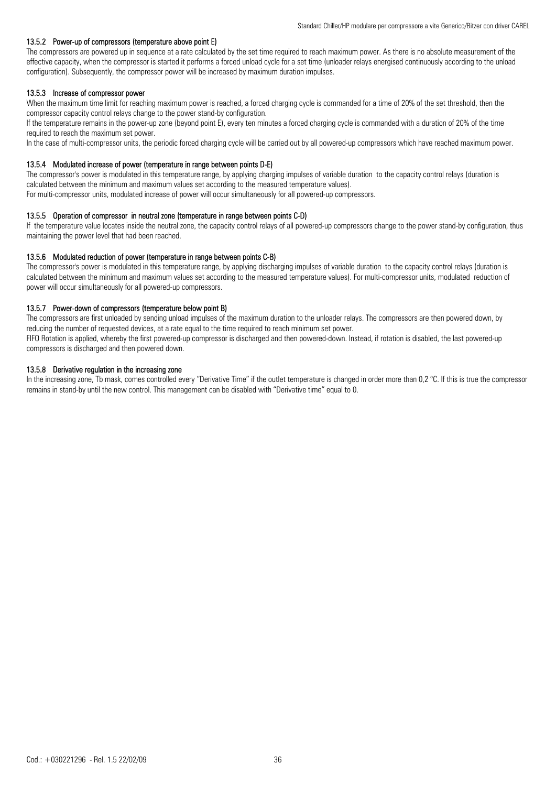#### 13.5.2 Power-up of compressors (temperature above point E)

The compressors are powered up in sequence at a rate calculated by the set time required to reach maximum power. As there is no absolute measurement of the effective capacity, when the compressor is started it performs a forced unload cycle for a set time (unloader relays energised continuously according to the unload configuration). Subsequently, the compressor power will be increased by maximum duration impulses.

#### 13.5.3 Increase of compressor power

When the maximum time limit for reaching maximum power is reached, a forced charging cycle is commanded for a time of 20% of the set threshold, then the compressor capacity control relays change to the power stand-by configuration.

If the temperature remains in the power-up zone (beyond point E), every ten minutes a forced charging cycle is commanded with a duration of 20% of the time required to reach the maximum set power.

In the case of multi-compressor units, the periodic forced charging cycle will be carried out by all powered-up compressors which have reached maximum power.

#### 13.5.4 Modulated increase of power (temperature in range between points D-E)

The compressor's power is modulated in this temperature range, by applying charging impulses of variable duration to the capacity control relays (duration is calculated between the minimum and maximum values set according to the measured temperature values). For multi-compressor units, modulated increase of power will occur simultaneously for all powered-up compressors.

13.5.5 Operation of compressor in neutral zone (temperature in range between points C-D)

If the temperature value locates inside the neutral zone, the capacity control relays of all powered-up compressors change to the power stand-by configuration, thus maintaining the power level that had been reached.

#### 13.5.6 Modulated reduction of power (temperature in range between points C-B)

The compressor's power is modulated in this temperature range, by applying discharging impulses of variable duration to the capacity control relays (duration is calculated between the minimum and maximum values set according to the measured temperature values). For multi-compressor units, modulated reduction of power will occur simultaneously for all powered-up compressors.

#### 13.5.7 Power-down of compressors (temperature below point B)

The compressors are first unloaded by sending unload impulses of the maximum duration to the unloader relays. The compressors are then powered down, by reducing the number of requested devices, at a rate equal to the time required to reach minimum set power.

FIFO Rotation is applied, whereby the first powered-up compressor is discharged and then powered-down. Instead, if rotation is disabled, the last powered-up compressors is discharged and then powered down.

#### 13.5.8 Derivative regulation in the increasing zone

In the increasing zone, Tb mask, comes controlled every "Derivative Time" if the outlet temperature is changed in order more than 0,2 °C. If this is true the compressor remains in stand-by until the new control. This management can be disabled with "Derivative time" equal to 0.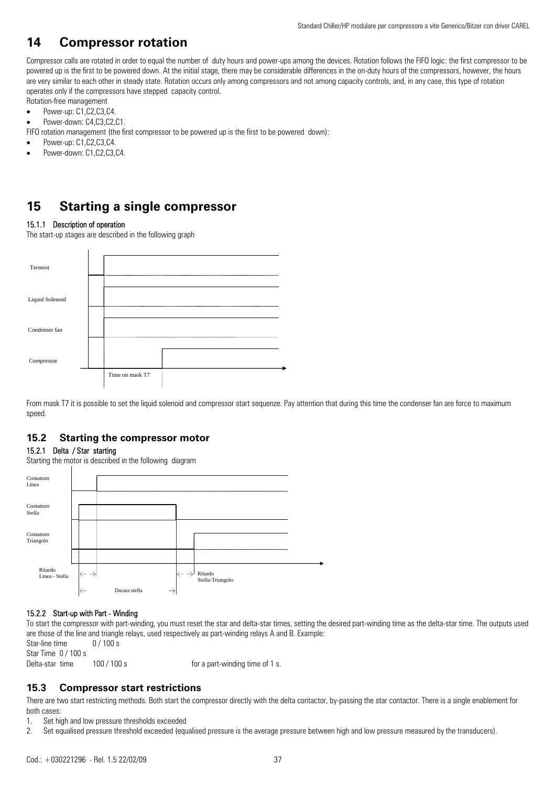## **14 Compressor rotation**

Compressor calls are rotated in order to equal the number of duty hours and power-ups among the devices. Rotation follows the FIFO logic: the first compressor to be powered up is the first to be powered down. At the initial stage, there may be considerable differences in the on-duty hours of the compressors, however, the hours are very similar to each other in steady state. Rotation occurs only among compressors and not among capacity controls, and, in any case, this type of rotation operates only if the compressors have stepped capacity control.

- Rotation-free management
- Power-up: C1,C2,C3,C4.
- Power-down: C4,C3,C2,C1.

FIFO rotation management (the first compressor to be powered up is the first to be powered down):

- Power-up: C1,C2,C3,C4.
- Power-down: C1,C2,C3,C4.

## **15 Starting a single compressor**

### 15.1.1 Description of operation

The start-up stages are described in the following graph



From mask T7 it is possible to set the liquid solenoid and compressor start sequenze. Pay attention that during this time the condenser fan are force to maximum speed.

## **15.2 Starting the compressor motor**

#### 15.2.1 Delta / Star starting

Starting the motor is described in the following diagram



## 15.2.2 Start-up with Part - Winding

To start the compressor with part-winding, you must reset the star and delta-star times, setting the desired part-winding time as the delta-star time. The outputs used are those of the line and triangle relays, used respectively as part-winding relays A and B. Example: Star-line time  $0/100 s$ 

Star Time 0 / 100 s

Delta-star time 100 / 100 s for a part-winding time of 1 s.

## **15.3 Compressor start restrictions**

There are two start restricting methods. Both start the compressor directly with the delta contactor, by-passing the star contactor. There is a single enablement for both cases:

1. Set high and low pressure thresholds exceeded

2. Set equalised pressure threshold exceeded (equalised pressure is the average pressure between high and low pressure measured by the transducers).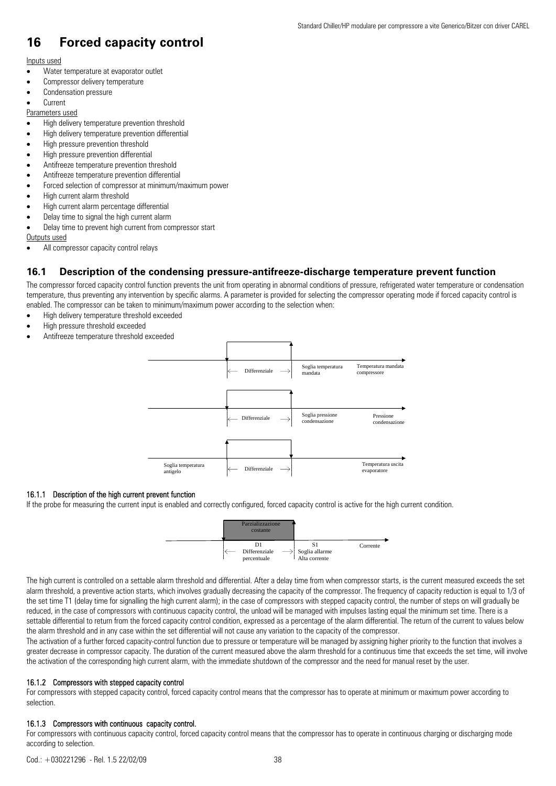## **16 Forced capacity control**

## Inputs used

- Water temperature at evaporator outlet
- Compressor delivery temperature
- Condensation pressure
- **Current**

#### Parameters used

- High delivery temperature prevention threshold
- High delivery temperature prevention differential
- High pressure prevention threshold
- High pressure prevention differential
- Antifreeze temperature prevention threshold
- Antifreeze temperature prevention differential
- Forced selection of compressor at minimum/maximum power
- High current alarm threshold
- High current alarm percentage differential
- Delay time to signal the high current alarm
- Delay time to prevent high current from compressor start

#### Outputs used

• All compressor capacity control relays

## **16.1 Description of the condensing pressure-antifreeze-discharge temperature prevent function**

The compressor forced capacity control function prevents the unit from operating in abnormal conditions of pressure, refrigerated water temperature or condensation temperature, thus preventing any intervention by specific alarms. A parameter is provided for selecting the compressor operating mode if forced capacity control is enabled. The compressor can be taken to minimum/maximum power according to the selection when:

- High delivery temperature threshold exceeded
- High pressure threshold exceeded
- Antifreeze temperature threshold exceeded



#### 16.1.1 Description of the high current prevent function

If the probe for measuring the current input is enabled and correctly configured, forced capacity control is active for the high current condition.



The high current is controlled on a settable alarm threshold and differential. After a delay time from when compressor starts, is the current measured exceeds the set alarm threshold, a preventive action starts, which involves gradually decreasing the capacity of the compressor. The frequency of capacity reduction is equal to 1/3 of the set time T1 (delay time for signalling the high current alarm); in the case of compressors with stepped capacity control, the number of steps on will gradually be reduced, in the case of compressors with continuous capacity control, the unload will be managed with impulses lasting equal the minimum set time. There is a settable differential to return from the forced capacity control condition, expressed as a percentage of the alarm differential. The return of the current to values below the alarm threshold and in any case within the set differential will not cause any variation to the capacity of the compressor.

The activation of a further forced capacity-control function due to pressure or temperature will be managed by assigning higher priority to the function that involves a greater decrease in compressor capacity. The duration of the current measured above the alarm threshold for a continuous time that exceeds the set time, will involve the activation of the corresponding high current alarm, with the immediate shutdown of the compressor and the need for manual reset by the user.

### 16.1.2 Compressors with stepped capacity control

For compressors with stepped capacity control, forced capacity control means that the compressor has to operate at minimum or maximum power according to selection.

#### 16.1.3 Compressors with continuous capacity control.

For compressors with continuous capacity control, forced capacity control means that the compressor has to operate in continuous charging or discharging mode according to selection.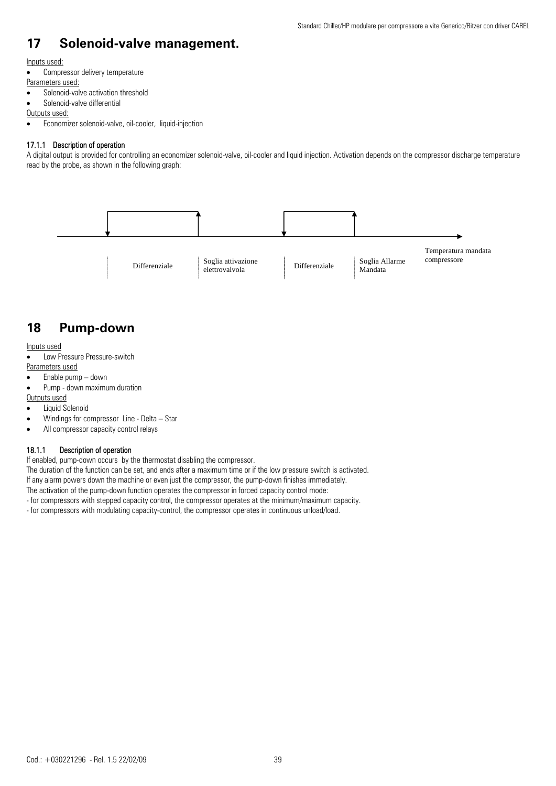## **17 Solenoid-valve management.**

#### Inputs used:

- Compressor delivery temperature
- Parameters used:
- Solenoid-valve activation threshold
- Solenoid-valve differential

#### Outputs used:

• Economizer solenoid-valve, oil-cooler, liquid-injection

### 17.1.1 Description of operation

A digital output is provided for controlling an economizer solenoid-valve, oil-cooler and liquid injection. Activation depends on the compressor discharge temperature read by the probe, as shown in the following graph:



## **18 Pump-down**

#### Inputs used

• Low Pressure Pressure-switch Parameters used

## • Enable pump – down

- Pump down maximum duration
- Outputs used

- Liquid Solenoid
- Windings for compressor Line Delta Star
- All compressor capacity control relays

## 18.1.1 Description of operation

If enabled, pump-down occurs by the thermostat disabling the compressor.

The duration of the function can be set, and ends after a maximum time or if the low pressure switch is activated.

- If any alarm powers down the machine or even just the compressor, the pump-down finishes immediately.
- The activation of the pump-down function operates the compressor in forced capacity control mode:
- for compressors with stepped capacity control, the compressor operates at the minimum/maximum capacity.
- for compressors with modulating capacity-control, the compressor operates in continuous unload/load.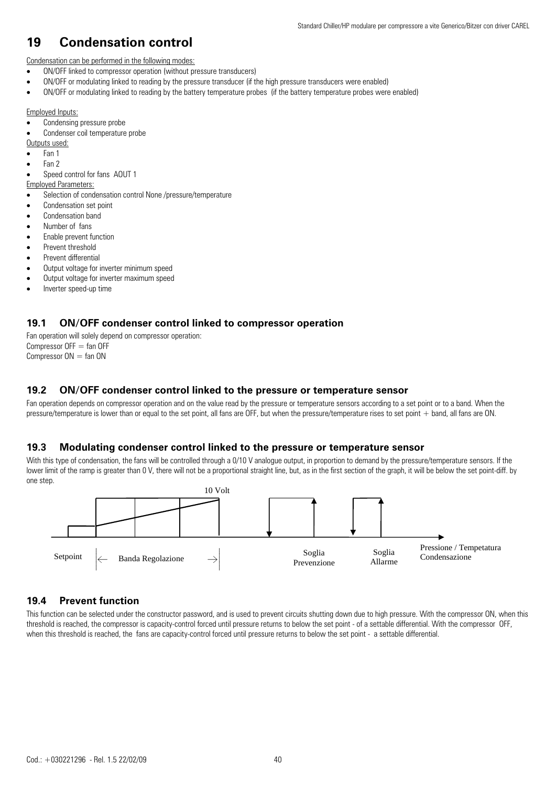## **19 Condensation control**

Condensation can be performed in the following modes:

- ON/OFF linked to compressor operation (without pressure transducers)
- ON/OFF or modulating linked to reading by the pressure transducer (if the high pressure transducers were enabled)
- ON/OFF or modulating linked to reading by the battery temperature probes (if the battery temperature probes were enabled)

### Employed Inputs:

Condensing pressure probe

Condenser coil temperature probe

- Outputs used:
- Fan 1
- Fan 2
- Speed control for fans AOUT 1

Employed Parameters:

- Selection of condensation control None /pressure/temperature
- Condensation set point
- Condensation band
- Number of fans
- Enable prevent function
- Prevent threshold
- Prevent differential
- Output voltage for inverter minimum speed
- Output voltage for inverter maximum speed
- Inverter speed-up time

## **19.1 ON/OFF condenser control linked to compressor operation**

Fan operation will solely depend on compressor operation: Compressor  $OFF = \text{fan } OFF$ Compressor  $ON = fan ON$ 

## **19.2 ON/OFF condenser control linked to the pressure or temperature sensor**

Fan operation depends on compressor operation and on the value read by the pressure or temperature sensors according to a set point or to a band. When the pressure/temperature is lower than or equal to the set point, all fans are OFF, but when the pressure/temperature rises to set point + band, all fans are ON.

## **19.3 Modulating condenser control linked to the pressure or temperature sensor**

With this type of condensation, the fans will be controlled through a 0/10 V analogue output, in proportion to demand by the pressure/temperature sensors. If the lower limit of the ramp is greater than 0 V, there will not be a proportional straight line, but, as in the first section of the graph, it will be below the set point-diff. by one step.



## **19.4 Prevent function**

This function can be selected under the constructor password, and is used to prevent circuits shutting down due to high pressure. With the compressor ON, when this threshold is reached, the compressor is capacity-control forced until pressure returns to below the set point - of a settable differential. With the compressor OFF, when this threshold is reached, the fans are capacity-control forced until pressure returns to below the set point - a settable differential.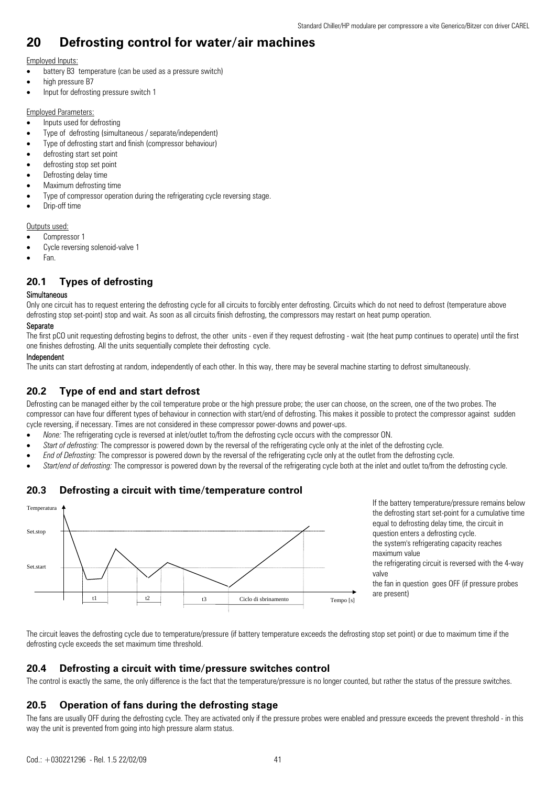## **20 Defrosting control for water/air machines**

### Employed Inputs:

- battery B3 temperature (can be used as a pressure switch)
- high pressure B7
- Input for defrosting pressure switch 1

#### Employed Parameters:

- Inputs used for defrosting
- Type of defrosting (simultaneous / separate/independent)
- Type of defrosting start and finish (compressor behaviour)
- defrosting start set point
- defrosting stop set point
- Defrosting delay time
- Maximum defrosting time
- Type of compressor operation during the refrigerating cycle reversing stage.
- Drip-off time

Outputs used:

- Compressor 1
- Cycle reversing solenoid-valve 1
- Fan.

## **20.1 Types of defrosting**

### Simultaneous

Only one circuit has to request entering the defrosting cycle for all circuits to forcibly enter defrosting. Circuits which do not need to defrost (temperature above defrosting stop set-point) stop and wait. As soon as all circuits finish defrosting, the compressors may restart on heat pump operation.

### Separate

The first pCO unit requesting defrosting begins to defrost, the other units - even if they request defrosting - wait (the heat pump continues to operate) until the first one finishes defrosting. All the units sequentially complete their defrosting cycle.

#### Independent

The units can start defrosting at random, independently of each other. In this way, there may be several machine starting to defrost simultaneously.

## **20.2 Type of end and start defrost**

Defrosting can be managed either by the coil temperature probe or the high pressure probe; the user can choose, on the screen, one of the two probes. The compressor can have four different types of behaviour in connection with start/end of defrosting. This makes it possible to protect the compressor against sudden cycle reversing, if necessary. Times are not considered in these compressor power-downs and power-ups.

- *None:* The refrigerating cycle is reversed at inlet/outlet to/from the defrosting cycle occurs with the compressor ON.
- Start of defrosting: The compressor is powered down by the reversal of the refrigerating cycle only at the inlet of the defrosting cycle.
- *End of Defrosting:* The compressor is powered down by the reversal of the refrigerating cycle only at the outlet from the defrosting cycle.
- *Start/end of defrosting:* The compressor is powered down by the reversal of the refrigerating cycle both at the inlet and outlet to/from the defrosting cycle.

## **20.3 Defrosting a circuit with time/temperature control**



If the battery temperature/pressure remains below the defrosting start set-point for a cumulative time equal to defrosting delay time, the circuit in question enters a defrosting cycle. the system's refrigerating capacity reaches maximum value the refrigerating circuit is reversed with the 4-way valve the fan in question goes OFF (if pressure probes are present)

The circuit leaves the defrosting cycle due to temperature/pressure (if battery temperature exceeds the defrosting stop set point) or due to maximum time if the defrosting cycle exceeds the set maximum time threshold.

## **20.4 Defrosting a circuit with time/pressure switches control**

The control is exactly the same, the only difference is the fact that the temperature/pressure is no longer counted, but rather the status of the pressure switches.

## **20.5 Operation of fans during the defrosting stage**

The fans are usually OFF during the defrosting cycle. They are activated only if the pressure probes were enabled and pressure exceeds the prevent threshold - in this way the unit is prevented from going into high pressure alarm status.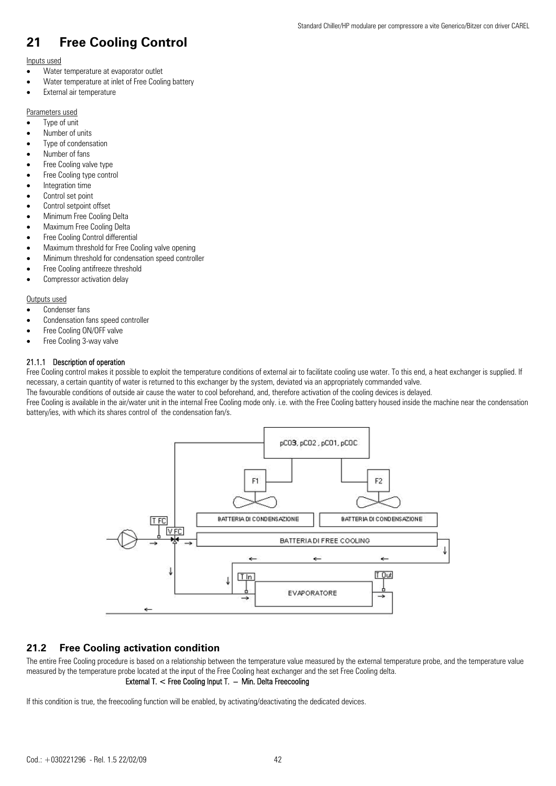## **21 Free Cooling Control**

#### Inputs used

- Water temperature at evaporator outlet
- Water temperature at inlet of Free Cooling battery
- External air temperature

## Parameters used

- Type of unit
- Number of units
- Type of condensation
- Number of fans
- Free Cooling valve type
- Free Cooling type control
- Integration time
- Control set point
- Control setpoint offset
- Minimum Free Cooling Delta
- Maximum Free Cooling Delta
- Free Cooling Control differential
- Maximum threshold for Free Cooling valve opening
- Minimum threshold for condensation speed controller
- Free Cooling antifreeze threshold
- Compressor activation delay

#### Outputs used

- Condenser fans
- Condensation fans speed controller
- Free Cooling ON/OFF valve
- Free Cooling 3-way valve

### 21.1.1 Description of operation

Free Cooling control makes it possible to exploit the temperature conditions of external air to facilitate cooling use water. To this end, a heat exchanger is supplied. If necessary, a certain quantity of water is returned to this exchanger by the system, deviated via an appropriately commanded valve.

The favourable conditions of outside air cause the water to cool beforehand, and, therefore activation of the cooling devices is delayed.

Free Cooling is available in the air/water unit in the internal Free Cooling mode only. i.e. with the Free Cooling battery housed inside the machine near the condensation battery/ies, with which its shares control of the condensation fan/s.



## **21.2 Free Cooling activation condition**

The entire Free Cooling procedure is based on a relationship between the temperature value measured by the external temperature probe, and the temperature value measured by the temperature probe located at the input of the Free Cooling heat exchanger and the set Free Cooling delta.

## External T. < Free Cooling Input T. – Min. Delta Freecooling

If this condition is true, the freecooling function will be enabled, by activating/deactivating the dedicated devices.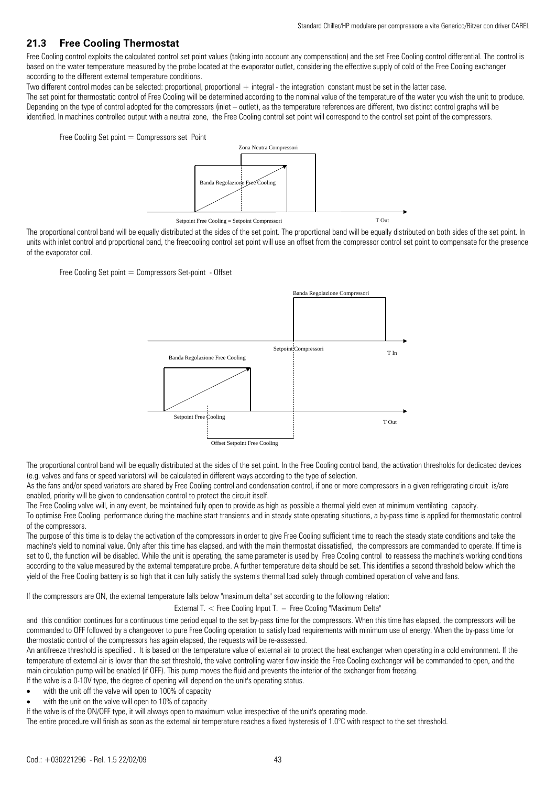## **21.3 Free Cooling Thermostat**

Free Cooling control exploits the calculated control set point values (taking into account any compensation) and the set Free Cooling control differential. The control is based on the water temperature measured by the probe located at the evaporator outlet, considering the effective supply of cold of the Free Cooling exchanger according to the different external temperature conditions.

Two different control modes can be selected: proportional, proportional + integral - the integration constant must be set in the latter case.

The set point for thermostatic control of Free Cooling will be determined according to the nominal value of the temperature of the water you wish the unit to produce. Depending on the type of control adopted for the compressors (inlet – outlet), as the temperature references are different, two distinct control graphs will be identified. In machines controlled output with a neutral zone, the Free Cooling control set point will correspond to the control set point of the compressors.

Free Cooling Set point  $=$  Compressors set Point



The proportional control band will be equally distributed at the sides of the set point. The proportional band will be equally distributed on both sides of the set point. In units with inlet control and proportional band, the freecooling control set point will use an offset from the compressor control set point to compensate for the presence of the evaporator coil.

Free Cooling Set point = Compressors Set-point - Offset



The proportional control band will be equally distributed at the sides of the set point. In the Free Cooling control band, the activation thresholds for dedicated devices (e.g. valves and fans or speed variators) will be calculated in different ways according to the type of selection.

As the fans and/or speed variators are shared by Free Cooling control and condensation control, if one or more compressors in a given refrigerating circuit is/are enabled, priority will be given to condensation control to protect the circuit itself.

The Free Cooling valve will, in any event, be maintained fully open to provide as high as possible a thermal yield even at minimum ventilating capacity.

To optimise Free Cooling performance during the machine start transients and in steady state operating situations, a by-pass time is applied for thermostatic control of the compressors.

The purpose of this time is to delay the activation of the compressors in order to give Free Cooling sufficient time to reach the steady state conditions and take the machine's yield to nominal value. Only after this time has elapsed, and with the main thermostat dissatisfied, the compressors are commanded to operate. If time is set to 0, the function will be disabled. While the unit is operating, the same parameter is used by Free Cooling control to reassess the machine's working conditions according to the value measured by the external temperature probe. A further temperature delta should be set. This identifies a second threshold below which the yield of the Free Cooling battery is so high that it can fully satisfy the system's thermal load solely through combined operation of valve and fans.

If the compressors are ON, the external temperature falls below "maximum delta" set according to the following relation:

External T. < Free Cooling Input T. – Free Cooling "Maximum Delta"

and this condition continues for a continuous time period equal to the set by-pass time for the compressors. When this time has elapsed, the compressors will be commanded to OFF followed by a changeover to pure Free Cooling operation to satisfy load requirements with minimum use of energy. When the by-pass time for thermostatic control of the compressors has again elapsed, the requests will be re-assessed.

An antifreeze threshold is specified . It is based on the temperature value of external air to protect the heat exchanger when operating in a cold environment. If the temperature of external air is lower than the set threshold, the valve controlling water flow inside the Free Cooling exchanger will be commanded to open, and the main circulation pump will be enabled (if OFF). This pump moves the fluid and prevents the interior of the exchanger from freezing.

If the valve is a 0-10V type, the degree of opening will depend on the unit's operating status.

- with the unit off the valve will open to 100% of capacity
- with the unit on the valve will open to 10% of capacity

If the valve is of the ON/OFF type, it will always open to maximum value irrespective of the unit's operating mode.

The entire procedure will finish as soon as the external air temperature reaches a fixed hysteresis of 1.0°C with respect to the set threshold.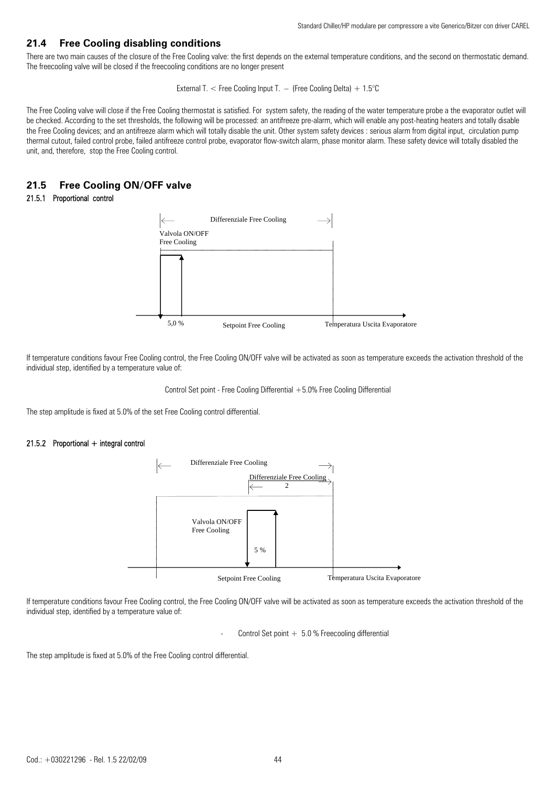## **21.4 Free Cooling disabling conditions**

There are two main causes of the closure of the Free Cooling valve: the first depends on the external temperature conditions, and the second on thermostatic demand. The freecooling valve will be closed if the freecooling conditions are no longer present

External T.  $\lt$  Free Cooling Input T.  $-$  (Free Cooling Delta) + 1.5°C

The Free Cooling valve will close if the Free Cooling thermostat is satisfied. For system safety, the reading of the water temperature probe a the evaporator outlet will be checked. According to the set thresholds, the following will be processed: an antifreeze pre-alarm, which will enable any post-heating heaters and totally disable the Free Cooling devices; and an antifreeze alarm which will totally disable the unit. Other system safety devices : serious alarm from digital input, circulation pump thermal cutout, failed control probe, failed antifreeze control probe, evaporator flow-switch alarm, phase monitor alarm. These safety device will totally disabled the unit, and, therefore, stop the Free Cooling control.

## **21.5 Free Cooling ON/OFF valve**

### 21.5.1 Proportional control



If temperature conditions favour Free Cooling control, the Free Cooling ON/OFF valve will be activated as soon as temperature exceeds the activation threshold of the individual step, identified by a temperature value of:

Control Set point - Free Cooling Differential  $+5.0%$  Free Cooling Differential

The step amplitude is fixed at 5.0% of the set Free Cooling control differential.

#### $21.5.2$  Proportional  $+$  integral control



If temperature conditions favour Free Cooling control, the Free Cooling ON/OFF valve will be activated as soon as temperature exceeds the activation threshold of the individual step, identified by a temperature value of:

Control Set point  $+ 5.0 %$  Freecooling differential

The step amplitude is fixed at 5.0% of the Free Cooling control differential.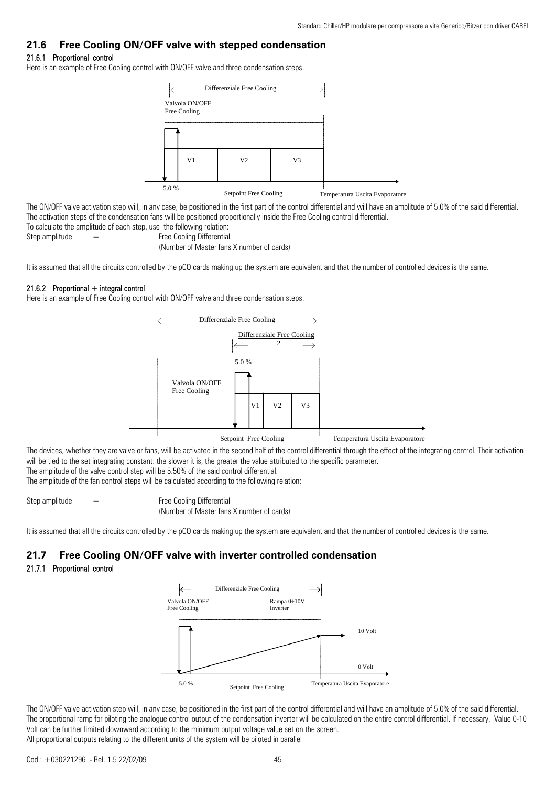## **21.6 Free Cooling ON/OFF valve with stepped condensation**

## 21.6.1 Proportional control

Here is an example of Free Cooling control with ON/OFF valve and three condensation steps.



The ON/OFF valve activation step will, in any case, be positioned in the first part of the control differential and will have an amplitude of 5.0% of the said differential. The activation steps of the condensation fans will be positioned proportionally inside the Free Cooling control differential. To calculate the amplitude of each step, use the following relation:

Step amplitude  $=$  Free Cooling Differential (Number of Master fans X number of cards)

It is assumed that all the circuits controlled by the pCO cards making up the system are equivalent and that the number of controlled devices is the same.

#### 21.6.2 Proportional  $+$  integral control

Here is an example of Free Cooling control with ON/OFF valve and three condensation steps.



The devices, whether they are valve or fans, will be activated in the second half of the control differential through the effect of the integrating control. Their activation will be tied to the set integrating constant: the slower it is, the greater the value attributed to the specific parameter.

The amplitude of the valve control step will be 5.50% of the said control differential.

The amplitude of the fan control steps will be calculated according to the following relation:

Step amplitude  $=$  Free Cooling Differential (Number of Master fans X number of cards)

It is assumed that all the circuits controlled by the pCO cards making up the system are equivalent and that the number of controlled devices is the same.

## **21.7 Free Cooling ON/OFF valve with inverter controlled condensation**

## 21.7.1 Proportional control



The ON/OFF valve activation step will, in any case, be positioned in the first part of the control differential and will have an amplitude of 5.0% of the said differential. The proportional ramp for piloting the analogue control output of the condensation inverter will be calculated on the entire control differential. If necessary, Value 0-10 Volt can be further limited downward according to the minimum output voltage value set on the screen. All proportional outputs relating to the different units of the system will be piloted in parallel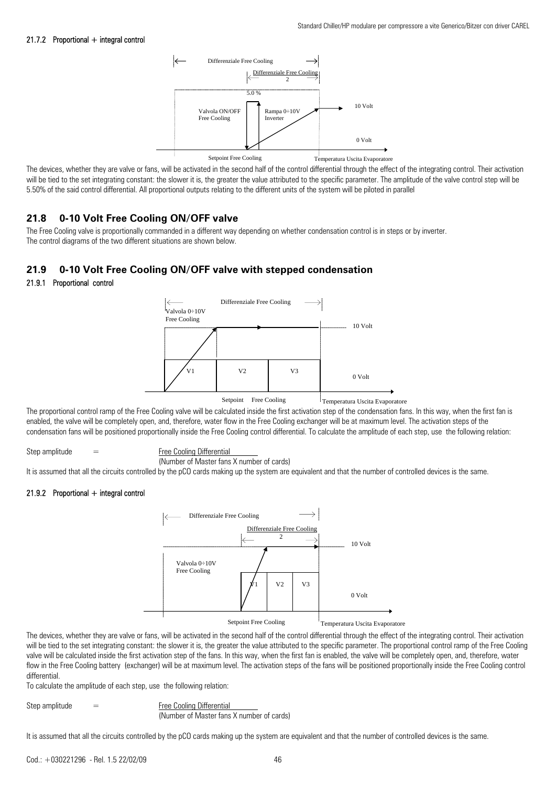#### 21.7.2 Proportional + integral control



The devices, whether they are valve or fans, will be activated in the second half of the control differential through the effect of the integrating control. Their activation will be tied to the set integrating constant: the slower it is, the greater the value attributed to the specific parameter. The amplitude of the valve control step will be 5.50% of the said control differential. All proportional outputs relating to the different units of the system will be piloted in parallel

## **21.8 0-10 Volt Free Cooling ON/OFF valve**

The Free Cooling valve is proportionally commanded in a different way depending on whether condensation control is in steps or by inverter. The control diagrams of the two different situations are shown below.

## **21.9 0-10 Volt Free Cooling ON/OFF valve with stepped condensation**

### 21.9.1 Proportional control



The proportional control ramp of the Free Cooling valve will be calculated inside the first activation step of the condensation fans. In this way, when the first fan is enabled, the valve will be completely open, and, therefore, water flow in the Free Cooling exchanger will be at maximum level. The activation steps of the condensation fans will be positioned proportionally inside the Free Cooling control differential. To calculate the amplitude of each step, use the following relation:

Step amplitude  $=$  Free Cooling Differential

(Number of Master fans X number of cards)

It is assumed that all the circuits controlled by the pCO cards making up the system are equivalent and that the number of controlled devices is the same.

#### 21.9.2 Proportional + integral control



The devices, whether they are valve or fans, will be activated in the second half of the control differential through the effect of the integrating control. Their activation will be tied to the set integrating constant: the slower it is, the greater the value attributed to the specific parameter. The proportional control ramp of the Free Cooling valve will be calculated inside the first activation step of the fans. In this way, when the first fan is enabled, the valve will be completely open, and, therefore, water flow in the Free Cooling battery (exchanger) will be at maximum level. The activation steps of the fans will be positioned proportionally inside the Free Cooling control differential.

To calculate the amplitude of each step, use the following relation:

Step amplitude  $=$  Free Cooling Differential (Number of Master fans X number of cards)

It is assumed that all the circuits controlled by the pCO cards making up the system are equivalent and that the number of controlled devices is the same.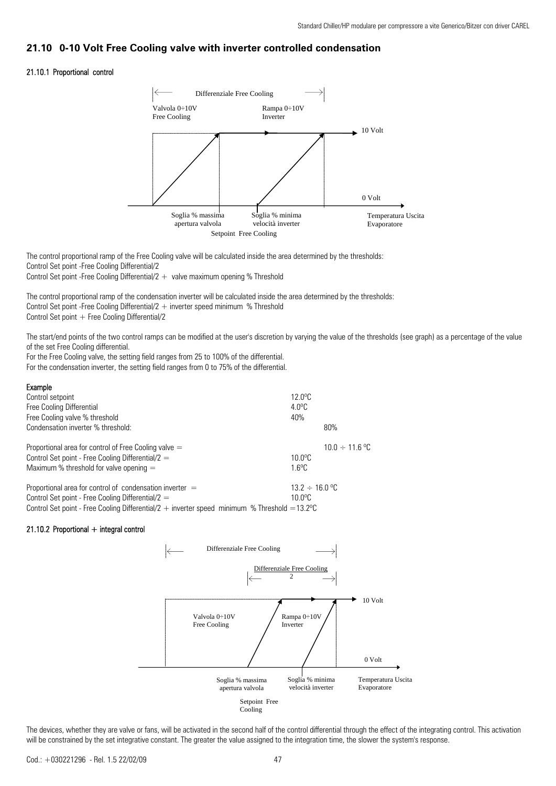## **21.10 0-10 Volt Free Cooling valve with inverter controlled condensation**

## 21.10.1 Proportional control



The control proportional ramp of the Free Cooling valve will be calculated inside the area determined by the thresholds: Control Set point -Free Cooling Differential/2 Control Set point -Free Cooling Differential/2  $+$  valve maximum opening % Threshold

The control proportional ramp of the condensation inverter will be calculated inside the area determined by the thresholds: Control Set point -Free Cooling Differential/ $2 +$  inverter speed minimum % Threshold Control Set point  $+$  Free Cooling Differential/2

The start/end points of the two control ramps can be modified at the user's discretion by varying the value of the thresholds (see graph) as a percentage of the value of the set Free Cooling differential.

For the Free Cooling valve, the setting field ranges from 25 to 100% of the differential.

For the condensation inverter, the setting field ranges from 0 to 75% of the differential.

| Example                                                                                                 |                       |                     |
|---------------------------------------------------------------------------------------------------------|-----------------------|---------------------|
| Control setpoint                                                                                        | 12. $0^{\circ}$ C     |                     |
| Free Cooling Differential                                                                               | $4.0^{\circ}$ C       |                     |
| Free Cooling valve % threshold                                                                          | 40%                   |                     |
| Condensation inverter % threshold:                                                                      |                       | 80%                 |
| Proportional area for control of Free Cooling valve $=$                                                 |                       | $10.0 \div 11.6$ °C |
| Control Set point - Free Cooling Differential/ $2 =$                                                    | $10.0$ <sup>o</sup> C |                     |
| Maximum % threshold for valve opening $=$                                                               | $16^{\circ}$ C        |                     |
| Proportional area for control of condensation inverter $=$                                              | $13.2 \div 16.0$ °C   |                     |
| Control Set point - Free Cooling Differential/ $2 =$                                                    | 10 0°C                |                     |
| Control Set point - Free Cooling Differential/2 + inverter speed minimum % Threshold = $13.2^{\circ}$ C |                       |                     |

## $21.10.2$  Proportional  $+$  integral control



The devices, whether they are valve or fans, will be activated in the second half of the control differential through the effect of the integrating control. This activation will be constrained by the set integrative constant. The greater the value assigned to the integration time, the slower the system's response.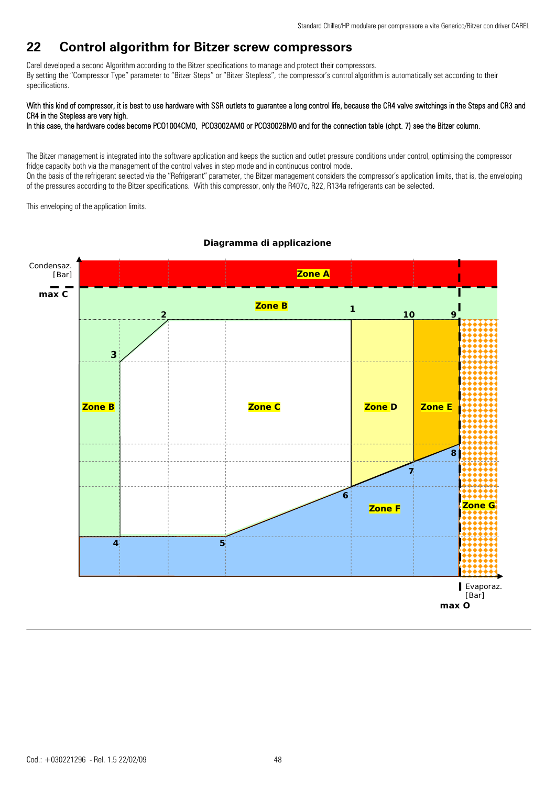## **22 Control algorithm for Bitzer screw compressors**

Carel developed a second Algorithm according to the Bitzer specifications to manage and protect their compressors. By setting the "Compressor Type" parameter to "Bitzer Steps" or "Bitzer Stepless", the compressor's control algorithm is automatically set according to their specifications.

## With this kind of compressor, it is best to use hardware with SSR outlets to guarantee a long control life, because the CR4 valve switchings in the Steps and CR3 and CR4 in the Stepless are very high.

In this case, the hardware codes become PCO1004CM0, PCO3002AM0 or PCO3002BM0 and for the connection table (chpt. 7) see the Bitzer column.

The Bitzer management is integrated into the software application and keeps the suction and outlet pressure conditions under control, optimising the compressor fridge capacity both via the management of the control valves in step mode and in continuous control mode.

On the basis of the refrigerant selected via the "Refrigerant" parameter, the Bitzer management considers the compressor's application limits, that is, the enveloping of the pressures according to the Bitzer specifications. With this compressor, only the R407c, R22, R134a refrigerants can be selected.

This enveloping of the application limits.



## *Diagramma di applicazione*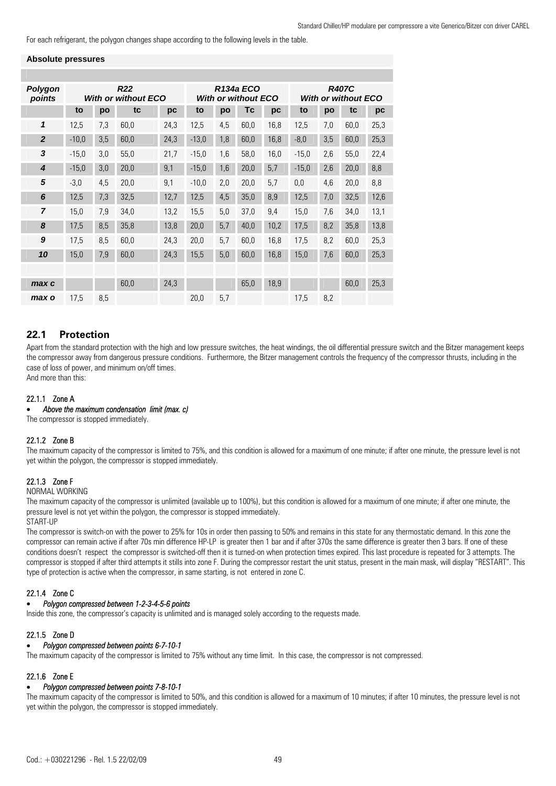For each refrigerant, the polygon changes shape according to the following levels in the table.

#### **Absolute pressures**

| Polygon<br>points | <b>R22</b><br><b>With or without ECO</b> |     |      |      | <b>R134a ECO</b><br><b>With or without ECO</b> |     |      |      | <b>R407C</b><br><b>With or without ECO</b> |     |      |      |
|-------------------|------------------------------------------|-----|------|------|------------------------------------------------|-----|------|------|--------------------------------------------|-----|------|------|
|                   | to                                       | po  | tc   | pc   | to                                             | po  | Тc   | pc   | to                                         | po  | tc   | pc   |
| 1                 | 12,5                                     | 7,3 | 60,0 | 24,3 | 12,5                                           | 4,5 | 60,0 | 16,8 | 12,5                                       | 7,0 | 60,0 | 25,3 |
| $\overline{2}$    | $-10,0$                                  | 3,5 | 60,0 | 24,3 | $-13,0$                                        | 1,8 | 60,0 | 16,8 | $-8,0$                                     | 3,5 | 60,0 | 25,3 |
| 3                 | $-15,0$                                  | 3,0 | 55,0 | 21,7 | $-15,0$                                        | 1,6 | 58,0 | 16,0 | $-15,0$                                    | 2,6 | 55,0 | 22,4 |
| $\boldsymbol{4}$  | $-15,0$                                  | 3,0 | 20,0 | 9,1  | $-15,0$                                        | 1,6 | 20,0 | 5,7  | $-15,0$                                    | 2,6 | 20,0 | 8,8  |
| 5                 | $-3,0$                                   | 4,5 | 20,0 | 9,1  | $-10,0$                                        | 2,0 | 20,0 | 5,7  | 0,0                                        | 4,6 | 20,0 | 8,8  |
| 6                 | 12,5                                     | 7,3 | 32,5 | 12,7 | 12,5                                           | 4,5 | 35,0 | 8,9  | 12,5                                       | 7,0 | 32,5 | 12,6 |
| $\overline{z}$    | 15,0                                     | 7,9 | 34,0 | 13,2 | 15,5                                           | 5,0 | 37,0 | 9,4  | 15,0                                       | 7,6 | 34,0 | 13,1 |
| 8                 | 17,5                                     | 8,5 | 35,8 | 13,8 | 20,0                                           | 5,7 | 40.0 | 10,2 | 17,5                                       | 8,2 | 35,8 | 13,8 |
| 9                 | 17,5                                     | 8,5 | 60,0 | 24,3 | 20,0                                           | 5,7 | 60.0 | 16,8 | 17,5                                       | 8,2 | 60.0 | 25,3 |
| 10                | 15,0                                     | 7,9 | 60,0 | 24,3 | 15,5                                           | 5,0 | 60,0 | 16,8 | 15,0                                       | 7,6 | 60.0 | 25,3 |
|                   |                                          |     |      |      |                                                |     |      |      |                                            |     |      |      |
| max c             |                                          |     | 60,0 | 24,3 |                                                |     | 65.0 | 18,9 |                                            |     | 60.0 | 25,3 |
| max o             | 17,5                                     | 8.5 |      |      | 20.0                                           | 5,7 |      |      | 17.5                                       | 8.2 |      |      |

## **22.1 Protection**

Apart from the standard protection with the high and low pressure switches, the heat windings, the oil differential pressure switch and the Bitzer management keeps the compressor away from dangerous pressure conditions. Furthermore, the Bitzer management controls the frequency of the compressor thrusts, including in the case of loss of power, and minimum on/off times. And more than this:

## 22.1.1 Zone A

• *Above the maximum condensation limit (max. c)* 

The compressor is stopped immediately.

## 22.1.2 Zone B

The maximum capacity of the compressor is limited to 75%, and this condition is allowed for a maximum of one minute; if after one minute, the pressure level is not yet within the polygon, the compressor is stopped immediately.

## 22.1.3 Zone F

NORMAL WORKING

The maximum capacity of the compressor is unlimited (available up to 100%), but this condition is allowed for a maximum of one minute; if after one minute, the pressure level is not yet within the polygon, the compressor is stopped immediately.

START-UP

The compressor is switch-on with the power to 25% for 10s in order then passing to 50% and remains in this state for any thermostatic demand. In this zone the compressor can remain active if after 70s min difference HP-LP is greater then 1 bar and if after 370s the same difference is greater then 3 bars. If one of these conditions doesn't respect the compressor is switched-off then it is turned-on when protection times expired. This last procedure is repeated for 3 attempts. The compressor is stopped if after third attempts it stills into zone F. During the compressor restart the unit status, present in the main mask, will display "RESTART". This type of protection is active when the compressor, in same starting, is not entered in zone C.

## 22.1.4 Zone C

#### • *Polygon compressed between 1-2-3-4-5-6 points*

Inside this zone, the compressor's capacity is unlimited and is managed solely according to the requests made.

## 22.1.5 Zone D

### • *Polygon compressed between points 6-7-10-1*

The maximum capacity of the compressor is limited to 75% without any time limit. In this case, the compressor is not compressed.

## 22.1.6 Zone E

#### • *Polygon compressed between points 7-8-10-1*

The maximum capacity of the compressor is limited to 50%, and this condition is allowed for a maximum of 10 minutes; if after 10 minutes, the pressure level is not yet within the polygon, the compressor is stopped immediately.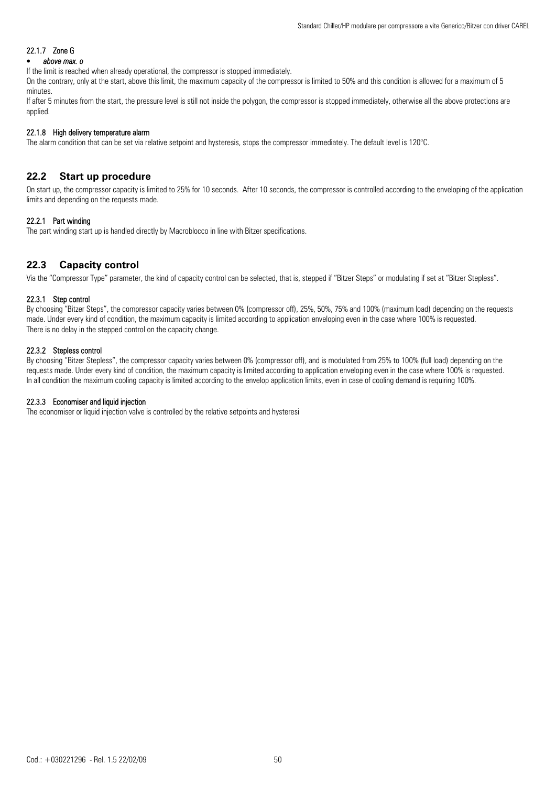## 22.1.7 Zone G

## • *above max. o*

If the limit is reached when already operational, the compressor is stopped immediately.

On the contrary, only at the start, above this limit, the maximum capacity of the compressor is limited to 50% and this condition is allowed for a maximum of 5 minutes.

If after 5 minutes from the start, the pressure level is still not inside the polygon, the compressor is stopped immediately, otherwise all the above protections are applied.

#### 22.1.8 High delivery temperature alarm

The alarm condition that can be set via relative setpoint and hysteresis, stops the compressor immediately. The default level is 120°C.

## **22.2 Start up procedure**

On start up, the compressor capacity is limited to 25% for 10 seconds. After 10 seconds, the compressor is controlled according to the enveloping of the application limits and depending on the requests made.

### 22.2.1 Part winding

The part winding start up is handled directly by Macroblocco in line with Bitzer specifications.

## **22.3 Capacity control**

Via the "Compressor Type" parameter, the kind of capacity control can be selected, that is, stepped if "Bitzer Steps" or modulating if set at "Bitzer Stepless".

#### 22.3.1 Step control

By choosing "Bitzer Steps", the compressor capacity varies between 0% (compressor off), 25%, 50%, 75% and 100% (maximum load) depending on the requests made. Under every kind of condition, the maximum capacity is limited according to application enveloping even in the case where 100% is requested. There is no delay in the stepped control on the capacity change.

#### 22.3.2 Stepless control

By choosing "Bitzer Stepless", the compressor capacity varies between 0% (compressor off), and is modulated from 25% to 100% (full load) depending on the requests made. Under every kind of condition, the maximum capacity is limited according to application enveloping even in the case where 100% is requested. In all condition the maximum cooling capacity is limited according to the envelop application limits, even in case of cooling demand is requiring 100%.

#### 22.3.3 Economiser and liquid injection

The economiser or liquid injection valve is controlled by the relative setpoints and hysteresi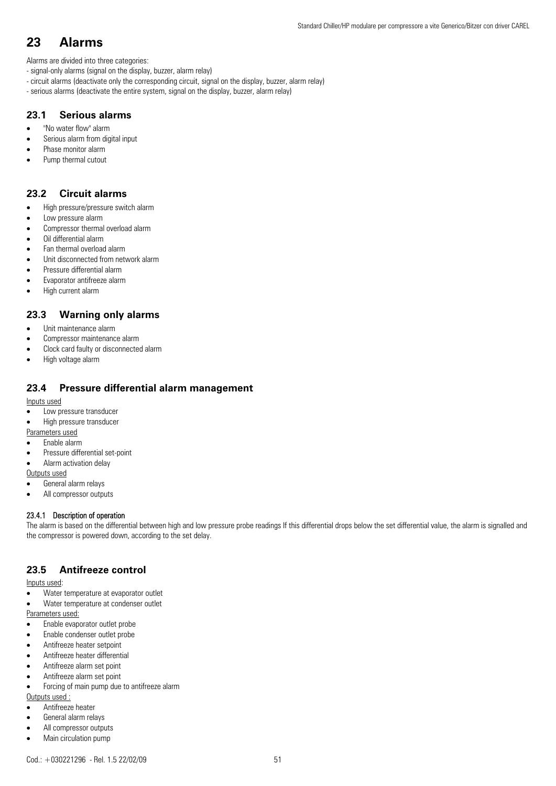## **23 Alarms**

Alarms are divided into three categories:

- signal-only alarms (signal on the display, buzzer, alarm relay)
- circuit alarms (deactivate only the corresponding circuit, signal on the display, buzzer, alarm relay)
- serious alarms (deactivate the entire system, signal on the display, buzzer, alarm relay)

## **23.1 Serious alarms**

- "No water flow" alarm
- Serious alarm from digital input
- Phase monitor alarm
- Pump thermal cutout

## **23.2 Circuit alarms**

- High pressure/pressure switch alarm
- Low pressure alarm
- Compressor thermal overload alarm
- Oil differential alarm
- Fan thermal overload alarm
- Unit disconnected from network alarm
- Pressure differential alarm
- Evaporator antifreeze alarm
- High current alarm

## **23.3 Warning only alarms**

- Unit maintenance alarm
- Compressor maintenance alarm
- Clock card faulty or disconnected alarm
- High voltage alarm

## **23.4 Pressure differential alarm management**

Inputs used

- Low pressure transducer
- High pressure transducer
- Parameters used
- Enable alarm
- Pressure differential set-point
- Alarm activation delay

Outputs used

- General alarm relays
- All compressor outputs

## 23.4.1 Description of operation

The alarm is based on the differential between high and low pressure probe readings If this differential drops below the set differential value, the alarm is signalled and the compressor is powered down, according to the set delay.

## **23.5 Antifreeze control**

Inputs used:

- Water temperature at evaporator outlet
- Water temperature at condenser outlet

Parameters used:

- Enable evaporator outlet probe
- Enable condenser outlet probe
- Antifreeze heater setpoint
- Antifreeze heater differential
- Antifreeze alarm set point
- Antifreeze alarm set point
- Forcing of main pump due to antifreeze alarm

#### Outputs used :

- Antifreeze heater
- General alarm relays
- All compressor outputs
- Main circulation pump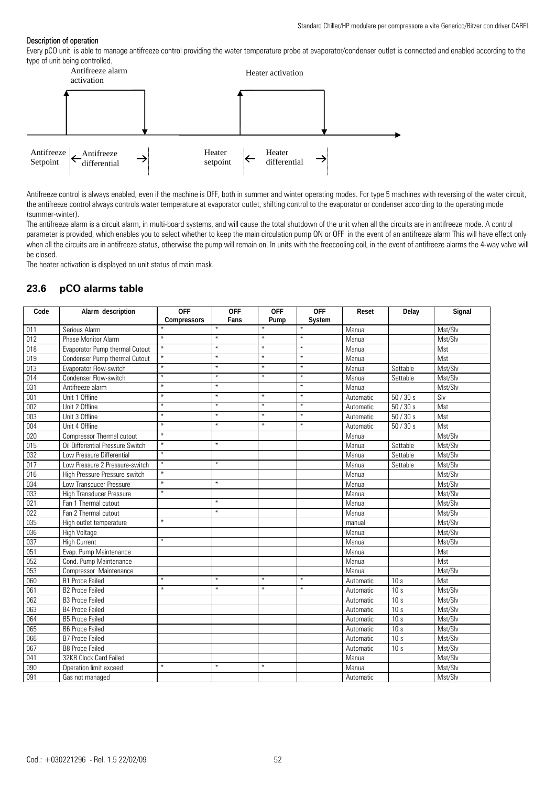#### Description of operation

Every pCO unit is able to manage antifreeze control providing the water temperature probe at evaporator/condenser outlet is connected and enabled according to the type of unit being controlled.



Antifreeze control is always enabled, even if the machine is OFF, both in summer and winter operating modes. For type 5 machines with reversing of the water circuit, the antifreeze control always controls water temperature at evaporator outlet, shifting control to the evaporator or condenser according to the operating mode (summer-winter).

The antifreeze alarm is a circuit alarm, in multi-board systems, and will cause the total shutdown of the unit when all the circuits are in antifreeze mode. A control parameter is provided, which enables you to select whether to keep the main circulation pump ON or OFF in the event of an antifreeze alarm This will have effect only when all the circuits are in antifreeze status, otherwise the pump will remain on. In units with the freecooling coil, in the event of antifreeze alarms the 4-way valve will be closed.

The heater activation is displayed on unit status of main mask.

## **23.6 pCO alarms table**

| Code | Alarm description                | <b>OFF</b>  | <b>OFF</b> | <b>OFF</b> | <b>OFF</b> | Reset     | Delay           | Signal  |
|------|----------------------------------|-------------|------------|------------|------------|-----------|-----------------|---------|
|      |                                  | Compressors | Fans       | Pump       | System     |           |                 |         |
| 011  | Serious Alarm                    | $\ast$      | ¥          | $\ast$     | $\ast$     | Manual    |                 | Mst/Slv |
| 012  | <b>Phase Monitor Alarm</b>       | $\ast$      | $\ast$     | $\ast$     | $\ast$     | Manual    |                 | Mst/Slv |
| 018  | Evaporator Pump thermal Cutout   | $\star$     | $\ast$     | $\ast$     | $\ast$     | Manual    |                 | Mst     |
| 019  | Condenser Pump thermal Cutout    | $\ast$      | $\ast$     | $\ast$     | $\ast$     | Manual    |                 | Mst     |
| 013  | Evaporator Flow-switch           | $\ast$      | $\ast$     | $\star$    | $\ast$     | Manual    | Settable        | Mst/Slv |
| 014  | Condenser Flow-switch            | $\ast$      | $\ast$     | $\ast$     | $\ast$     | Manual    | Settable        | Mst/Slv |
| 031  | Antifreeze alarm                 | $\ast$      | $\ast$     |            | $\ast$     | Manual    |                 | Mst/Slv |
| 001  | Unit 1 Offline                   | $\ast$      | $\ast$     | $\ast$     | $\ast$     | Automatic | 50/30s          | Slv     |
| 002  | Unit 2 Offline                   | $\ast$      | $\ast$     | $\ast$     | $\ast$     | Automatic | $50/30s$        | Mst     |
| 003  | Unit 3 Offline                   | $\ast$      | $\ast$     | $\ast$     | $\ast$     | Automatic | 50/30s          | Mst     |
| 004  | Unit 4 Offline                   | $\ast$      | $\ast$     | $\star$    | $\ast$     | Automatic | 50/30s          | Mst     |
| 020  | Compressor Thermal cutout        | $\ast$      |            |            |            | Manual    |                 | Mst/Slv |
| 015  | Oil Differential Pressure Switch | $\ast$      | $\ast$     |            |            | Manual    | Settable        | Mst/Slv |
| 032  | Low Pressure Differential        | $\ast$      |            |            |            | Manual    | Settable        | Mst/Slv |
| 017  | Low Pressure 2 Pressure-switch   | $\star$     | $\ast$     |            |            | Manual    | Settable        | Mst/Slv |
| 016  | High Pressure Pressure-switch    | $\ast$      |            |            |            | Manual    |                 | Mst/Slv |
| 034  | Low Transducer Pressure          | $\ast$      | $\ast$     |            |            | Manual    |                 | Mst/Slv |
| 033  | <b>High Transducer Pressure</b>  | $\star$     |            |            |            | Manual    |                 | Mst/Slv |
| 021  | Fan 1 Thermal cutout             |             | $\ast$     |            |            | Manual    |                 | Mst/Slv |
| 022  | Fan 2 Thermal cutout             |             | $\ast$     |            |            | Manual    |                 | Mst/Slv |
| 035  | High outlet temperature          | $\ast$      |            |            |            | manual    |                 | Mst/Slv |
| 036  | High Voltage                     |             |            |            |            | Manual    |                 | Mst/Slv |
| 037  | <b>High Current</b>              | $\ast$      |            |            |            | Manual    |                 | Mst/Slv |
| 051  | Evap. Pump Maintenance           |             |            |            |            | Manual    |                 | Mst     |
| 052  | Cond. Pump Maintenance           |             |            |            |            | Manual    |                 | Mst     |
| 053  | Compressor Maintenance           |             |            |            |            | Manual    |                 | Mst/Slv |
| 060  | <b>B1 Probe Failed</b>           | $\ast$      | $\ast$     | $\ast$     | $\ast$     | Automatic | 10s             | Mst     |
| 061  | <b>B2 Probe Failed</b>           | $\ast$      | $\ast$     | $\star$    | $\ast$     | Automatic | 10s             | Mst/Slv |
| 062  | <b>B3 Probe Failed</b>           |             |            |            |            | Automatic | 10 <sub>s</sub> | Mst/Slv |
| 063  | <b>B4 Probe Failed</b>           |             |            |            |            | Automatic | 10 <sub>s</sub> | Mst/Slv |
| 064  | <b>B5 Probe Failed</b>           |             |            |            |            | Automatic | 10 <sub>s</sub> | Mst/Slv |
| 065  | <b>B6 Probe Failed</b>           |             |            |            |            | Automatic | 10 <sub>s</sub> | Mst/Slv |
| 066  | <b>B7 Probe Failed</b>           |             |            |            |            | Automatic | 10 <sub>s</sub> | Mst/Slv |
| 067  | <b>B8 Probe Failed</b>           |             |            |            |            | Automatic | 10 <sub>s</sub> | Mst/Slv |
| 041  |                                  |             |            |            |            | Manual    |                 | Mst/Slv |
|      | 32KB Clock Card Failed           |             |            |            |            |           |                 |         |
| 090  | Operation limit exceed           | $\ast$      | $\ast$     | $\star$    |            | Manual    |                 | Mst/Slv |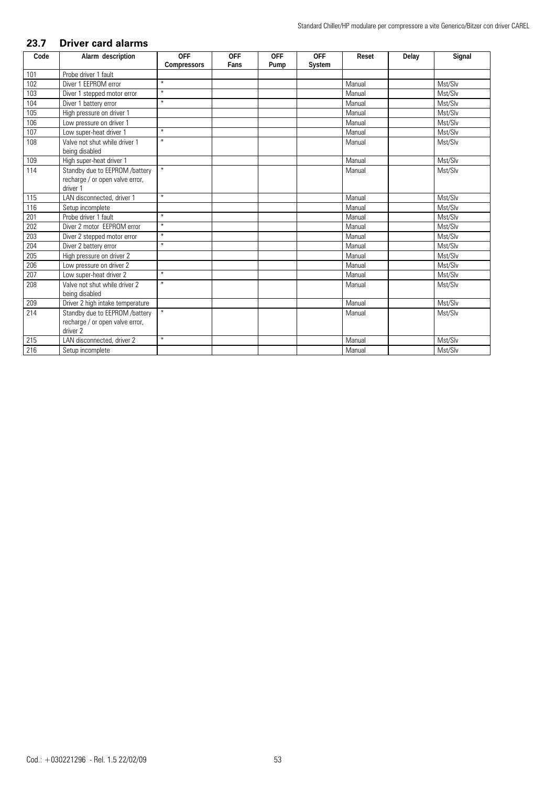## **23.7 Driver card alarms**

| Code | Alarm description                | <b>OFF</b>  | <b>OFF</b> | <b>OFF</b> | <b>OFF</b> | Reset  | Delay | Signal  |
|------|----------------------------------|-------------|------------|------------|------------|--------|-------|---------|
|      |                                  | Compressors | Fans       | Pump       | System     |        |       |         |
| 101  | Probe driver 1 fault             |             |            |            |            |        |       |         |
| 102  | Diver 1 EEPROM error             | $\ast$      |            |            |            | Manual |       | Mst/Slv |
| 103  | Diver 1 stepped motor error      | $\ast$      |            |            |            | Manual |       | Mst/Slv |
| 104  | Diver 1 battery error            | $\ast$      |            |            |            | Manual |       | Mst/Slv |
| 105  | High pressure on driver 1        |             |            |            |            | Manual |       | Mst/Slv |
| 106  | Low pressure on driver 1         |             |            |            |            | Manual |       | Mst/Slv |
| 107  | Low super-heat driver 1          | $\ast$      |            |            |            | Manual |       | Mst/Slv |
| 108  | Valve not shut while driver 1    | $\ast$      |            |            |            | Manual |       | Mst/Slv |
|      | being disabled                   |             |            |            |            |        |       |         |
| 109  | High super-heat driver 1         |             |            |            |            | Manual |       | Mst/Slv |
| 114  | Standby due to EEPROM /battery   | $\ast$      |            |            |            | Manual |       | Mst/Slv |
|      | recharge / or open valve error,  |             |            |            |            |        |       |         |
|      | driver 1                         |             |            |            |            |        |       |         |
| 115  | LAN disconnected, driver 1       | $\ast$      |            |            |            | Manual |       | Mst/Slv |
| 116  | Setup incomplete                 |             |            |            |            | Manual |       | Mst/Slv |
| 201  | Probe driver 1 fault             | $\ast$      |            |            |            | Manual |       | Mst/Slv |
| 202  | Diver 2 motor FFPROM error       | $\ast$      |            |            |            | Manual |       | Mst/Slv |
| 203  | Diver 2 stepped motor error      | $\ast$      |            |            |            | Manual |       | Mst/Slv |
| 204  | Diver 2 battery error            | $\ast$      |            |            |            | Manual |       | Mst/Slv |
| 205  | High pressure on driver 2        |             |            |            |            | Manual |       | Mst/Slv |
| 206  | Low pressure on driver 2         |             |            |            |            | Manual |       | Mst/Slv |
| 207  | Low super-heat driver 2          | $\ast$      |            |            |            | Manual |       | Mst/Slv |
| 208  | Valve not shut while driver 2    | $\ast$      |            |            |            | Manual |       | Mst/Slv |
|      | being disabled                   |             |            |            |            |        |       |         |
| 209  | Driver 2 high intake temperature |             |            |            |            | Manual |       | Mst/Slv |
| 214  | Standby due to EEPROM /battery   | $\ast$      |            |            |            | Manual |       | Mst/Slv |
|      | recharge / or open valve error,  |             |            |            |            |        |       |         |
|      | driver <sub>2</sub>              |             |            |            |            |        |       |         |
| 215  | LAN disconnected, driver 2       | $\ast$      |            |            |            | Manual |       | Mst/Slv |
| 216  | Setup incomplete                 |             |            |            |            | Manual |       | Mst/Slv |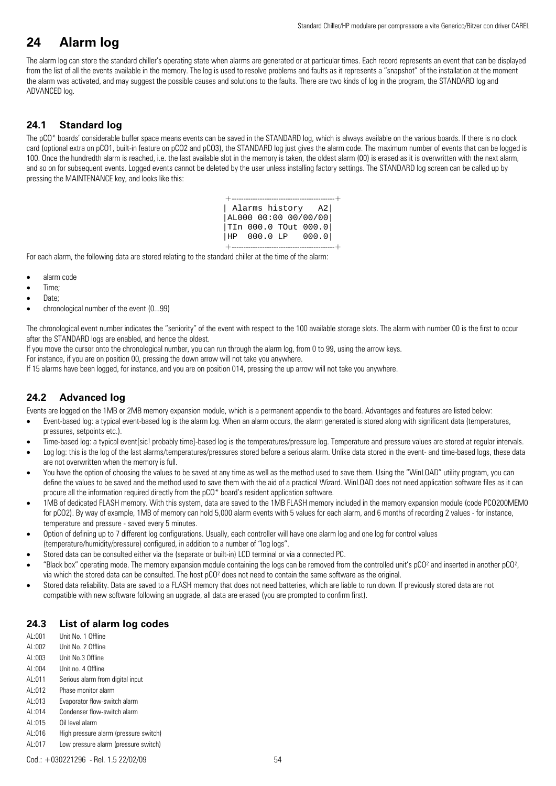## **24 Alarm log**

The alarm log can store the standard chiller's operating state when alarms are generated or at particular times. Each record represents an event that can be displayed from the list of all the events available in the memory. The log is used to resolve problems and faults as it represents a "snapshot" of the installation at the moment the alarm was activated, and may suggest the possible causes and solutions to the faults. There are two kinds of log in the program, the STANDARD log and ADVANCED log.

## **24.1 Standard log**

The pCO\* boards' considerable buffer space means events can be saved in the STANDARD log, which is always available on the various boards. If there is no clock card (optional extra on pCO1, built-in feature on pCO2 and pCO3), the STANDARD log just gives the alarm code. The maximum number of events that can be logged is 100. Once the hundredth alarm is reached, i.e. the last available slot in the memory is taken, the oldest alarm (00) is erased as it is overwritten with the next alarm, and so on for subsequent events. Logged events cannot be deleted by the user unless installing factory settings. The STANDARD log screen can be called up by pressing the MAINTENANCE key, and looks like this:

|                | ----------- |                      |
|----------------|-------------|----------------------|
| Alarms history |             | A2                   |
|                |             | AL000 00:00 00/00/00 |
|                |             | TIn 000.0 TOut 000.0 |
|                |             | HP 000.0 LP 000.0    |
|                |             |                      |

For each alarm, the following data are stored relating to the standard chiller at the time of the alarm:

- alarm code
- Time;
- Date:
- chronological number of the event (0...99)

The chronological event number indicates the "seniority" of the event with respect to the 100 available storage slots. The alarm with number 00 is the first to occur after the STANDARD logs are enabled, and hence the oldest.

If you move the cursor onto the chronological number, you can run through the alarm log, from 0 to 99, using the arrow keys.

For instance, if you are on position 00, pressing the down arrow will not take you anywhere.

If 15 alarms have been logged, for instance, and you are on position 014, pressing the up arrow will not take you anywhere.

## **24.2 Advanced log**

Events are logged on the 1MB or 2MB memory expansion module, which is a permanent appendix to the board. Advantages and features are listed below:

- Event-based log: a typical event-based log is the alarm log. When an alarm occurs, the alarm generated is stored along with significant data (temperatures, pressures, setpoints etc.).
- Time-based log: a typical event[sic! probably time]-based log is the temperatures/pressure log. Temperature and pressure values are stored at regular intervals.
- Log log: this is the log of the last alarms/temperatures/pressures stored before a serious alarm. Unlike data stored in the event- and time-based logs, these data are not overwritten when the memory is full.
- You have the option of choosing the values to be saved at any time as well as the method used to save them. Using the "WinLOAD" utility program, you can define the values to be saved and the method used to save them with the aid of a practical Wizard. WinLOAD does not need application software files as it can procure all the information required directly from the pCO\* board's resident application software.
- 1MB of dedicated FLASH memory. With this system, data are saved to the 1MB FLASH memory included in the memory expansion module (code PCO200MEMO for pCO2). By way of example, 1MB of memory can hold 5,000 alarm events with 5 values for each alarm, and 6 months of recording 2 values - for instance, temperature and pressure - saved every 5 minutes.
- Option of defining up to 7 different log configurations. Usually, each controller will have one alarm log and one log for control values (temperature/humidity/pressure) configured, in addition to a number of "log logs".
- Stored data can be consulted either via the (separate or built-in) LCD terminal or via a connected PC.
- "Black box" operating mode. The memory expansion module containing the logs can be removed from the controlled unit's pCO² and inserted in another pCO², via which the stored data can be consulted. The host pCO² does not need to contain the same software as the original.
- Stored data reliability. Data are saved to a FLASH memory that does not need batteries, which are liable to run down. If previously stored data are not compatible with new software following an upgrade, all data are erased (you are prompted to confirm first).

## **24.3 List of alarm log codes**

- AL:001 Unit No. 1 Offline AL:002 Unit No. 2 Offline AL:003 Unit No.3 Offline AL:004 Unit no. 4 Offline AL:011 Serious alarm from digital input AL:012 Phase monitor alarm AL:013 Evaporator flow-switch alarm
- AL:014 Condenser flow-switch alarm
- AL:015 Oil level alarm
- AL:016 High pressure alarm (pressure switch)
- AL:017 Low pressure alarm (pressure switch)

Cod.: +030221296 - Rel. 1.5 22/02/09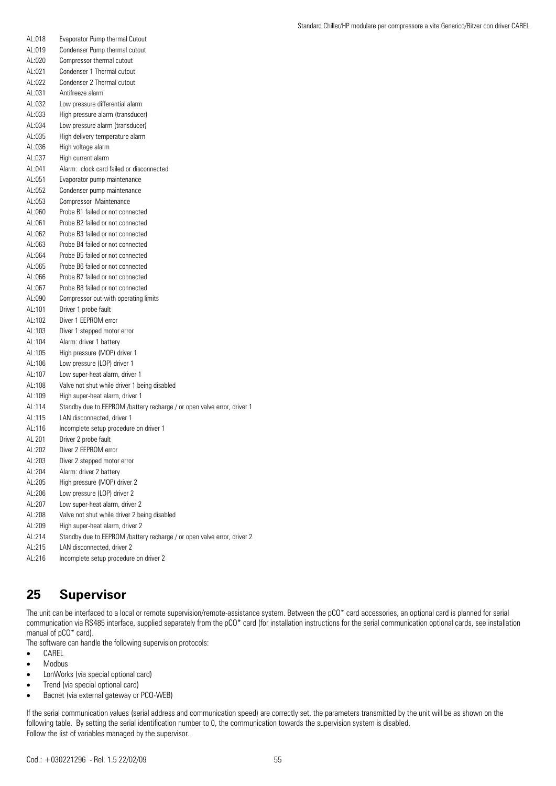| AL:018 | Evaporator Pump thermal Cutout                                          |
|--------|-------------------------------------------------------------------------|
| AL:019 | Condenser Pump thermal cutout                                           |
| AL:020 | Compressor thermal cutout                                               |
| AL:021 | Condenser 1 Thermal cutout                                              |
| AL:022 | Condenser 2 Thermal cutout                                              |
| AL:031 | Antifreeze alarm                                                        |
| AL:032 | Low pressure differential alarm                                         |
| AL:033 | High pressure alarm (transducer)                                        |
| AL:034 | Low pressure alarm (transducer)                                         |
| AL:035 | High delivery temperature alarm                                         |
| AL:036 | High voltage alarm                                                      |
| AL:037 | High current alarm                                                      |
| AL:041 | Alarm: clock card failed or disconnected                                |
| AL:051 | Evaporator pump maintenance                                             |
| AL:052 | Condenser pump maintenance                                              |
| AL:053 | Compressor Maintenance                                                  |
| AL:060 | Probe B1 failed or not connected                                        |
| AL:061 | Probe B2 failed or not connected                                        |
| AL:062 | Probe B3 failed or not connected                                        |
| AL:063 | Probe B4 failed or not connected                                        |
| AL:064 | Probe B5 failed or not connected                                        |
| AL:065 | Probe B6 failed or not connected                                        |
| Al:066 | Probe B7 failed or not connected                                        |
| AL:067 | Probe B8 failed or not connected                                        |
| AL:090 | Compressor out-with operating limits                                    |
| AL:101 | Driver 1 probe fault                                                    |
| AL:102 | Diver 1 FFPROM error                                                    |
| AL:103 | Diver 1 stepped motor error                                             |
| AL:104 | Alarm: driver 1 battery                                                 |
| AL:105 | High pressure (MOP) driver 1                                            |
| AL:106 | Low pressure (LOP) driver 1                                             |
| AL:107 | Low super-heat alarm, driver 1                                          |
| AL:108 | Valve not shut while driver 1 being disabled                            |
| AL:109 | High super-heat alarm, driver 1                                         |
| AL:114 | Standby due to EEPROM /battery recharge / or open valve error, driver 1 |
| AL:115 | LAN disconnected, driver 1                                              |
| AL:116 | Incomplete setup procedure on driver 1                                  |
| AL 201 | Driver 2 probe fault                                                    |
| AL:202 | Diver 2 EEPROM error                                                    |
| AL:203 | Diver 2 stepped motor error                                             |
| AL:204 | Alarm: driver 2 battery                                                 |
| AL:205 | High pressure (MOP) driver 2                                            |
| AL:206 | Low pressure (LOP) driver 2                                             |
| AL:207 | Low super-heat alarm, driver 2                                          |
| AL:208 | Valve not shut while driver 2 being disabled                            |
| AL:209 | High super-heat alarm, driver 2                                         |
| AL:214 | Standby due to EEPROM /battery recharge / or open valve error, driver 2 |
| AL:215 | LAN disconnected, driver 2                                              |
|        |                                                                         |

AL:216 Incomplete setup procedure on driver 2

## **25 Supervisor**

The unit can be interfaced to a local or remote supervision/remote-assistance system. Between the pCO\* card accessories, an optional card is planned for serial communication via RS485 interface, supplied separately from the pCO\* card (for installation instructions for the serial communication optional cards, see installation manual of pCO\* card).

The software can handle the following supervision protocols:

- CAREL
- Modbus
- LonWorks (via special optional card)
- Trend (via special optional card)
- Bacnet (via external gateway or PCO-WEB)

If the serial communication values (serial address and communication speed) are correctly set, the parameters transmitted by the unit will be as shown on the following table. By setting the serial identification number to 0, the communication towards the supervision system is disabled. Follow the list of variables managed by the supervisor.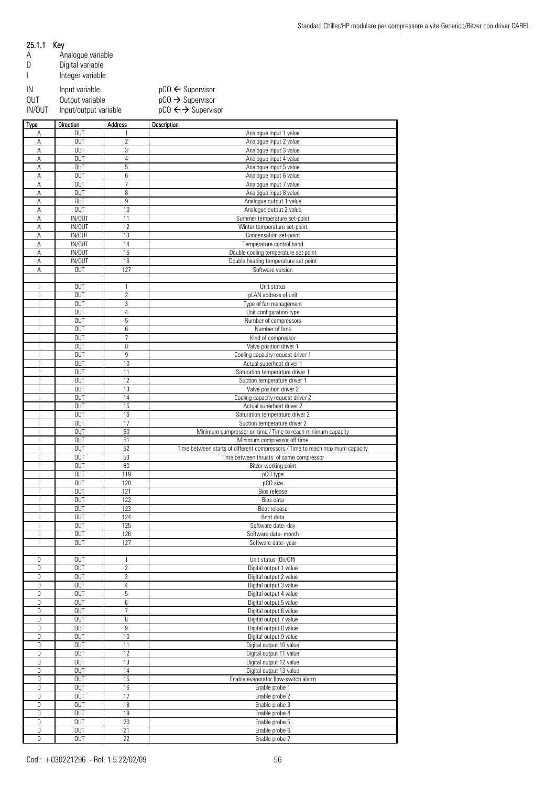|            | Analogue variable     |                                         |
|------------|-----------------------|-----------------------------------------|
|            | Digital variable      |                                         |
|            | Integer variable      |                                         |
| IN         | Input variable        | $pCO \leftarrow$ Supervisor             |
| <b>OUT</b> | Output variable       | $pCO \rightarrow$ Supervisor            |
| IN/OUT     | Input/output variable | $pCO \leftarrow \rightarrow$ Supervisor |

| <b>Type</b>              | <b>Direction</b> | Address          | Description                                                                   |
|--------------------------|------------------|------------------|-------------------------------------------------------------------------------|
| Α                        | <b>OUT</b>       | 1                | Analogue input 1 value                                                        |
| A                        | <b>OUT</b>       | $\overline{c}$   | Analogue input 2 value                                                        |
| A                        | <b>OUT</b>       | 3                | Analogue input 3 value                                                        |
| A                        | <b>OUT</b>       | 4                | Analogue input 4 value                                                        |
| A                        | <b>OUT</b>       | 5                | Analogue input 5 value                                                        |
| A                        | <b>OUT</b>       | 6                | Analogue input 6 value                                                        |
| A                        | <b>OUT</b>       | $\overline{1}$   | Analogue input 7 value                                                        |
| A                        | <b>OUT</b>       | 8                | Analogue input 8 value                                                        |
| A                        | <b>OUT</b>       | 9                | Analogue output 1 value                                                       |
| A                        | <b>OUT</b>       | 10               | Analogue output 2 value                                                       |
| A                        | IN/OUT           | 11               | Summer temperature set-point                                                  |
| A                        | IN/OUT           | 12               | Winter temperature set-point                                                  |
| A                        | IN/OUT           | 13               | Condensation set-point                                                        |
| Α                        | IN/OUT           | 14               | Temperature control band                                                      |
| A                        | IN/OUT           | 15               | Double cooling temperature set point                                          |
| A                        | IN/OUT           | 16               | Double heating temperature set point                                          |
| A                        | <b>OUT</b>       | 127              | Software version                                                              |
|                          |                  |                  |                                                                               |
|                          | <b>OUT</b>       | 1                | Unit status                                                                   |
|                          | <b>OUT</b>       | $\overline{c}$   | pLAN address of unit                                                          |
|                          | <b>OUT</b>       | 3                |                                                                               |
|                          | <b>OUT</b>       | 4                | Type of fan management<br>Unit configuration type                             |
|                          | <b>OUT</b>       | 5                |                                                                               |
|                          |                  |                  | Number of compressors<br>Number of fans                                       |
|                          | <b>OUT</b>       | 6                |                                                                               |
|                          | <b>OUT</b>       | $\overline{1}$   | Kind of compressor                                                            |
| ı                        | <b>OUT</b>       | 8                | Valve position driver 1                                                       |
|                          | <b>OUT</b>       | $\overline{9}$   | Cooling capacity request driver 1                                             |
|                          | <b>OUT</b>       | 10               | Actual superheat driver 1                                                     |
|                          | <b>OUT</b>       | 11               | Saturation temperature driver 1                                               |
|                          | <b>OUT</b>       | 12               | Suction temperature driver 1                                                  |
|                          | <b>OUT</b>       | 13               | Valve position driver 2                                                       |
|                          | <b>OUT</b>       | 14               | Cooling capacity request driver 2                                             |
|                          | <b>OUT</b>       | 15               | Actual superheat driver 2                                                     |
|                          | <b>OUT</b>       | 16               | Saturation temperature driver 2                                               |
|                          | <b>OUT</b>       | 17               | Suction temperature driver 2                                                  |
|                          | <b>OUT</b>       | 50               | Minimum compressor on time / Time to reach minimum capacity                   |
|                          | <b>OUT</b>       | 51               | Minimum compressor off time                                                   |
|                          | <b>OUT</b>       | 52               | Time between starts of different compressors / Time to reach maximum capacity |
|                          | <b>OUT</b>       | 53               | Time between thrusts of same compressor                                       |
|                          | <b>OUT</b>       | 80               | Bitzer working point                                                          |
|                          | <b>OUT</b>       | 119              | pCO type                                                                      |
|                          | <b>OUT</b>       | 120              | pCO size                                                                      |
|                          | <b>OUT</b>       | 121              | Bios release                                                                  |
|                          | <b>OUT</b>       | 122              | Bios data                                                                     |
|                          | <b>OUT</b>       | 123              | Boot release                                                                  |
|                          | <b>OUT</b>       | 124              | Boot data                                                                     |
| $\overline{\phantom{a}}$ | <b>OUT</b>       | 125              | Software date- day                                                            |
|                          | <b>OUT</b>       | 126              | Software date- month                                                          |
| J.                       | <b>OUT</b>       | 127              | Software date-year                                                            |
|                          |                  |                  |                                                                               |
| D                        | <b>OUT</b>       | 1                | Unit status (On/Off)                                                          |
| D                        | <b>OUT</b>       | $\overline{c}$   | Digital output 1 value                                                        |
| D                        | <b>OUT</b>       | 3                | Digital output 2 value                                                        |
| D                        | <b>OUT</b>       | 4                | Digital output 3 value                                                        |
| D                        | <b>OUT</b>       | 5                | Digital output 4 value                                                        |
| D                        | <b>OUT</b>       | 6                | Digital output 5 value                                                        |
| D                        | <b>OUT</b>       | $\overline{7}$   | Digital output 6 value                                                        |
| D                        | <b>OUT</b>       | 8                | Digital output 7 value                                                        |
| D                        | <b>OUT</b>       | $\boldsymbol{9}$ | Digital output 8 value                                                        |
|                          |                  |                  |                                                                               |
| D                        | <b>OUT</b>       | 10               | Digital output 9 value                                                        |
| D                        | <b>OUT</b>       | 11               | Digital output 10 value                                                       |
| D                        | <b>OUT</b>       | 12               | Digital output 11 value                                                       |
| D                        | <b>OUT</b>       | 13               | Digital output 12 value                                                       |
| D                        | <b>OUT</b>       | 14               | Digital output 13 value                                                       |
| D                        | <b>OUT</b>       | 15               | Enable evaporator flow-switch alarm                                           |
| D                        | <b>OUT</b>       | $16\,$           | Enable probe 1                                                                |
| D                        | <b>OUT</b>       | 17               | Enable probe 2                                                                |
| D                        | <b>OUT</b>       | 18               | Enable probe 3                                                                |
| D                        | <b>OUT</b>       | 19               | Enable probe 4                                                                |
| D                        | <b>OUT</b>       | 20               | Enable probe 5                                                                |
| D                        | <b>OUT</b>       | 21               | Enable probe 6                                                                |
| D                        | <b>OUT</b>       | 22               | Enable probe 7                                                                |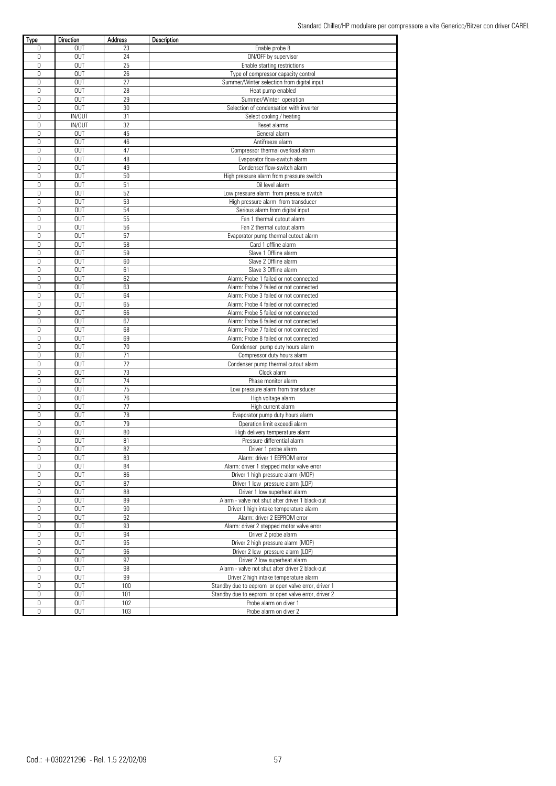| Type   | Direction     | Address | Description                                         |
|--------|---------------|---------|-----------------------------------------------------|
| D      | <b>OUT</b>    | 23      | Enable probe 8                                      |
| D      | <b>OUT</b>    | 24      | ON/OFF by supervisor                                |
| D      | <b>OUT</b>    | 25      | Enable starting restrictions                        |
| D      | <b>OUT</b>    | 26      | Type of compressor capacity control                 |
| D      | <b>OUT</b>    | 27      | Summer/Winter selection from digital input          |
| D      | <b>OUT</b>    | 28      | Heat pump enabled                                   |
| D      | <b>OUT</b>    | 29      | Summer/Winter operation                             |
| D      | <b>OUT</b>    | 30      | Selection of condensation with inverter             |
| D      | <b>IN/OUT</b> | 31      |                                                     |
| D      | IN/OUT        | 32      | Select cooling / heating                            |
| D      | <b>OUT</b>    | 45      | Reset alarms                                        |
|        |               |         | General alarm                                       |
| D      | <b>OUT</b>    | 46      | Antifreeze alarm                                    |
| D      | <b>OUT</b>    | 47      | Compressor thermal overload alarm                   |
| D      | <b>OUT</b>    | 48      | Evaporator flow-switch alarm                        |
| D      | <b>OUT</b>    | 49      | Condenser flow-switch alarm                         |
| D      | <b>OUT</b>    | 50      | High pressure alarm from pressure switch            |
| $\Box$ | <b>OUT</b>    | 51      | Oil level alarm                                     |
| D      | <b>OUT</b>    | 52      | Low pressure alarm from pressure switch             |
| $\Box$ | <b>OUT</b>    | 53      | High pressure alarm from transducer                 |
| D      | <b>OUT</b>    | 54      | Serious alarm from digital input                    |
| D      | <b>OUT</b>    | 55      | Fan 1 thermal cutout alarm                          |
| D      | <b>OUT</b>    | 56      | Fan 2 thermal cutout alarm                          |
| D      | <b>OUT</b>    | 57      | Evaporator pump thermal cutout alarm                |
| D      | <b>OUT</b>    | 58      | Card 1 offline alarm                                |
| D      | <b>OUT</b>    | 59      | Slave 1 Offline alarm                               |
|        |               |         |                                                     |
| D      | <b>OUT</b>    | 60      | Slave 2 Offline alarm                               |
| D      | <b>OUT</b>    | 61      | Slave 3 Offline alarm                               |
| D      | <b>OUT</b>    | 62      | Alarm: Probe 1 failed or not connected              |
| D      | <b>OUT</b>    | 63      | Alarm: Probe 2 failed or not connected              |
| D      | <b>OUT</b>    | 64      | Alarm: Probe 3 failed or not connected              |
| D      | <b>OUT</b>    | 65      | Alarm: Probe 4 failed or not connected              |
| D      | <b>OUT</b>    | 66      | Alarm: Probe 5 failed or not connected              |
| D      | <b>OUT</b>    | 67      | Alarm: Probe 6 failed or not connected              |
| D      | <b>OUT</b>    | 68      | Alarm: Probe 7 failed or not connected              |
| D      | <b>OUT</b>    | 69      | Alarm: Probe 8 failed or not connected              |
| D      | <b>OUT</b>    | 70      | Condenser pump duty hours alarm                     |
| D      | <b>OUT</b>    | 71      | Compressor duty hours alarm                         |
| $\Box$ | <b>OUT</b>    | 72      | Condenser pump thermal cutout alarm                 |
| D      | <b>OUT</b>    | 73      | Clock alarm                                         |
| D      | <b>OUT</b>    | 74      |                                                     |
|        |               |         | Phase monitor alarm                                 |
| D      | <b>OUT</b>    | 75      | Low pressure alarm from transducer                  |
| D      | <b>OUT</b>    | 76      | High voltage alarm                                  |
| D      | <b>OUT</b>    | 77      | High current alarm                                  |
| D      | <b>OUT</b>    | 78      | Evaporator pump duty hours alarm                    |
| D      | <b>OUT</b>    | 79      | Operation limit exceedi alarm                       |
| D      | <b>OUT</b>    | 80      | High delivery temperature alarm                     |
| D      | <b>OUT</b>    | 81      | Pressure differential alarm                         |
| D      | <b>OUT</b>    | 82      | Driver 1 probe alarm                                |
| D      | 0UT           | 83      | Alarm: driver 1 EEPROM error                        |
| D      | <b>OUT</b>    | 84      | Alarm: driver 1 stepped motor valve error           |
| D      | <b>OUT</b>    | 86      | Driver 1 high pressure alarm (MOP)                  |
| D      | <b>OUT</b>    | 87      | Driver 1 low pressure alarm (LOP)                   |
| D      | <b>OUT</b>    | 88      | Driver 1 low superheat alarm                        |
| D      | <b>OUT</b>    | 89      | Alarm - valve not shut after driver 1 black-out     |
| D      | <b>OUT</b>    | 90      |                                                     |
|        |               |         | Driver 1 high intake temperature alarm              |
| D      | <b>OUT</b>    | 92      | Alarm: driver 2 EEPROM error                        |
| D      | <b>OUT</b>    | 93      | Alarm: driver 2 stepped motor valve error           |
| D      | <b>OUT</b>    | 94      | Driver 2 probe alarm                                |
| D      | <b>OUT</b>    | 95      | Driver 2 high pressure alarm (MOP)                  |
| D      | <b>OUT</b>    | 96      | Driver 2 low pressure alarm (LOP)                   |
| D      | <b>OUT</b>    | 97      | Driver 2 low superheat alarm                        |
| D      | <b>OUT</b>    | 98      | Alarm - valve not shut after driver 2 black-out     |
| D      | <b>OUT</b>    | 99      | Driver 2 high intake temperature alarm              |
| D      | <b>OUT</b>    | 100     | Standby due to eeprom or open valve error, driver 1 |
| D      | <b>OUT</b>    | 101     | Standby due to eeprom or open valve error, driver 2 |
| D      | <b>OUT</b>    | 102     | Probe alarm on diver 1                              |
| D      | <b>OUT</b>    | 103     | Probe alarm on diver 2                              |
|        |               |         |                                                     |